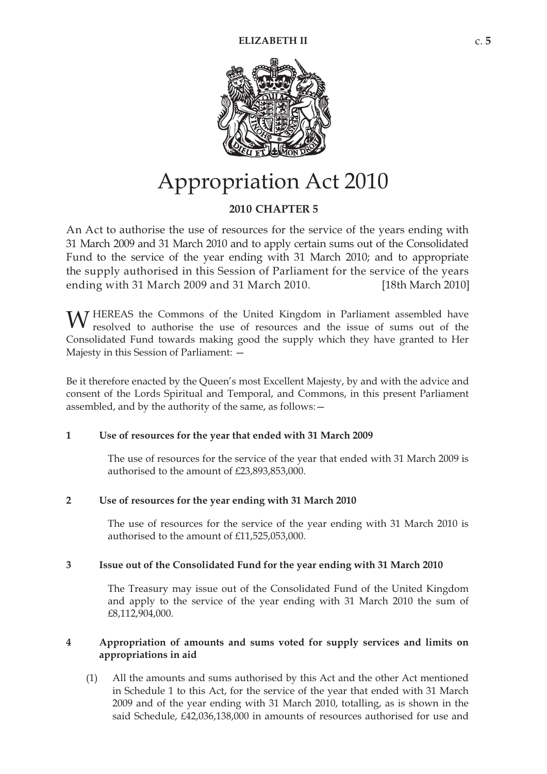

# Appropriation Act 2010

# **20 10 CHAPTER 5**

An Act to authorise the use of resources for the service of the years ending with 31 March 2009 and 31 March 2010 and to apply certain sums out of the Consolidated Fund to the service of the year ending with 31 March 2010; and to appropriate the supply authorised in this Session of Parliament for the service of the years ending with 31 March 2009 and 31 March 2010.  $[18th March 2010]$ 

W HEREAS the Commons of the United Kingdom in Parliament assembled have resolved to authorise the use of resources and the issue of sums out of the resolved to authorise the use of resources and the issue of sums out of the Consolidated Fund towards making good the supply which they have granted to Her Majesty in this Session of Parliament: —

Be it therefore enacted by the Queen's most Excellent Majesty, by and with the advice and consent of the Lords Spiritual and Temporal, and Commons, in this present Parliament assembled, and by the authority of the same, as follows:—

#### **1 Use of resources for the year that ended with 31 March 2009**

The use of resources for the service of the year that ended with 31 March 2009 is authorised to the amount of £23,893,853,000.

#### **2 Use of resources for the year ending with 31 March 2010**

The use of resources for the service of the year ending with 31 March 2010 is authorised to the amount of £11,525,053,000.

#### **3 Issue out of the Consolidated Fund for the year ending with 31 March 2010**

The Treasury may issue out of the Consolidated Fund of the United Kingdom and apply to the service of the year ending with 31 March 2010 the sum of £8,112,904,000.

## **4 Appropriation of amounts and sums voted for supply services and limits on appropriations in aid**

(1) All the amounts and sums authorised by this Act and the other Act mentioned in Schedule 1 to this Act, for the service of the year that ended with 31 March 2009 and of the year ending with 31 March 2010, totalling, as is shown in the said Schedule, £42,036,138,000 in amounts of resources authorised for use and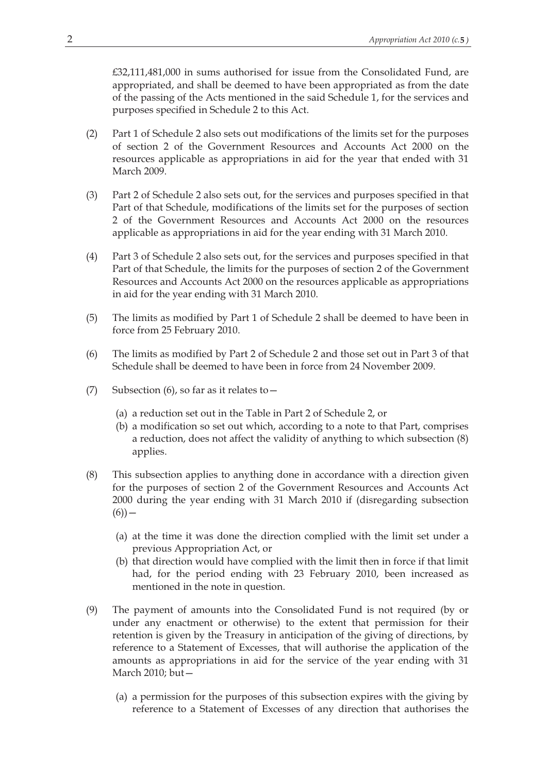£32,111,481,000 in sums authorised for issue from the Consolidated Fund, are appropriated, and shall be deemed to have been appropriated as from the date of the passing of the Acts mentioned in the said Schedule 1, for the services and purposes specified in Schedule 2 to this Act.

- (2) Part 1 of Schedule 2 also sets out modifications of the limits set for the purposes of section 2 of the Government Resources and Accounts Act 2000 on the resources applicable as appropriations in aid for the year that ended with 31 March 2009.
- (3) Part 2 of Schedule 2 also sets out, for the services and purposes specified in that Part of that Schedule, modifications of the limits set for the purposes of section 2 of the Government Resources and Accounts Act 2000 on the resources applicable as appropriations in aid for the year ending with 31 March 2010.
- (4) Part 3 of Schedule 2 also sets out, for the services and purposes specified in that Part of that Schedule, the limits for the purposes of section 2 of the Government Resources and Accounts Act 2000 on the resources applicable as appropriations in aid for the year ending with 31 March 2010.
- (5) The limits as modified by Part 1 of Schedule 2 shall be deemed to have been in force from 25 February 2010.
- (6) The limits as modified by Part 2 of Schedule 2 and those set out in Part 3 of that Schedule shall be deemed to have been in force from 24 November 2009.
- (7) Subsection (6), so far as it relates to—
	- (a) a reduction set out in the Table in Part 2 of Schedule 2, or
	- (b) a modification so set out which, according to a note to that Part, comprises a reduction, does not affect the validity of anything to which subsection (8) applies.
- (8) This subsection applies to anything done in accordance with a direction given for the purposes of section 2 of the Government Resources and Accounts Act 2000 during the year ending with 31 March 2010 if (disregarding subsection  $(6)) -$ 
	- (a) at the time it was done the direction complied with the limit set under a previous Appropriation Act, or
	- (b) that direction would have complied with the limit then in force if that limit had, for the period ending with 23 February 2010, been increased as mentioned in the note in question.
- (9) The payment of amounts into the Consolidated Fund is not required (by or under any enactment or otherwise) to the extent that permission for their retention is given by the Treasury in anticipation of the giving of directions, by reference to a Statement of Excesses, that will authorise the application of the amounts as appropriations in aid for the service of the year ending with 31 March 2010; but—
	- (a) a permission for the purposes of this subsection expires with the giving by reference to a Statement of Excesses of any direction that authorises the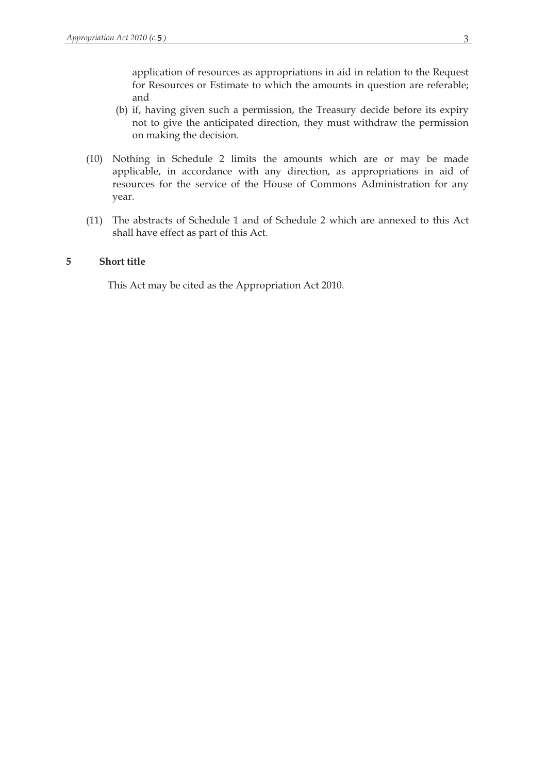application of resources as appropriations in aid in relation to the Request for Resources or Estimate to which the amounts in question are referable; and

- (b) if, having given such a permission, the Treasury decide before its expiry not to give the anticipated direction, they must withdraw the permission on making the decision.
- (10) Nothing in Schedule 2 limits the amounts which are or may be made applicable, in accordance with any direction, as appropriations in aid of resources for the service of the House of Commons Administration for any year.
- (11) The abstracts of Schedule 1 and of Schedule 2 which are annexed to this Act shall have effect as part of this Act.

## **5 Short title**

This Act may be cited as the Appropriation Act 2010.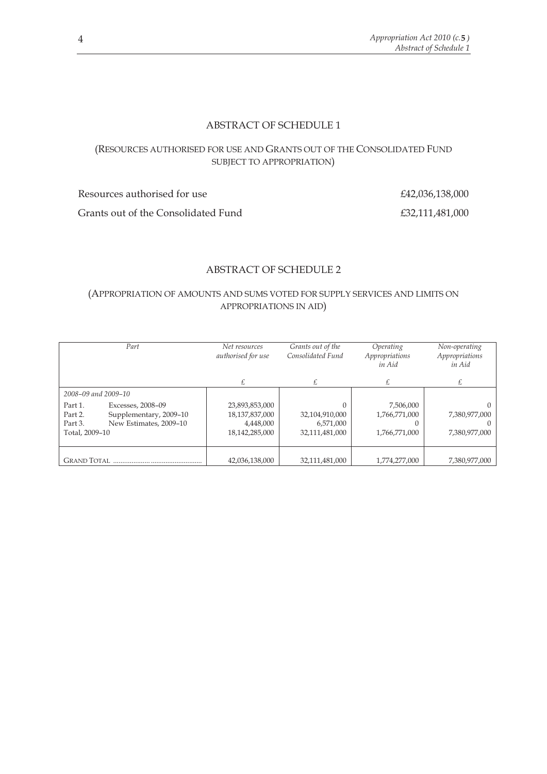## ABSTRACT OF SCHEDULE 1

## (RESOURCES AUTHORISED FOR USE AND GRANTS OUT OF THE CONSOLIDATED FUND SUBJECT TO APPROPRIATION)

Resources authorised for use  $£42,036,138,000$ Grants out of the Consolidated Fund  $£32,111,481,000$ 

## ABSTRACT OF SCHEDULE 2

#### (APPROPRIATION OF AMOUNTS AND SUMS VOTED FOR SUPPLY SERVICES AND LIMITS ON APPROPRIATIONS IN AID)

| Part                                                                                                                     | Net resources<br>authorised for use                             | Grants out of the<br>Consolidated Fund        | Operating<br>Appropriations<br>in Aid       | Non-operating<br>Appropriations<br>in Aid |
|--------------------------------------------------------------------------------------------------------------------------|-----------------------------------------------------------------|-----------------------------------------------|---------------------------------------------|-------------------------------------------|
|                                                                                                                          |                                                                 |                                               | £                                           | £                                         |
| 2008–09 and 2009–10                                                                                                      |                                                                 |                                               |                                             |                                           |
| Part 1.<br>Excesses, 2008-09<br>Supplementary, 2009-10<br>Part 2.<br>New Estimates, 2009-10<br>Part 3.<br>Total, 2009-10 | 23,893,853,000<br>18,137,837,000<br>4,448,000<br>18,142,285,000 | 32,104,910,000<br>6,571,000<br>32,111,481,000 | 7,506,000<br>1,766,771,000<br>1,766,771,000 | 7,380,977,000<br>7,380,977,000            |
|                                                                                                                          | 42,036,138,000                                                  | 32,111,481,000                                | 1,774,277,000                               | 7,380,977,000                             |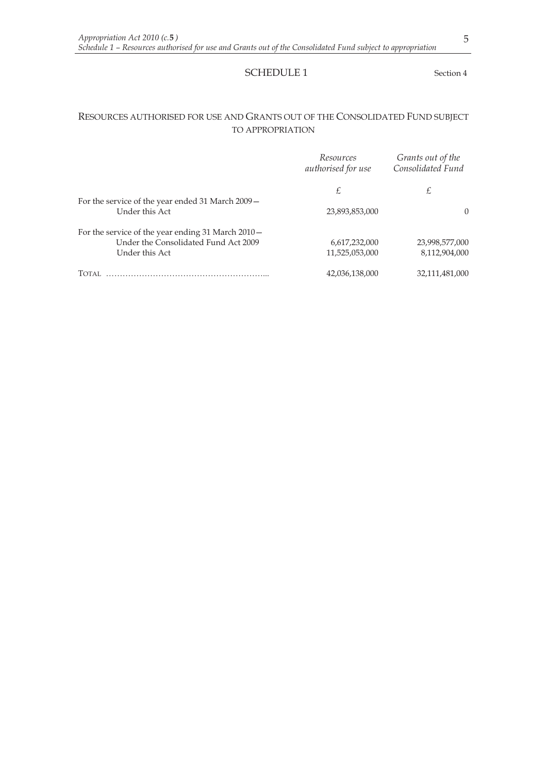#### SCHEDULE 1 Section 4

## RESOURCES AUTHORISED FOR USE AND GRANTS OUT OF THE CONSOLIDATED FUND SUBJECT TO APPROPRIATION

|                                                                     | Resources<br>authorised for use | Grants out of the<br>Consolidated Fund |
|---------------------------------------------------------------------|---------------------------------|----------------------------------------|
|                                                                     | £                               | £                                      |
| For the service of the year ended 31 March 2009 –<br>Under this Act | 23,893,853,000                  | $\Omega$                               |
| For the service of the year ending 31 March 2010 –                  |                                 |                                        |
| Under the Consolidated Fund Act 2009                                | 6,617,232,000                   | 23,998,577,000                         |
| Under this Act                                                      | 11,525,053,000                  | 8,112,904,000                          |
| <b>TOTAL</b>                                                        | 42,036,138,000                  | 32,111,481,000                         |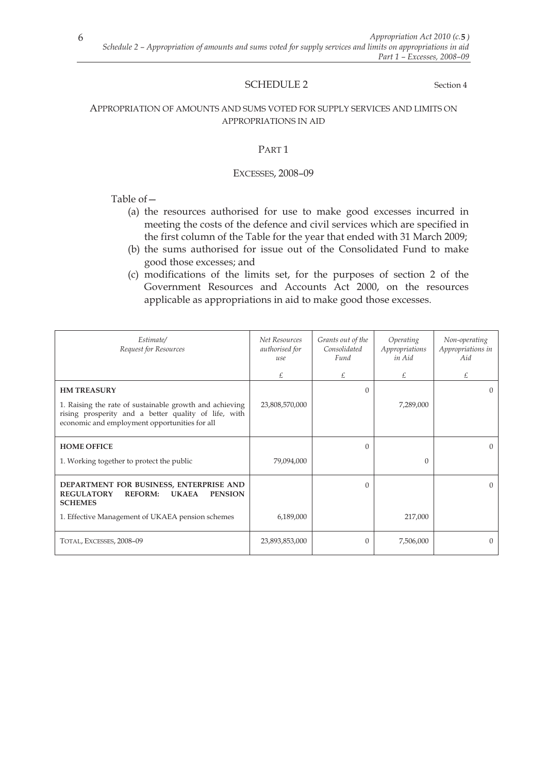## SCHEDULE 2 Section 4

#### APPROPRIATION OF AMOUNTS AND SUMS VOTED FOR SUPPLY SERVICES AND LIMITS ON APPROPRIATIONS IN AID

#### PART 1

#### EXCESSES, 2008–09

## Table of—

- (a) the resources authorised for use to make good excesses incurred in meeting the costs of the defence and civil services which are specified in the first column of the Table for the year that ended with 31 March 2009;
- (b) the sums authorised for issue out of the Consolidated Fund to make good those excesses; and
- (c) modifications of the limits set, for the purposes of section 2 of the Government Resources and Accounts Act 2000, on the resources applicable as appropriations in aid to make good those excesses.

| Estimate/<br>Request for Resources                                                                                                                               | <b>Net Resources</b><br>authorised for<br>use | Grants out of the<br>Consolidated<br>Fund | Operating<br>Appropriations<br>in Aid | Non-operating<br>Appropriations in<br>Aid |
|------------------------------------------------------------------------------------------------------------------------------------------------------------------|-----------------------------------------------|-------------------------------------------|---------------------------------------|-------------------------------------------|
|                                                                                                                                                                  | £                                             | £                                         | £                                     | £                                         |
| <b>HM TREASURY</b>                                                                                                                                               |                                               | $\Omega$                                  |                                       | $\Omega$                                  |
| 1. Raising the rate of sustainable growth and achieving<br>rising prosperity and a better quality of life, with<br>economic and employment opportunities for all | 23,808,570,000                                |                                           | 7,289,000                             |                                           |
| <b>HOME OFFICE</b>                                                                                                                                               |                                               | $\Omega$                                  |                                       | $\Omega$                                  |
| 1. Working together to protect the public                                                                                                                        | 79,094,000                                    |                                           | $\Omega$                              |                                           |
| DEPARTMENT FOR BUSINESS, ENTERPRISE AND<br><b>REGULATORY</b><br><b>REFORM:</b><br><b>UKAEA</b><br><b>PENSION</b><br><b>SCHEMES</b>                               |                                               | $\mathbf{0}$                              |                                       | $\Omega$                                  |
| 1. Effective Management of UKAEA pension schemes                                                                                                                 | 6,189,000                                     |                                           | 217,000                               |                                           |
| TOTAL, EXCESSES, 2008-09                                                                                                                                         | 23,893,853,000                                | $\Omega$                                  | 7,506,000                             | $\Omega$                                  |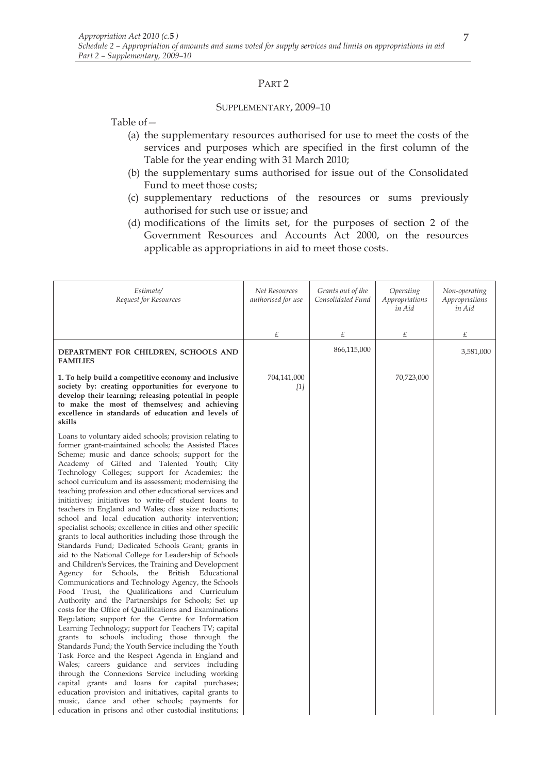#### PART 2

#### SUPPLEMENTARY, 2009–10

Table of—

- (a) the supplementary resources authorised for use to meet the costs of the services and purposes which are specified in the first column of the Table for the year ending with 31 March 2010;
- (b) the supplementary sums authorised for issue out of the Consolidated Fund to meet those costs;
- (c) supplementary reductions of the resources or sums previously authorised for such use or issue; and
- (d) modifications of the limits set, for the purposes of section 2 of the Government Resources and Accounts Act 2000, on the resources applicable as appropriations in aid to meet those costs.

| Estimate/<br>Request for Resources                                                                                                                                                                                                                                                                                                                                                                                                                                                                                                                                                                                                                                                                                                                                                                                                                                                                                                                                                                                                                                                                                                                                                                                                                                                                                                                                                                                                                                                                                                                                                                                                                                                                                                                 | Net Resources<br>authorised for use | Grants out of the<br>Consolidated Fund | Operating<br>Appropriations<br>in Aid | Non-operating<br>Appropriations<br>in Aid |
|----------------------------------------------------------------------------------------------------------------------------------------------------------------------------------------------------------------------------------------------------------------------------------------------------------------------------------------------------------------------------------------------------------------------------------------------------------------------------------------------------------------------------------------------------------------------------------------------------------------------------------------------------------------------------------------------------------------------------------------------------------------------------------------------------------------------------------------------------------------------------------------------------------------------------------------------------------------------------------------------------------------------------------------------------------------------------------------------------------------------------------------------------------------------------------------------------------------------------------------------------------------------------------------------------------------------------------------------------------------------------------------------------------------------------------------------------------------------------------------------------------------------------------------------------------------------------------------------------------------------------------------------------------------------------------------------------------------------------------------------------|-------------------------------------|----------------------------------------|---------------------------------------|-------------------------------------------|
|                                                                                                                                                                                                                                                                                                                                                                                                                                                                                                                                                                                                                                                                                                                                                                                                                                                                                                                                                                                                                                                                                                                                                                                                                                                                                                                                                                                                                                                                                                                                                                                                                                                                                                                                                    | £                                   | £                                      | £                                     | £                                         |
| DEPARTMENT FOR CHILDREN, SCHOOLS AND<br><b>FAMILIES</b>                                                                                                                                                                                                                                                                                                                                                                                                                                                                                                                                                                                                                                                                                                                                                                                                                                                                                                                                                                                                                                                                                                                                                                                                                                                                                                                                                                                                                                                                                                                                                                                                                                                                                            |                                     | 866,115,000                            |                                       | 3,581,000                                 |
| 1. To help build a competitive economy and inclusive<br>society by: creating opportunities for everyone to<br>develop their learning; releasing potential in people<br>to make the most of themselves; and achieving<br>excellence in standards of education and levels of<br>skills                                                                                                                                                                                                                                                                                                                                                                                                                                                                                                                                                                                                                                                                                                                                                                                                                                                                                                                                                                                                                                                                                                                                                                                                                                                                                                                                                                                                                                                               | 704,141,000<br>$[1]$                |                                        | 70,723,000                            |                                           |
| Loans to voluntary aided schools; provision relating to<br>former grant-maintained schools; the Assisted Places<br>Scheme; music and dance schools; support for the<br>Academy of Gifted and Talented Youth; City<br>Technology Colleges; support for Academies; the<br>school curriculum and its assessment; modernising the<br>teaching profession and other educational services and<br>initiatives; initiatives to write-off student loans to<br>teachers in England and Wales; class size reductions;<br>school and local education authority intervention;<br>specialist schools; excellence in cities and other specific<br>grants to local authorities including those through the<br>Standards Fund; Dedicated Schools Grant; grants in<br>aid to the National College for Leadership of Schools<br>and Children's Services, the Training and Development<br>Agency for Schools, the British Educational<br>Communications and Technology Agency, the Schools<br>Food Trust, the Qualifications and Curriculum<br>Authority and the Partnerships for Schools; Set up<br>costs for the Office of Qualifications and Examinations<br>Regulation; support for the Centre for Information<br>Learning Technology; support for Teachers TV; capital<br>grants to schools including those through the<br>Standards Fund; the Youth Service including the Youth<br>Task Force and the Respect Agenda in England and<br>Wales; careers guidance and services including<br>through the Connexions Service including working<br>capital grants and loans for capital purchases;<br>education provision and initiatives, capital grants to<br>music, dance and other schools; payments for<br>education in prisons and other custodial institutions; |                                     |                                        |                                       |                                           |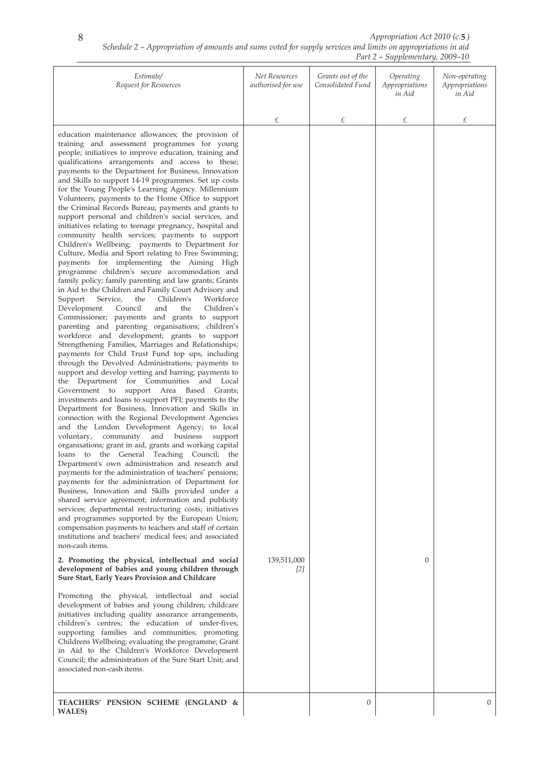|                                                                                                                                                                                                                                                                                                                                                                                                                                                                                                                                                                                                                                                                                                                                                                                                                                                                                                                                                                                                                                                                                                                                                                                                                                                                                                                                                                                                                                                                                                                                                                                                                                                                                                                                                                                                                                                                                                                                                                                                                                                                                                                                                                                                                                                                                                                                                                                                                                                                                                                                                                                                                                                                                                                                                                                                                                                                                                                                                                                                                                                                                                                                                        |                                     |                                        | $\sigma$ <i>i</i> prementary $\sigma$ =000 $\sigma$ |                                           |
|--------------------------------------------------------------------------------------------------------------------------------------------------------------------------------------------------------------------------------------------------------------------------------------------------------------------------------------------------------------------------------------------------------------------------------------------------------------------------------------------------------------------------------------------------------------------------------------------------------------------------------------------------------------------------------------------------------------------------------------------------------------------------------------------------------------------------------------------------------------------------------------------------------------------------------------------------------------------------------------------------------------------------------------------------------------------------------------------------------------------------------------------------------------------------------------------------------------------------------------------------------------------------------------------------------------------------------------------------------------------------------------------------------------------------------------------------------------------------------------------------------------------------------------------------------------------------------------------------------------------------------------------------------------------------------------------------------------------------------------------------------------------------------------------------------------------------------------------------------------------------------------------------------------------------------------------------------------------------------------------------------------------------------------------------------------------------------------------------------------------------------------------------------------------------------------------------------------------------------------------------------------------------------------------------------------------------------------------------------------------------------------------------------------------------------------------------------------------------------------------------------------------------------------------------------------------------------------------------------------------------------------------------------------------------------------------------------------------------------------------------------------------------------------------------------------------------------------------------------------------------------------------------------------------------------------------------------------------------------------------------------------------------------------------------------------------------------------------------------------------------------------------------------|-------------------------------------|----------------------------------------|-----------------------------------------------------|-------------------------------------------|
| Estimate/<br>Request for Resources                                                                                                                                                                                                                                                                                                                                                                                                                                                                                                                                                                                                                                                                                                                                                                                                                                                                                                                                                                                                                                                                                                                                                                                                                                                                                                                                                                                                                                                                                                                                                                                                                                                                                                                                                                                                                                                                                                                                                                                                                                                                                                                                                                                                                                                                                                                                                                                                                                                                                                                                                                                                                                                                                                                                                                                                                                                                                                                                                                                                                                                                                                                     | Net Resources<br>authorised for use | Grants out of the<br>Consolidated Fund | Operating<br>Appropriations<br>in Aid               | Non-operating<br>Appropriations<br>in Aid |
|                                                                                                                                                                                                                                                                                                                                                                                                                                                                                                                                                                                                                                                                                                                                                                                                                                                                                                                                                                                                                                                                                                                                                                                                                                                                                                                                                                                                                                                                                                                                                                                                                                                                                                                                                                                                                                                                                                                                                                                                                                                                                                                                                                                                                                                                                                                                                                                                                                                                                                                                                                                                                                                                                                                                                                                                                                                                                                                                                                                                                                                                                                                                                        | £                                   | £                                      | £                                                   | £                                         |
| education maintenance allowances; the provision of<br>training and assessment programmes for young<br>people; initiatives to improve education, training and<br>qualifications arrangements and access to these;<br>payments to the Department for Business, Innovation<br>and Skills to support 14-19 programmes. Set up costs<br>for the Young People's Learning Agency. Millennium<br>Volunteers; payments to the Home Office to support<br>the Criminal Records Bureau; payments and grants to<br>support personal and children's social services, and<br>initiatives relating to teenage pregnancy, hospital and<br>community health services; payments to support<br>Children's Wellbeing; payments to Department for<br>Culture, Media and Sport relating to Free Swimming;<br>payments for implementing the Aiming High<br>programme children's secure accommodation and<br>family policy; family parenting and law grants; Grants<br>in Aid to the Children and Family Court Advisory and<br>Support<br>Children's<br>Workforce<br>Service,<br>the<br>Children's<br>Development<br>Council<br>and<br>the<br>Commissioner; payments and grants to support<br>parenting and parenting organisations; children's<br>workforce and development; grants to support<br>Strengthening Families, Marriages and Relationships;<br>payments for Child Trust Fund top ups, including<br>through the Devolved Administrations; payments to<br>support and develop vetting and barring; payments to<br>the Department for Communities and Local<br>support Area Based Grants;<br>Government to<br>investments and loans to support PFI; payments to the<br>Department for Business, Innovation and Skills in<br>connection with the Regional Development Agencies<br>and the London Development Agency; to local<br>voluntary,<br>community and business<br>support<br>organisations; grant in aid, grants and working capital<br>loans to the General Teaching Council; the<br>Department's own administration and research and<br>payments for the administration of teachers' pensions;<br>payments for the administration of Department for<br>Business, Innovation and Skills provided under a<br>shared service agreement; information and publicity<br>services; departmental restructuring costs; initiatives<br>and programmes supported by the European Union;<br>compensation payments to teachers and staff of certain<br>institutions and teachers' medical fees; and associated<br>non-cash items.<br>2. Promoting the physical, intellectual and social<br>development of babies and young children through<br>Sure Start, Early Years Provision and Childcare<br>Promoting the physical, intellectual and social<br>development of babies and young children; childcare<br>initiatives including quality assurance arrangements,<br>children's centres; the education of under-fives;<br>supporting families and communities; promoting<br>Childrens Wellbeing; evaluating the programme; Grant<br>in Aid to the Children's Workforce Development<br>Council; the administration of the Sure Start Unit; and<br>associated non-cash items. | 139,511,000<br>[2]                  |                                        | $\mathbf{0}$                                        |                                           |
| TEACHERS' PENSION SCHEME (ENGLAND &                                                                                                                                                                                                                                                                                                                                                                                                                                                                                                                                                                                                                                                                                                                                                                                                                                                                                                                                                                                                                                                                                                                                                                                                                                                                                                                                                                                                                                                                                                                                                                                                                                                                                                                                                                                                                                                                                                                                                                                                                                                                                                                                                                                                                                                                                                                                                                                                                                                                                                                                                                                                                                                                                                                                                                                                                                                                                                                                                                                                                                                                                                                    |                                     | $\boldsymbol{0}$                       |                                                     | 0                                         |
| WALES)                                                                                                                                                                                                                                                                                                                                                                                                                                                                                                                                                                                                                                                                                                                                                                                                                                                                                                                                                                                                                                                                                                                                                                                                                                                                                                                                                                                                                                                                                                                                                                                                                                                                                                                                                                                                                                                                                                                                                                                                                                                                                                                                                                                                                                                                                                                                                                                                                                                                                                                                                                                                                                                                                                                                                                                                                                                                                                                                                                                                                                                                                                                                                 |                                     |                                        |                                                     |                                           |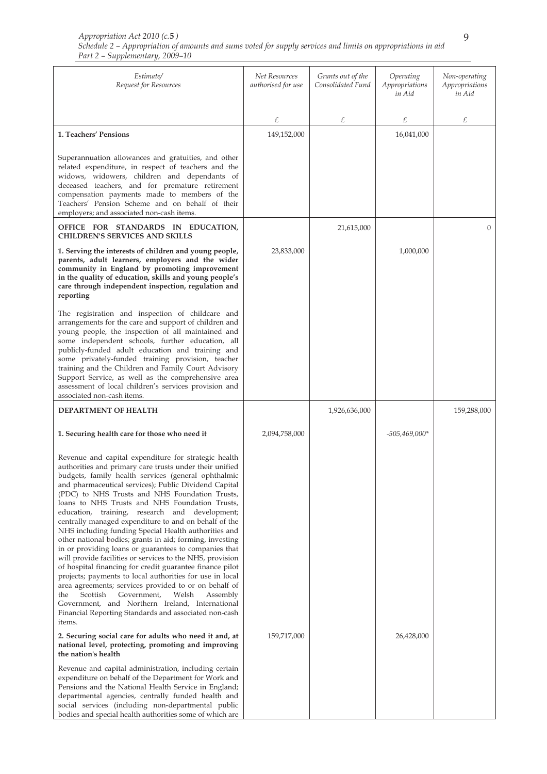| Estimate/<br>Request for Resources                                                                                                                                                                                                                                                                                                                                                                                                                                                                                                                                                                                                                                                                                                                                                                                                                                                                                                                                                                                                                     | Net Resources<br>authorised for use | Grants out of the<br>Consolidated Fund | Operating<br>Appropriations<br>in Aid | Non-operating<br>Appropriations<br>in Aid |
|--------------------------------------------------------------------------------------------------------------------------------------------------------------------------------------------------------------------------------------------------------------------------------------------------------------------------------------------------------------------------------------------------------------------------------------------------------------------------------------------------------------------------------------------------------------------------------------------------------------------------------------------------------------------------------------------------------------------------------------------------------------------------------------------------------------------------------------------------------------------------------------------------------------------------------------------------------------------------------------------------------------------------------------------------------|-------------------------------------|----------------------------------------|---------------------------------------|-------------------------------------------|
|                                                                                                                                                                                                                                                                                                                                                                                                                                                                                                                                                                                                                                                                                                                                                                                                                                                                                                                                                                                                                                                        | £                                   | £                                      | £                                     | £                                         |
| 1. Teachers' Pensions                                                                                                                                                                                                                                                                                                                                                                                                                                                                                                                                                                                                                                                                                                                                                                                                                                                                                                                                                                                                                                  | 149,152,000                         |                                        | 16,041,000                            |                                           |
| Superannuation allowances and gratuities, and other<br>related expenditure, in respect of teachers and the<br>widows, widowers, children and dependants of<br>deceased teachers, and for premature retirement<br>compensation payments made to members of the<br>Teachers' Pension Scheme and on behalf of their<br>employers; and associated non-cash items.                                                                                                                                                                                                                                                                                                                                                                                                                                                                                                                                                                                                                                                                                          |                                     |                                        |                                       |                                           |
| OFFICE FOR STANDARDS IN EDUCATION,<br><b>CHILDREN'S SERVICES AND SKILLS</b>                                                                                                                                                                                                                                                                                                                                                                                                                                                                                                                                                                                                                                                                                                                                                                                                                                                                                                                                                                            |                                     | 21,615,000                             |                                       | $\Omega$                                  |
| 1. Serving the interests of children and young people,<br>parents, adult learners, employers and the wider<br>community in England by promoting improvement<br>in the quality of education, skills and young people's<br>care through independent inspection, regulation and<br>reporting                                                                                                                                                                                                                                                                                                                                                                                                                                                                                                                                                                                                                                                                                                                                                              | 23,833,000                          |                                        | 1,000,000                             |                                           |
| The registration and inspection of childcare and<br>arrangements for the care and support of children and<br>young people, the inspection of all maintained and<br>some independent schools, further education, all<br>publicly-funded adult education and training and<br>some privately-funded training provision, teacher<br>training and the Children and Family Court Advisory<br>Support Service, as well as the comprehensive area<br>assessment of local children's services provision and<br>associated non-cash items.                                                                                                                                                                                                                                                                                                                                                                                                                                                                                                                       |                                     |                                        |                                       |                                           |
| DEPARTMENT OF HEALTH                                                                                                                                                                                                                                                                                                                                                                                                                                                                                                                                                                                                                                                                                                                                                                                                                                                                                                                                                                                                                                   |                                     | 1,926,636,000                          |                                       | 159,288,000                               |
| 1. Securing health care for those who need it                                                                                                                                                                                                                                                                                                                                                                                                                                                                                                                                                                                                                                                                                                                                                                                                                                                                                                                                                                                                          | 2,094,758,000                       |                                        | $-505,469,000*$                       |                                           |
| Revenue and capital expenditure for strategic health<br>authorities and primary care trusts under their unified<br>budgets, family health services (general ophthalmic<br>and pharmaceutical services); Public Dividend Capital<br>(PDC) to NHS Trusts and NHS Foundation Trusts,<br>loans to NHS Trusts and NHS Foundation Trusts,<br>education, training, research and development;<br>centrally managed expenditure to and on behalf of the<br>NHS including funding Special Health authorities and<br>other national bodies; grants in aid; forming, investing<br>in or providing loans or guarantees to companies that<br>will provide facilities or services to the NHS, provision<br>of hospital financing for credit guarantee finance pilot<br>projects; payments to local authorities for use in local<br>area agreements; services provided to or on behalf of<br>Welsh<br>Scottish<br>Government,<br>Assembly<br>the<br>Government, and Northern Ireland, International<br>Financial Reporting Standards and associated non-cash<br>items. |                                     |                                        |                                       |                                           |
| 2. Securing social care for adults who need it and, at<br>national level, protecting, promoting and improving<br>the nation's health                                                                                                                                                                                                                                                                                                                                                                                                                                                                                                                                                                                                                                                                                                                                                                                                                                                                                                                   | 159,717,000                         |                                        | 26,428,000                            |                                           |
| Revenue and capital administration, including certain<br>expenditure on behalf of the Department for Work and<br>Pensions and the National Health Service in England;<br>departmental agencies, centrally funded health and<br>social services (including non-departmental public<br>bodies and special health authorities some of which are                                                                                                                                                                                                                                                                                                                                                                                                                                                                                                                                                                                                                                                                                                           |                                     |                                        |                                       |                                           |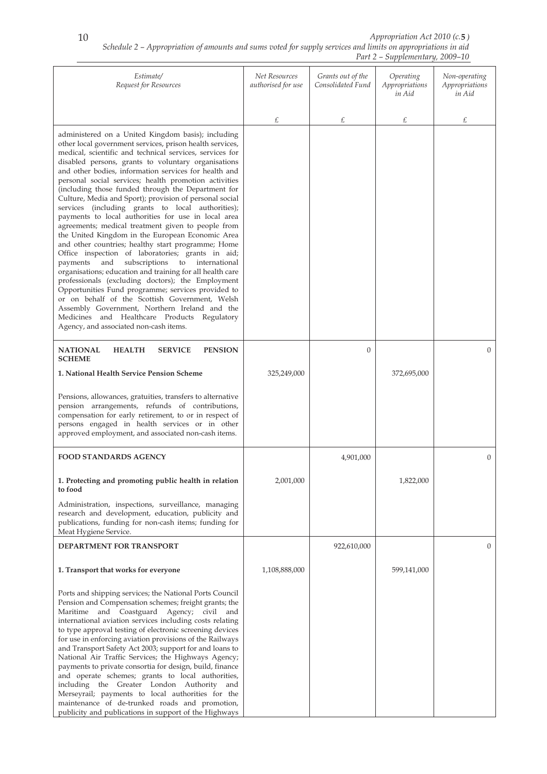| Estimate/<br>Request for Resources                                                                                                                                                                                                                                                                                                                                                                                                                                                                                                                                                                                                                                                                                                                                                                                                                                                                                                                                                                                                                                                                                                                                                                                           | Net Resources<br>authorised for use | Grants out of the<br>Consolidated Fund | Operating<br>Appropriations<br>in Aid | Non-operating<br>Appropriations<br>in Aid |
|------------------------------------------------------------------------------------------------------------------------------------------------------------------------------------------------------------------------------------------------------------------------------------------------------------------------------------------------------------------------------------------------------------------------------------------------------------------------------------------------------------------------------------------------------------------------------------------------------------------------------------------------------------------------------------------------------------------------------------------------------------------------------------------------------------------------------------------------------------------------------------------------------------------------------------------------------------------------------------------------------------------------------------------------------------------------------------------------------------------------------------------------------------------------------------------------------------------------------|-------------------------------------|----------------------------------------|---------------------------------------|-------------------------------------------|
|                                                                                                                                                                                                                                                                                                                                                                                                                                                                                                                                                                                                                                                                                                                                                                                                                                                                                                                                                                                                                                                                                                                                                                                                                              | £                                   | £                                      | £                                     | £                                         |
| administered on a United Kingdom basis); including<br>other local government services, prison health services,<br>medical, scientific and technical services, services for<br>disabled persons, grants to voluntary organisations<br>and other bodies, information services for health and<br>personal social services; health promotion activities<br>(including those funded through the Department for<br>Culture, Media and Sport); provision of personal social<br>services (including grants to local authorities);<br>payments to local authorities for use in local area<br>agreements; medical treatment given to people from<br>the United Kingdom in the European Economic Area<br>and other countries; healthy start programme; Home<br>Office inspection of laboratories; grants in aid;<br>payments and<br>subscriptions to international<br>organisations; education and training for all health care<br>professionals (excluding doctors); the Employment<br>Opportunities Fund programme; services provided to<br>or on behalf of the Scottish Government, Welsh<br>Assembly Government, Northern Ireland and the<br>Medicines and Healthcare Products Regulatory<br>Agency, and associated non-cash items. |                                     |                                        |                                       |                                           |
| <b>NATIONAL</b><br><b>HEALTH</b><br><b>SERVICE</b><br><b>PENSION</b><br><b>SCHEME</b>                                                                                                                                                                                                                                                                                                                                                                                                                                                                                                                                                                                                                                                                                                                                                                                                                                                                                                                                                                                                                                                                                                                                        |                                     | $\Omega$                               |                                       | $\overline{0}$                            |
| 1. National Health Service Pension Scheme                                                                                                                                                                                                                                                                                                                                                                                                                                                                                                                                                                                                                                                                                                                                                                                                                                                                                                                                                                                                                                                                                                                                                                                    | 325,249,000                         |                                        | 372,695,000                           |                                           |
| Pensions, allowances, gratuities, transfers to alternative<br>pension arrangements, refunds of contributions,<br>compensation for early retirement, to or in respect of<br>persons engaged in health services or in other<br>approved employment, and associated non-cash items.                                                                                                                                                                                                                                                                                                                                                                                                                                                                                                                                                                                                                                                                                                                                                                                                                                                                                                                                             |                                     |                                        |                                       |                                           |
| <b>FOOD STANDARDS AGENCY</b>                                                                                                                                                                                                                                                                                                                                                                                                                                                                                                                                                                                                                                                                                                                                                                                                                                                                                                                                                                                                                                                                                                                                                                                                 |                                     | 4,901,000                              |                                       | $\overline{0}$                            |
| 1. Protecting and promoting public health in relation<br>to food                                                                                                                                                                                                                                                                                                                                                                                                                                                                                                                                                                                                                                                                                                                                                                                                                                                                                                                                                                                                                                                                                                                                                             | 2,001,000                           |                                        | 1,822,000                             |                                           |
| Administration, inspections, surveillance, managing<br>research and development, education, publicity and<br>publications, funding for non-cash items; funding for<br>Meat Hygiene Service.                                                                                                                                                                                                                                                                                                                                                                                                                                                                                                                                                                                                                                                                                                                                                                                                                                                                                                                                                                                                                                  |                                     |                                        |                                       |                                           |
| DEPARTMENT FOR TRANSPORT                                                                                                                                                                                                                                                                                                                                                                                                                                                                                                                                                                                                                                                                                                                                                                                                                                                                                                                                                                                                                                                                                                                                                                                                     |                                     | 922,610,000                            |                                       | $\overline{0}$                            |
| 1. Transport that works for everyone                                                                                                                                                                                                                                                                                                                                                                                                                                                                                                                                                                                                                                                                                                                                                                                                                                                                                                                                                                                                                                                                                                                                                                                         | 1,108,888,000                       |                                        | 599,141,000                           |                                           |
| Ports and shipping services; the National Ports Council<br>Pension and Compensation schemes; freight grants; the<br>Maritime and Coastguard Agency; civil and<br>international aviation services including costs relating<br>to type approval testing of electronic screening devices<br>for use in enforcing aviation provisions of the Railways<br>and Transport Safety Act 2003; support for and loans to<br>National Air Traffic Services; the Highways Agency;<br>payments to private consortia for design, build, finance<br>and operate schemes; grants to local authorities,<br>including the Greater London Authority<br>and<br>Merseyrail; payments to local authorities for the<br>maintenance of de-trunked roads and promotion,<br>publicity and publications in support of the Highways                                                                                                                                                                                                                                                                                                                                                                                                                        |                                     |                                        |                                       |                                           |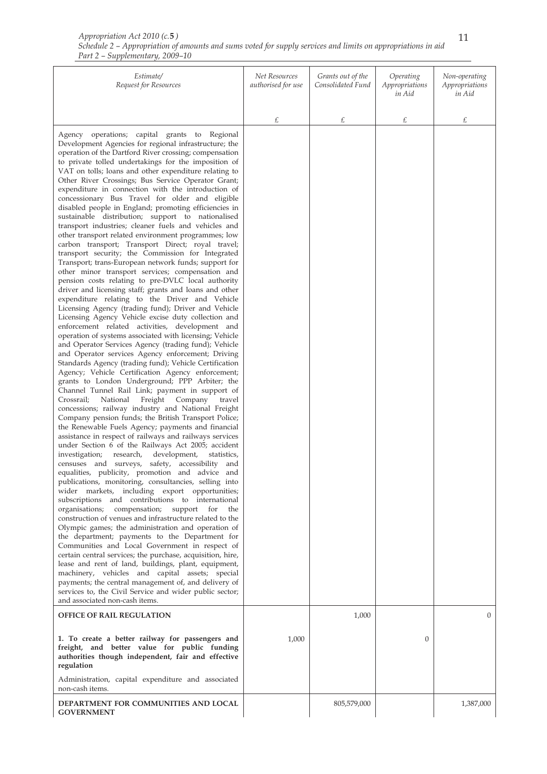| Appropriation Act 2010 (c.5)                                                                                 |  |
|--------------------------------------------------------------------------------------------------------------|--|
| Schedule 2 – Appropriation of amounts and sums voted for supply services and limits on appropriations in aid |  |
| Part 2 – Supplementary, 2009–10                                                                              |  |

| Estimate/<br>Request for Resources                                                                                                                                                                                                                                                                                                                                                                                                                                                                                                                                                                                                                                                                                                                                                                                                                                                                                                                                                                                                                                                                                                                                                                                                                                                                                                                                                                                                                                                                                                                                                                                                                                                                                                                                                                                                                                                                                                                                                                                                                                                                                                                                                                                                                                                                                                                                                                                                                                                                                                                                                                                                                                                                                                                                                                                                                                                                                          | Net Resources<br>authorised for use | Grants out of the<br>Consolidated Fund | Operating<br>Appropriations<br>in Aid | Non-operating<br>Appropriations<br>in Aid |
|-----------------------------------------------------------------------------------------------------------------------------------------------------------------------------------------------------------------------------------------------------------------------------------------------------------------------------------------------------------------------------------------------------------------------------------------------------------------------------------------------------------------------------------------------------------------------------------------------------------------------------------------------------------------------------------------------------------------------------------------------------------------------------------------------------------------------------------------------------------------------------------------------------------------------------------------------------------------------------------------------------------------------------------------------------------------------------------------------------------------------------------------------------------------------------------------------------------------------------------------------------------------------------------------------------------------------------------------------------------------------------------------------------------------------------------------------------------------------------------------------------------------------------------------------------------------------------------------------------------------------------------------------------------------------------------------------------------------------------------------------------------------------------------------------------------------------------------------------------------------------------------------------------------------------------------------------------------------------------------------------------------------------------------------------------------------------------------------------------------------------------------------------------------------------------------------------------------------------------------------------------------------------------------------------------------------------------------------------------------------------------------------------------------------------------------------------------------------------------------------------------------------------------------------------------------------------------------------------------------------------------------------------------------------------------------------------------------------------------------------------------------------------------------------------------------------------------------------------------------------------------------------------------------------------------|-------------------------------------|----------------------------------------|---------------------------------------|-------------------------------------------|
|                                                                                                                                                                                                                                                                                                                                                                                                                                                                                                                                                                                                                                                                                                                                                                                                                                                                                                                                                                                                                                                                                                                                                                                                                                                                                                                                                                                                                                                                                                                                                                                                                                                                                                                                                                                                                                                                                                                                                                                                                                                                                                                                                                                                                                                                                                                                                                                                                                                                                                                                                                                                                                                                                                                                                                                                                                                                                                                             | £                                   | £                                      | £                                     | £                                         |
| Agency operations; capital grants to Regional<br>Development Agencies for regional infrastructure; the<br>operation of the Dartford River crossing; compensation<br>to private tolled undertakings for the imposition of<br>VAT on tolls; loans and other expenditure relating to<br>Other River Crossings; Bus Service Operator Grant;<br>expenditure in connection with the introduction of<br>concessionary Bus Travel for older and eligible<br>disabled people in England; promoting efficiencies in<br>sustainable distribution; support to nationalised<br>transport industries; cleaner fuels and vehicles and<br>other transport related environment programmes; low<br>carbon transport; Transport Direct; royal travel;<br>transport security; the Commission for Integrated<br>Transport; trans-European network funds; support for<br>other minor transport services; compensation and<br>pension costs relating to pre-DVLC local authority<br>driver and licensing staff; grants and loans and other<br>expenditure relating to the Driver and Vehicle<br>Licensing Agency (trading fund); Driver and Vehicle<br>Licensing Agency Vehicle excise duty collection and<br>enforcement related activities, development and<br>operation of systems associated with licensing; Vehicle<br>and Operator Services Agency (trading fund); Vehicle<br>and Operator services Agency enforcement; Driving<br>Standards Agency (trading fund); Vehicle Certification<br>Agency; Vehicle Certification Agency enforcement;<br>grants to London Underground; PPP Arbiter; the<br>Channel Tunnel Rail Link; payment in support of<br>Freight Company<br>Crossrail;<br>National<br>travel<br>concessions; railway industry and National Freight<br>Company pension funds; the British Transport Police;<br>the Renewable Fuels Agency; payments and financial<br>assistance in respect of railways and railways services<br>under Section 6 of the Railways Act 2005; accident<br>research,<br>development,<br>investigation;<br>statistics,<br>censuses and surveys, safety, accessibility and<br>equalities, publicity, promotion and advice and<br>publications, monitoring, consultancies, selling into<br>wider markets, including export opportunities;<br>subscriptions and contributions to international<br>organisations; compensation;<br>support for<br>the<br>construction of venues and infrastructure related to the<br>Olympic games; the administration and operation of<br>the department; payments to the Department for<br>Communities and Local Government in respect of<br>certain central services; the purchase, acquisition, hire,<br>lease and rent of land, buildings, plant, equipment,<br>machinery, vehicles and capital assets; special<br>payments; the central management of, and delivery of<br>services to, the Civil Service and wider public sector;<br>and associated non-cash items. |                                     |                                        |                                       |                                           |
| <b>OFFICE OF RAIL REGULATION</b>                                                                                                                                                                                                                                                                                                                                                                                                                                                                                                                                                                                                                                                                                                                                                                                                                                                                                                                                                                                                                                                                                                                                                                                                                                                                                                                                                                                                                                                                                                                                                                                                                                                                                                                                                                                                                                                                                                                                                                                                                                                                                                                                                                                                                                                                                                                                                                                                                                                                                                                                                                                                                                                                                                                                                                                                                                                                                            |                                     | 1,000                                  |                                       | 0                                         |
| 1. To create a better railway for passengers and<br>freight, and better value for public funding<br>authorities though independent, fair and effective<br>regulation                                                                                                                                                                                                                                                                                                                                                                                                                                                                                                                                                                                                                                                                                                                                                                                                                                                                                                                                                                                                                                                                                                                                                                                                                                                                                                                                                                                                                                                                                                                                                                                                                                                                                                                                                                                                                                                                                                                                                                                                                                                                                                                                                                                                                                                                                                                                                                                                                                                                                                                                                                                                                                                                                                                                                        | 1,000                               |                                        | $\mathbf{0}$                          |                                           |
| Administration, capital expenditure and associated<br>non-cash items.                                                                                                                                                                                                                                                                                                                                                                                                                                                                                                                                                                                                                                                                                                                                                                                                                                                                                                                                                                                                                                                                                                                                                                                                                                                                                                                                                                                                                                                                                                                                                                                                                                                                                                                                                                                                                                                                                                                                                                                                                                                                                                                                                                                                                                                                                                                                                                                                                                                                                                                                                                                                                                                                                                                                                                                                                                                       |                                     |                                        |                                       |                                           |
| DEPARTMENT FOR COMMUNITIES AND LOCAL<br><b>GOVERNMENT</b>                                                                                                                                                                                                                                                                                                                                                                                                                                                                                                                                                                                                                                                                                                                                                                                                                                                                                                                                                                                                                                                                                                                                                                                                                                                                                                                                                                                                                                                                                                                                                                                                                                                                                                                                                                                                                                                                                                                                                                                                                                                                                                                                                                                                                                                                                                                                                                                                                                                                                                                                                                                                                                                                                                                                                                                                                                                                   |                                     | 805,579,000                            |                                       | 1,387,000                                 |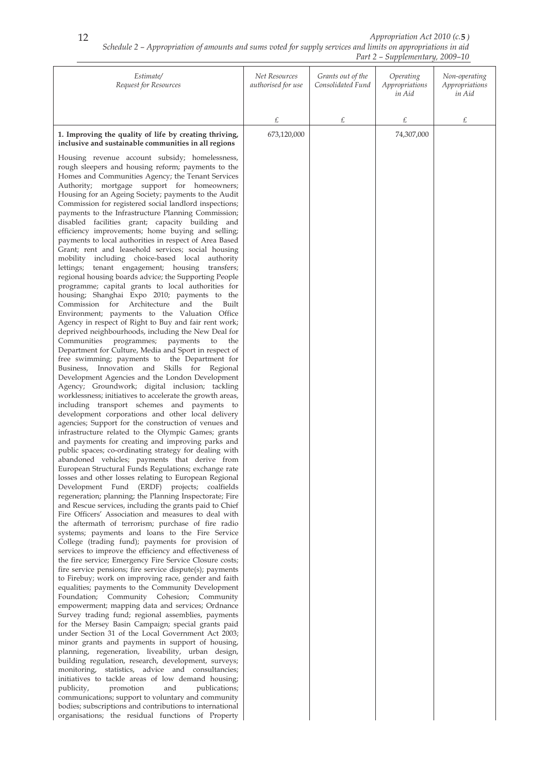| Estimate/<br>Request for Resources                                                                                                                                                                                                                                                                                                                                                                                                                                                                                                                                                                                                                                                                                                                                                                                                                                                                                                                                                                                                                                                                                                                                                                                                                                                                                                                                                                                                                                                                                                                                                                                                                                                                                                                                                                                                                                                                                                                                                                                                                                                                                                                                                                                                                                                                                                                                                                                                                                                                                                                                                                                                                                                                                                                                                                                                                                                                                                                                                                                                                                                                                                                                                                                                                                                                                                                                                                                                                                     | Net Resources<br>authorised for use | Grants out of the<br>Consolidated Fund | Operating<br>Appropriations<br>in Aid | Non-operating<br>Appropriations<br>in Aid |
|------------------------------------------------------------------------------------------------------------------------------------------------------------------------------------------------------------------------------------------------------------------------------------------------------------------------------------------------------------------------------------------------------------------------------------------------------------------------------------------------------------------------------------------------------------------------------------------------------------------------------------------------------------------------------------------------------------------------------------------------------------------------------------------------------------------------------------------------------------------------------------------------------------------------------------------------------------------------------------------------------------------------------------------------------------------------------------------------------------------------------------------------------------------------------------------------------------------------------------------------------------------------------------------------------------------------------------------------------------------------------------------------------------------------------------------------------------------------------------------------------------------------------------------------------------------------------------------------------------------------------------------------------------------------------------------------------------------------------------------------------------------------------------------------------------------------------------------------------------------------------------------------------------------------------------------------------------------------------------------------------------------------------------------------------------------------------------------------------------------------------------------------------------------------------------------------------------------------------------------------------------------------------------------------------------------------------------------------------------------------------------------------------------------------------------------------------------------------------------------------------------------------------------------------------------------------------------------------------------------------------------------------------------------------------------------------------------------------------------------------------------------------------------------------------------------------------------------------------------------------------------------------------------------------------------------------------------------------------------------------------------------------------------------------------------------------------------------------------------------------------------------------------------------------------------------------------------------------------------------------------------------------------------------------------------------------------------------------------------------------------------------------------------------------------------------------------------------------|-------------------------------------|----------------------------------------|---------------------------------------|-------------------------------------------|
|                                                                                                                                                                                                                                                                                                                                                                                                                                                                                                                                                                                                                                                                                                                                                                                                                                                                                                                                                                                                                                                                                                                                                                                                                                                                                                                                                                                                                                                                                                                                                                                                                                                                                                                                                                                                                                                                                                                                                                                                                                                                                                                                                                                                                                                                                                                                                                                                                                                                                                                                                                                                                                                                                                                                                                                                                                                                                                                                                                                                                                                                                                                                                                                                                                                                                                                                                                                                                                                                        | £                                   | £                                      | £                                     | £                                         |
| 1. Improving the quality of life by creating thriving,                                                                                                                                                                                                                                                                                                                                                                                                                                                                                                                                                                                                                                                                                                                                                                                                                                                                                                                                                                                                                                                                                                                                                                                                                                                                                                                                                                                                                                                                                                                                                                                                                                                                                                                                                                                                                                                                                                                                                                                                                                                                                                                                                                                                                                                                                                                                                                                                                                                                                                                                                                                                                                                                                                                                                                                                                                                                                                                                                                                                                                                                                                                                                                                                                                                                                                                                                                                                                 | 673,120,000                         |                                        | 74,307,000                            |                                           |
| inclusive and sustainable communities in all regions<br>Housing revenue account subsidy; homelessness,<br>rough sleepers and housing reform; payments to the<br>Homes and Communities Agency; the Tenant Services<br>Authority; mortgage support for homeowners;<br>Housing for an Ageing Society; payments to the Audit<br>Commission for registered social landlord inspections;<br>payments to the Infrastructure Planning Commission;<br>disabled facilities grant; capacity building and<br>efficiency improvements; home buying and selling;<br>payments to local authorities in respect of Area Based<br>Grant; rent and leasehold services; social housing<br>mobility including choice-based local authority<br>lettings; tenant engagement; housing transfers;<br>regional housing boards advice; the Supporting People<br>programme; capital grants to local authorities for<br>housing; Shanghai Expo 2010; payments to the<br>Architecture<br>Commission for<br>and<br>the<br>Built<br>Environment; payments to the Valuation Office<br>Agency in respect of Right to Buy and fair rent work;<br>deprived neighbourhoods, including the New Deal for<br>Communities programmes; payments<br>to<br>the<br>Department for Culture, Media and Sport in respect of<br>free swimming; payments to the Department for<br>Business, Innovation and Skills for<br>Regional<br>Development Agencies and the London Development<br>Agency; Groundwork; digital inclusion; tackling<br>worklessness; initiatives to accelerate the growth areas,<br>including transport schemes and payments to<br>development corporations and other local delivery<br>agencies; Support for the construction of venues and<br>infrastructure related to the Olympic Games; grants<br>and payments for creating and improving parks and<br>public spaces; co-ordinating strategy for dealing with<br>abandoned vehicles; payments that derive from<br>European Structural Funds Regulations; exchange rate<br>losses and other losses relating to European Regional<br>Development Fund (ERDF) projects; coalfields<br>regeneration; planning; the Planning Inspectorate; Fire<br>and Rescue services, including the grants paid to Chief<br>Fire Officers' Association and measures to deal with<br>the aftermath of terrorism; purchase of fire radio<br>systems; payments and loans to the Fire Service<br>College (trading fund); payments for provision of<br>services to improve the efficiency and effectiveness of<br>the fire service; Emergency Fire Service Closure costs;<br>fire service pensions; fire service dispute(s); payments<br>to Firebuy; work on improving race, gender and faith<br>equalities; payments to the Community Development<br>Foundation; Community Cohesion; Community<br>empowerment; mapping data and services; Ordnance<br>Survey trading fund; regional assemblies, payments<br>for the Mersey Basin Campaign; special grants paid<br>under Section 31 of the Local Government Act 2003;<br>minor grants and payments in support of housing,<br>planning, regeneration, liveability, urban design,<br>building regulation, research, development, surveys;<br>monitoring, statistics, advice and consultancies;<br>initiatives to tackle areas of low demand housing;<br>publicity,<br>promotion<br>and<br>publications;<br>communications; support to voluntary and community<br>bodies; subscriptions and contributions to international |                                     |                                        |                                       |                                           |
| organisations; the residual functions of Property                                                                                                                                                                                                                                                                                                                                                                                                                                                                                                                                                                                                                                                                                                                                                                                                                                                                                                                                                                                                                                                                                                                                                                                                                                                                                                                                                                                                                                                                                                                                                                                                                                                                                                                                                                                                                                                                                                                                                                                                                                                                                                                                                                                                                                                                                                                                                                                                                                                                                                                                                                                                                                                                                                                                                                                                                                                                                                                                                                                                                                                                                                                                                                                                                                                                                                                                                                                                                      |                                     |                                        |                                       |                                           |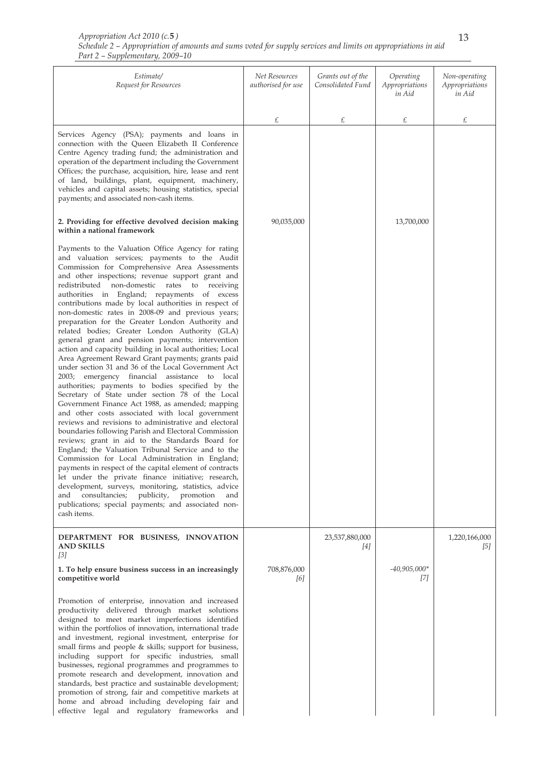| Estimate/<br>Request for Resources                                                                                                                                                                                                                                                                                                                                                                                                                                                                                                                                                                                                                                                                                                                                                                                                                                                                                                                                                                                                                                                                                                                                                                                                                                                                                                                                                                                                                                                                                                                                                                                  | Net Resources<br>authorised for use | Grants out of the<br>Consolidated Fund | Operating<br>Appropriations<br>in Aid | Non-operating<br>Appropriations<br>in Aid |
|---------------------------------------------------------------------------------------------------------------------------------------------------------------------------------------------------------------------------------------------------------------------------------------------------------------------------------------------------------------------------------------------------------------------------------------------------------------------------------------------------------------------------------------------------------------------------------------------------------------------------------------------------------------------------------------------------------------------------------------------------------------------------------------------------------------------------------------------------------------------------------------------------------------------------------------------------------------------------------------------------------------------------------------------------------------------------------------------------------------------------------------------------------------------------------------------------------------------------------------------------------------------------------------------------------------------------------------------------------------------------------------------------------------------------------------------------------------------------------------------------------------------------------------------------------------------------------------------------------------------|-------------------------------------|----------------------------------------|---------------------------------------|-------------------------------------------|
|                                                                                                                                                                                                                                                                                                                                                                                                                                                                                                                                                                                                                                                                                                                                                                                                                                                                                                                                                                                                                                                                                                                                                                                                                                                                                                                                                                                                                                                                                                                                                                                                                     | £                                   | £                                      | £                                     | £                                         |
| Services Agency (PSA); payments and loans in<br>connection with the Queen Elizabeth II Conference<br>Centre Agency trading fund; the administration and<br>operation of the department including the Government<br>Offices; the purchase, acquisition, hire, lease and rent<br>of land, buildings, plant, equipment, machinery,<br>vehicles and capital assets; housing statistics, special<br>payments; and associated non-cash items.                                                                                                                                                                                                                                                                                                                                                                                                                                                                                                                                                                                                                                                                                                                                                                                                                                                                                                                                                                                                                                                                                                                                                                             |                                     |                                        |                                       |                                           |
| 2. Providing for effective devolved decision making<br>within a national framework                                                                                                                                                                                                                                                                                                                                                                                                                                                                                                                                                                                                                                                                                                                                                                                                                                                                                                                                                                                                                                                                                                                                                                                                                                                                                                                                                                                                                                                                                                                                  | 90,035,000                          |                                        | 13,700,000                            |                                           |
| Payments to the Valuation Office Agency for rating<br>and valuation services; payments to the Audit<br>Commission for Comprehensive Area Assessments<br>and other inspections; revenue support grant and<br>redistributed non-domestic rates to receiving<br>authorities in England; repayments of excess<br>contributions made by local authorities in respect of<br>non-domestic rates in 2008-09 and previous years;<br>preparation for the Greater London Authority and<br>related bodies; Greater London Authority (GLA)<br>general grant and pension payments; intervention<br>action and capacity building in local authorities; Local<br>Area Agreement Reward Grant payments; grants paid<br>under section 31 and 36 of the Local Government Act<br>2003; emergency financial assistance to local<br>authorities; payments to bodies specified by the<br>Secretary of State under section 78 of the Local<br>Government Finance Act 1988, as amended; mapping<br>and other costs associated with local government<br>reviews and revisions to administrative and electoral<br>boundaries following Parish and Electoral Commission<br>reviews; grant in aid to the Standards Board for<br>England; the Valuation Tribunal Service and to the<br>Commission for Local Administration in England;<br>payments in respect of the capital element of contracts<br>let under the private finance initiative; research,<br>development, surveys, monitoring, statistics, advice<br>consultancies;<br>publicity,<br>promotion<br>and<br>and<br>publications; special payments; and associated non-<br>cash items. |                                     |                                        |                                       |                                           |
| DEPARTMENT FOR BUSINESS, INNOVATION<br><b>AND SKILLS</b><br>[3]                                                                                                                                                                                                                                                                                                                                                                                                                                                                                                                                                                                                                                                                                                                                                                                                                                                                                                                                                                                                                                                                                                                                                                                                                                                                                                                                                                                                                                                                                                                                                     |                                     | 23,537,880,000<br>[4]                  |                                       | 1,220,166,000<br>[5]                      |
| 1. To help ensure business success in an increasingly<br>competitive world                                                                                                                                                                                                                                                                                                                                                                                                                                                                                                                                                                                                                                                                                                                                                                                                                                                                                                                                                                                                                                                                                                                                                                                                                                                                                                                                                                                                                                                                                                                                          | 708,876,000<br>[6]                  |                                        | $-40,905,000*$<br>[7]                 |                                           |
| Promotion of enterprise, innovation and increased<br>productivity delivered through market solutions<br>designed to meet market imperfections identified<br>within the portfolios of innovation, international trade<br>and investment, regional investment, enterprise for<br>small firms and people & skills; support for business,<br>including support for specific industries, small<br>businesses, regional programmes and programmes to<br>promote research and development, innovation and<br>standards, best practice and sustainable development;<br>promotion of strong, fair and competitive markets at<br>home and abroad including developing fair and<br>effective legal and regulatory frameworks and                                                                                                                                                                                                                                                                                                                                                                                                                                                                                                                                                                                                                                                                                                                                                                                                                                                                                               |                                     |                                        |                                       |                                           |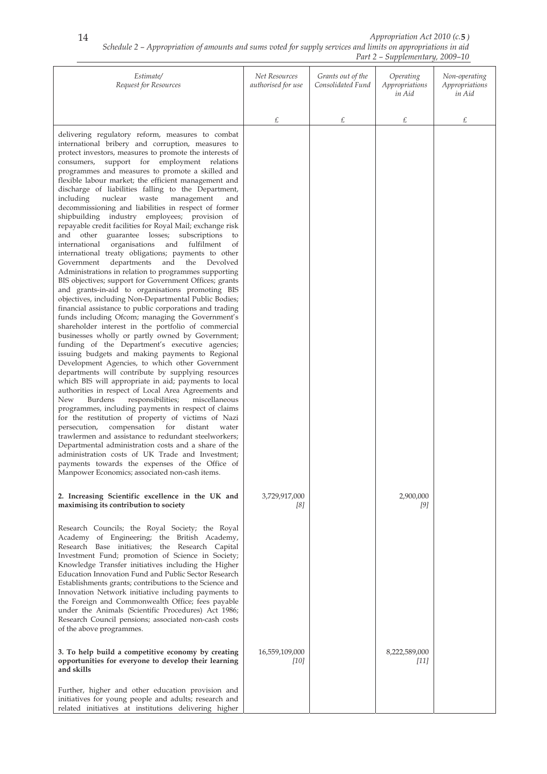|                                                                                                                                                                                                                                                                                                                                                                                                                                                                                                                                                                                                                                                                                                                                                                                                                                                                                                                                                                                                                                                                                                                                                                                                                                                                                                                                                                                                                                                                                                                                                                                                                                                                                                                                                                                                                                                                                                                                                                                                                                                                                                                              |                                     | $1$ ul $2$                             | $\omega$ <i>uppicmichumy, <math>\omega</math>000</i> 10 |                                           |
|------------------------------------------------------------------------------------------------------------------------------------------------------------------------------------------------------------------------------------------------------------------------------------------------------------------------------------------------------------------------------------------------------------------------------------------------------------------------------------------------------------------------------------------------------------------------------------------------------------------------------------------------------------------------------------------------------------------------------------------------------------------------------------------------------------------------------------------------------------------------------------------------------------------------------------------------------------------------------------------------------------------------------------------------------------------------------------------------------------------------------------------------------------------------------------------------------------------------------------------------------------------------------------------------------------------------------------------------------------------------------------------------------------------------------------------------------------------------------------------------------------------------------------------------------------------------------------------------------------------------------------------------------------------------------------------------------------------------------------------------------------------------------------------------------------------------------------------------------------------------------------------------------------------------------------------------------------------------------------------------------------------------------------------------------------------------------------------------------------------------------|-------------------------------------|----------------------------------------|---------------------------------------------------------|-------------------------------------------|
| Estimate/<br>Request for Resources                                                                                                                                                                                                                                                                                                                                                                                                                                                                                                                                                                                                                                                                                                                                                                                                                                                                                                                                                                                                                                                                                                                                                                                                                                                                                                                                                                                                                                                                                                                                                                                                                                                                                                                                                                                                                                                                                                                                                                                                                                                                                           | Net Resources<br>authorised for use | Grants out of the<br>Consolidated Fund | Operating<br>Appropriations<br>in Aid                   | Non-operating<br>Appropriations<br>in Aid |
|                                                                                                                                                                                                                                                                                                                                                                                                                                                                                                                                                                                                                                                                                                                                                                                                                                                                                                                                                                                                                                                                                                                                                                                                                                                                                                                                                                                                                                                                                                                                                                                                                                                                                                                                                                                                                                                                                                                                                                                                                                                                                                                              | £                                   | £                                      | £                                                       | £                                         |
| delivering regulatory reform, measures to combat<br>international bribery and corruption, measures to<br>protect investors, measures to promote the interests of<br>support for employment relations<br>consumers,<br>programmes and measures to promote a skilled and<br>flexible labour market; the efficient management and<br>discharge of liabilities falling to the Department,<br>including<br>nuclear<br>waste<br>management<br>and<br>decommissioning and liabilities in respect of former<br>shipbuilding industry employees; provision of<br>repayable credit facilities for Royal Mail; exchange risk<br>and other guarantee losses; subscriptions<br>to<br>and fulfilment<br>international<br>organisations<br>of<br>international treaty obligations; payments to other<br>departments and the Devolved<br>Government<br>Administrations in relation to programmes supporting<br>BIS objectives; support for Government Offices; grants<br>and grants-in-aid to organisations promoting BIS<br>objectives, including Non-Departmental Public Bodies;<br>financial assistance to public corporations and trading<br>funds including Ofcom; managing the Government's<br>shareholder interest in the portfolio of commercial<br>businesses wholly or partly owned by Government;<br>funding of the Department's executive agencies;<br>issuing budgets and making payments to Regional<br>Development Agencies, to which other Government<br>departments will contribute by supplying resources<br>which BIS will appropriate in aid; payments to local<br>authorities in respect of Local Area Agreements and<br>responsibilities;<br>miscellaneous<br>New<br>Burdens<br>programmes, including payments in respect of claims<br>for the restitution of property of victims of Nazi<br>compensation for<br>distant water<br>persecution,<br>trawlermen and assistance to redundant steelworkers;<br>Departmental administration costs and a share of the<br>administration costs of UK Trade and Investment;<br>payments towards the expenses of the Office of<br>Manpower Economics; associated non-cash items. |                                     |                                        |                                                         |                                           |
| 2. Increasing Scientific excellence in the UK and<br>maximising its contribution to society<br>Research Councils; the Royal Society; the Royal<br>Academy of Engineering; the British Academy,<br>Research Base initiatives; the Research Capital<br>Investment Fund; promotion of Science in Society;<br>Knowledge Transfer initiatives including the Higher<br>Education Innovation Fund and Public Sector Research<br>Establishments grants; contributions to the Science and<br>Innovation Network initiative including payments to<br>the Foreign and Commonwealth Office; fees payable<br>under the Animals (Scientific Procedures) Act 1986;<br>Research Council pensions; associated non-cash costs<br>of the above programmes.                                                                                                                                                                                                                                                                                                                                                                                                                                                                                                                                                                                                                                                                                                                                                                                                                                                                                                                                                                                                                                                                                                                                                                                                                                                                                                                                                                                      | 3,729,917,000<br>[8]                |                                        | 2,900,000<br>[9]                                        |                                           |
| 3. To help build a competitive economy by creating<br>opportunities for everyone to develop their learning<br>and skills<br>Further, higher and other education provision and<br>initiatives for young people and adults; research and<br>related initiatives at institutions delivering higher                                                                                                                                                                                                                                                                                                                                                                                                                                                                                                                                                                                                                                                                                                                                                                                                                                                                                                                                                                                                                                                                                                                                                                                                                                                                                                                                                                                                                                                                                                                                                                                                                                                                                                                                                                                                                              | 16,559,109,000<br>[10]              |                                        | 8,222,589,000<br>$[11]$                                 |                                           |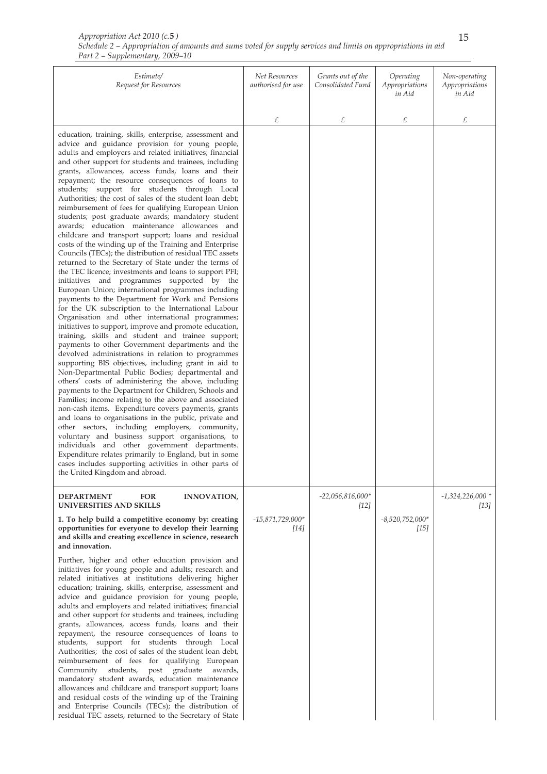| Appropriation Act 2010 (c.5)                                                                                 |  |
|--------------------------------------------------------------------------------------------------------------|--|
| Schedule 2 – Appropriation of amounts and sums voted for supply services and limits on appropriations in aid |  |
| Part 2 – Supplementary, 2009–10                                                                              |  |

| Estimate/<br>Request for Resources                                                                                                                                                                                                                                                                                                                                                                                                                                                                                                                                                                                                                                                                                                                                                                                                                                                                                                                                                                                                                                                                                                                                                                                                                                                                                                                                                                                                                                                                                                                                                                                                                                                                                                                                                                                                                                                                                                                                                                                                                                                                                            | Net Resources<br>authorised for use | Grants out of the<br>Consolidated Fund | Operating<br>Appropriations<br>in Aid | Non-operating<br>Appropriations<br>in Aid |
|-------------------------------------------------------------------------------------------------------------------------------------------------------------------------------------------------------------------------------------------------------------------------------------------------------------------------------------------------------------------------------------------------------------------------------------------------------------------------------------------------------------------------------------------------------------------------------------------------------------------------------------------------------------------------------------------------------------------------------------------------------------------------------------------------------------------------------------------------------------------------------------------------------------------------------------------------------------------------------------------------------------------------------------------------------------------------------------------------------------------------------------------------------------------------------------------------------------------------------------------------------------------------------------------------------------------------------------------------------------------------------------------------------------------------------------------------------------------------------------------------------------------------------------------------------------------------------------------------------------------------------------------------------------------------------------------------------------------------------------------------------------------------------------------------------------------------------------------------------------------------------------------------------------------------------------------------------------------------------------------------------------------------------------------------------------------------------------------------------------------------------|-------------------------------------|----------------------------------------|---------------------------------------|-------------------------------------------|
|                                                                                                                                                                                                                                                                                                                                                                                                                                                                                                                                                                                                                                                                                                                                                                                                                                                                                                                                                                                                                                                                                                                                                                                                                                                                                                                                                                                                                                                                                                                                                                                                                                                                                                                                                                                                                                                                                                                                                                                                                                                                                                                               | £                                   | £                                      | £                                     | £                                         |
| education, training, skills, enterprise, assessment and<br>advice and guidance provision for young people,<br>adults and employers and related initiatives; financial<br>and other support for students and trainees, including<br>grants, allowances, access funds, loans and their<br>repayment; the resource consequences of loans to<br>students; support for students through Local<br>Authorities; the cost of sales of the student loan debt;<br>reimbursement of fees for qualifying European Union<br>students; post graduate awards; mandatory student<br>awards; education maintenance allowances and<br>childcare and transport support; loans and residual<br>costs of the winding up of the Training and Enterprise<br>Councils (TECs); the distribution of residual TEC assets<br>returned to the Secretary of State under the terms of<br>the TEC licence; investments and loans to support PFI;<br>initiatives and programmes supported by the<br>European Union; international programmes including<br>payments to the Department for Work and Pensions<br>for the UK subscription to the International Labour<br>Organisation and other international programmes;<br>initiatives to support, improve and promote education,<br>training, skills and student and trainee support;<br>payments to other Government departments and the<br>devolved administrations in relation to programmes<br>supporting BIS objectives, including grant in aid to<br>Non-Departmental Public Bodies; departmental and<br>others' costs of administering the above, including<br>payments to the Department for Children, Schools and<br>Families; income relating to the above and associated<br>non-cash items. Expenditure covers payments, grants<br>and loans to organisations in the public, private and<br>other sectors, including employers, community,<br>voluntary and business support organisations, to<br>individuals and other government departments.<br>Expenditure relates primarily to England, but in some<br>cases includes supporting activities in other parts of<br>the United Kingdom and abroad. |                                     |                                        |                                       |                                           |
| <b>DEPARTMENT</b><br><b>FOR</b><br><b>INNOVATION,</b><br>UNIVERSITIES AND SKILLS                                                                                                                                                                                                                                                                                                                                                                                                                                                                                                                                                                                                                                                                                                                                                                                                                                                                                                                                                                                                                                                                                                                                                                                                                                                                                                                                                                                                                                                                                                                                                                                                                                                                                                                                                                                                                                                                                                                                                                                                                                              |                                     | $-22,056,816,000*$<br>$[12]$           |                                       | $-1,324,226,000*$<br>[13]                 |
| 1. To help build a competitive economy by: creating<br>opportunities for everyone to develop their learning<br>and skills and creating excellence in science, research<br>and innovation.<br>Further, higher and other education provision and<br>initiatives for young people and adults; research and<br>related initiatives at institutions delivering higher<br>education; training, skills, enterprise, assessment and<br>advice and guidance provision for young people,<br>adults and employers and related initiatives; financial<br>and other support for students and trainees, including<br>grants, allowances, access funds, loans and their<br>repayment, the resource consequences of loans to<br>students, support for students through Local<br>Authorities; the cost of sales of the student loan debt,<br>reimbursement of fees for qualifying European<br>Community students,<br>graduate<br>awards,<br>post<br>mandatory student awards, education maintenance<br>allowances and childcare and transport support; loans<br>and residual costs of the winding up of the Training<br>and Enterprise Councils (TECs); the distribution of                                                                                                                                                                                                                                                                                                                                                                                                                                                                                                                                                                                                                                                                                                                                                                                                                                                                                                                                                                    | $-15,871,729,000*$<br>[14]          |                                        | $-8,520,752,000*$<br>$[15]$           |                                           |
| residual TEC assets, returned to the Secretary of State                                                                                                                                                                                                                                                                                                                                                                                                                                                                                                                                                                                                                                                                                                                                                                                                                                                                                                                                                                                                                                                                                                                                                                                                                                                                                                                                                                                                                                                                                                                                                                                                                                                                                                                                                                                                                                                                                                                                                                                                                                                                       |                                     |                                        |                                       |                                           |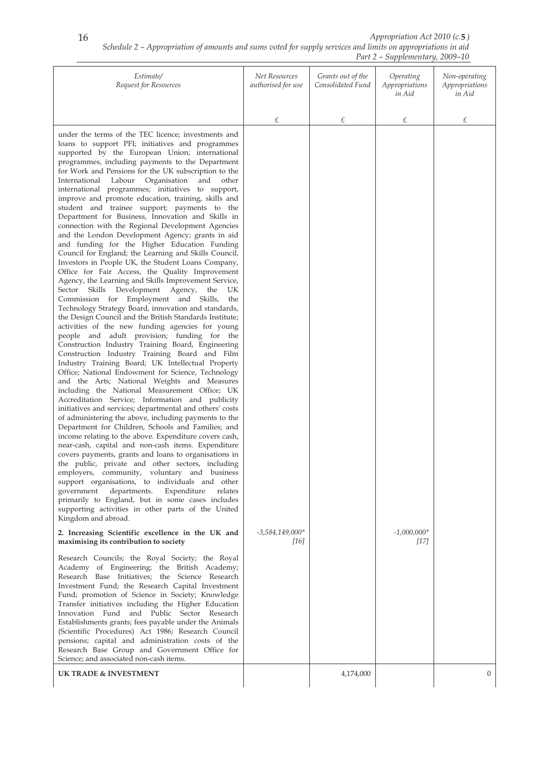*Schedule 2 – Appropriation of amounts and sums voted for supply services and limits on appropriations in aid Part 2 – Supplementary, 2009–10 Appropriation Act 2010 (c.* **5** *)*

| Estimate/<br>Request for Resources                                                                                                                                                                                                                                                                                                                                                                                                                                                                                                                                                                                                                                                                                                                                                                                                                                                                                                                                                                                                                                                                                                                                                                                                                                                                                                                                                                                                                                                                                                                                                                                                                                                                                                                                                                                                                                                                                                                                                                                                                                                                                                                                                                                                                                                                                                                                                                                                                                                                                                                                                      | Net Resources<br>authorised for use | Grants out of the<br>Consolidated Fund | Operating<br>Appropriations<br>in Aid | Non-operating<br>Appropriations<br>in Aid |
|-----------------------------------------------------------------------------------------------------------------------------------------------------------------------------------------------------------------------------------------------------------------------------------------------------------------------------------------------------------------------------------------------------------------------------------------------------------------------------------------------------------------------------------------------------------------------------------------------------------------------------------------------------------------------------------------------------------------------------------------------------------------------------------------------------------------------------------------------------------------------------------------------------------------------------------------------------------------------------------------------------------------------------------------------------------------------------------------------------------------------------------------------------------------------------------------------------------------------------------------------------------------------------------------------------------------------------------------------------------------------------------------------------------------------------------------------------------------------------------------------------------------------------------------------------------------------------------------------------------------------------------------------------------------------------------------------------------------------------------------------------------------------------------------------------------------------------------------------------------------------------------------------------------------------------------------------------------------------------------------------------------------------------------------------------------------------------------------------------------------------------------------------------------------------------------------------------------------------------------------------------------------------------------------------------------------------------------------------------------------------------------------------------------------------------------------------------------------------------------------------------------------------------------------------------------------------------------------|-------------------------------------|----------------------------------------|---------------------------------------|-------------------------------------------|
|                                                                                                                                                                                                                                                                                                                                                                                                                                                                                                                                                                                                                                                                                                                                                                                                                                                                                                                                                                                                                                                                                                                                                                                                                                                                                                                                                                                                                                                                                                                                                                                                                                                                                                                                                                                                                                                                                                                                                                                                                                                                                                                                                                                                                                                                                                                                                                                                                                                                                                                                                                                         | £                                   | £                                      | £                                     | £                                         |
| under the terms of the TEC licence; investments and<br>loans to support PFI; initiatives and programmes<br>supported by the European Union; international<br>programmes, including payments to the Department<br>for Work and Pensions for the UK subscription to the<br>Organisation<br>and<br>International Labour<br>other<br>international programmes; initiatives to support,<br>improve and promote education, training, skills and<br>student and trainee support; payments to the<br>Department for Business, Innovation and Skills in<br>connection with the Regional Development Agencies<br>and the London Development Agency; grants in aid<br>and funding for the Higher Education Funding<br>Council for England; the Learning and Skills Council,<br>Investors in People UK, the Student Loans Company,<br>Office for Fair Access, the Quality Improvement<br>Agency, the Learning and Skills Improvement Service,<br>Skills Development Agency, the<br>Sector<br>UK<br>Commission for Employment and Skills,<br>the<br>Technology Strategy Board, innovation and standards,<br>the Design Council and the British Standards Institute;<br>activities of the new funding agencies for young<br>people and adult provision; funding for the<br>Construction Industry Training Board, Engineering<br>Construction Industry Training Board and Film<br>Industry Training Board; UK Intellectual Property<br>Office; National Endowment for Science, Technology<br>and the Arts; National Weights and Measures<br>including the National Measurement Office; UK<br>Accreditation Service; Information and publicity<br>initiatives and services; departmental and others' costs<br>of administering the above, including payments to the<br>Department for Children, Schools and Families; and<br>income relating to the above. Expenditure covers cash,<br>near-cash, capital and non-cash items. Expenditure<br>covers payments, grants and loans to organisations in<br>the public, private and other sectors, including<br>employers, community, voluntary and business<br>support organisations, to individuals and other<br>government<br>departments.<br>Expenditure<br>relates<br>primarily to England, but in some cases includes<br>supporting activities in other parts of the United<br>Kingdom and abroad.<br>2. Increasing Scientific excellence in the UK and<br>maximising its contribution to society<br>Research Councils; the Royal Society; the Royal<br>Academy of Engineering; the British Academy;<br>Research Base Initiatives; the Science Research | $-3,584,149,000*$<br>[16]           |                                        | $-1,000,000^{*}$<br>$[17]$            |                                           |
| Investment Fund; the Research Capital Investment<br>Fund; promotion of Science in Society; Knowledge<br>Transfer initiatives including the Higher Education<br>Innovation Fund and Public Sector Research<br>Establishments grants; fees payable under the Animals<br>(Scientific Procedures) Act 1986; Research Council<br>pensions; capital and administration costs of the<br>Research Base Group and Government Office for<br>Science; and associated non-cash items.                                                                                                                                                                                                                                                                                                                                                                                                                                                                                                                                                                                                                                                                                                                                                                                                                                                                                                                                                                                                                                                                                                                                                                                                                                                                                                                                                                                                                                                                                                                                                                                                                                                                                                                                                                                                                                                                                                                                                                                                                                                                                                               |                                     |                                        |                                       |                                           |
| <b>UK TRADE &amp; INVESTMENT</b>                                                                                                                                                                                                                                                                                                                                                                                                                                                                                                                                                                                                                                                                                                                                                                                                                                                                                                                                                                                                                                                                                                                                                                                                                                                                                                                                                                                                                                                                                                                                                                                                                                                                                                                                                                                                                                                                                                                                                                                                                                                                                                                                                                                                                                                                                                                                                                                                                                                                                                                                                        |                                     | 4,174,000                              |                                       | $\boldsymbol{0}$                          |
|                                                                                                                                                                                                                                                                                                                                                                                                                                                                                                                                                                                                                                                                                                                                                                                                                                                                                                                                                                                                                                                                                                                                                                                                                                                                                                                                                                                                                                                                                                                                                                                                                                                                                                                                                                                                                                                                                                                                                                                                                                                                                                                                                                                                                                                                                                                                                                                                                                                                                                                                                                                         |                                     |                                        |                                       |                                           |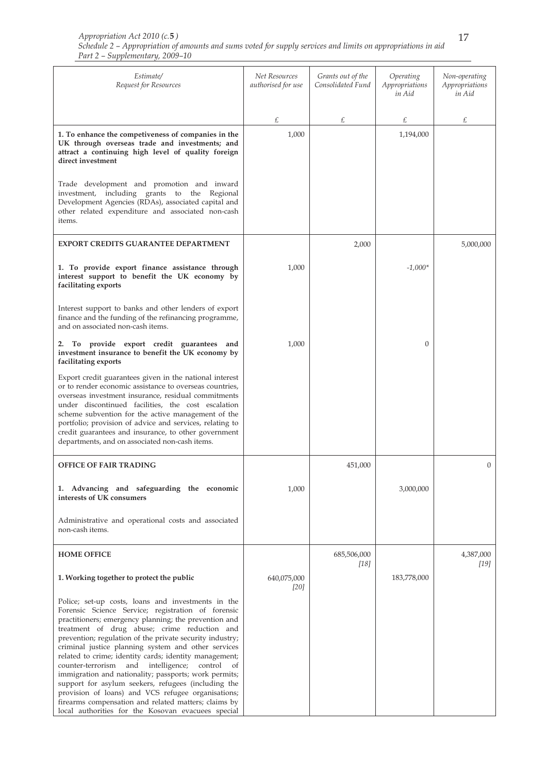| Estimate/<br>Request for Resources                                                                                                                                                                                                                                                                                                                                                                                                                                                                                                                                                                                                                                                                                                               | Net Resources<br>authorised for use | Grants out of the<br>Consolidated Fund | Operating<br>Appropriations<br>in Aid | Non-operating<br>Appropriations<br>in Aid |
|--------------------------------------------------------------------------------------------------------------------------------------------------------------------------------------------------------------------------------------------------------------------------------------------------------------------------------------------------------------------------------------------------------------------------------------------------------------------------------------------------------------------------------------------------------------------------------------------------------------------------------------------------------------------------------------------------------------------------------------------------|-------------------------------------|----------------------------------------|---------------------------------------|-------------------------------------------|
|                                                                                                                                                                                                                                                                                                                                                                                                                                                                                                                                                                                                                                                                                                                                                  | £                                   | £                                      | £                                     | £                                         |
| 1. To enhance the competiveness of companies in the<br>UK through overseas trade and investments; and<br>attract a continuing high level of quality foreign<br>direct investment                                                                                                                                                                                                                                                                                                                                                                                                                                                                                                                                                                 | 1,000                               |                                        | 1,194,000                             |                                           |
| Trade development and promotion and inward<br>investment, including grants to the Regional<br>Development Agencies (RDAs), associated capital and<br>other related expenditure and associated non-cash<br>items.                                                                                                                                                                                                                                                                                                                                                                                                                                                                                                                                 |                                     |                                        |                                       |                                           |
| <b>EXPORT CREDITS GUARANTEE DEPARTMENT</b>                                                                                                                                                                                                                                                                                                                                                                                                                                                                                                                                                                                                                                                                                                       |                                     | 2,000                                  |                                       | 5,000,000                                 |
| 1. To provide export finance assistance through<br>interest support to benefit the UK economy by<br>facilitating exports                                                                                                                                                                                                                                                                                                                                                                                                                                                                                                                                                                                                                         | 1,000                               |                                        | $-1,000*$                             |                                           |
| Interest support to banks and other lenders of export<br>finance and the funding of the refinancing programme,<br>and on associated non-cash items.                                                                                                                                                                                                                                                                                                                                                                                                                                                                                                                                                                                              |                                     |                                        |                                       |                                           |
| 2. To provide export credit guarantees and<br>investment insurance to benefit the UK economy by<br>facilitating exports                                                                                                                                                                                                                                                                                                                                                                                                                                                                                                                                                                                                                          | 1,000                               |                                        | 0                                     |                                           |
| Export credit guarantees given in the national interest<br>or to render economic assistance to overseas countries,<br>overseas investment insurance, residual commitments<br>under discontinued facilities, the cost escalation<br>scheme subvention for the active management of the<br>portfolio; provision of advice and services, relating to<br>credit guarantees and insurance, to other government<br>departments, and on associated non-cash items.                                                                                                                                                                                                                                                                                      |                                     |                                        |                                       |                                           |
| <b>OFFICE OF FAIR TRADING</b>                                                                                                                                                                                                                                                                                                                                                                                                                                                                                                                                                                                                                                                                                                                    |                                     | 451,000                                |                                       | 0                                         |
| 1. Advancing and safeguarding the economic<br>interests of UK consumers                                                                                                                                                                                                                                                                                                                                                                                                                                                                                                                                                                                                                                                                          | 1,000                               |                                        | 3,000,000                             |                                           |
| Administrative and operational costs and associated<br>non-cash items.                                                                                                                                                                                                                                                                                                                                                                                                                                                                                                                                                                                                                                                                           |                                     |                                        |                                       |                                           |
| <b>HOME OFFICE</b>                                                                                                                                                                                                                                                                                                                                                                                                                                                                                                                                                                                                                                                                                                                               |                                     | 685,506,000<br>$[18]$                  |                                       | 4,387,000<br>$[19]$                       |
| 1. Working together to protect the public                                                                                                                                                                                                                                                                                                                                                                                                                                                                                                                                                                                                                                                                                                        | 640,075,000<br>[20]                 |                                        | 183,778,000                           |                                           |
| Police; set-up costs, loans and investments in the<br>Forensic Science Service; registration of forensic<br>practitioners; emergency planning; the prevention and<br>treatment of drug abuse; crime reduction and<br>prevention; regulation of the private security industry;<br>criminal justice planning system and other services<br>related to crime; identity cards; identity management;<br>counter-terrorism<br>and<br>intelligence;<br>control<br>of<br>immigration and nationality; passports; work permits;<br>support for asylum seekers, refugees (including the<br>provision of loans) and VCS refugee organisations;<br>firearms compensation and related matters; claims by<br>local authorities for the Kosovan evacuees special |                                     |                                        |                                       |                                           |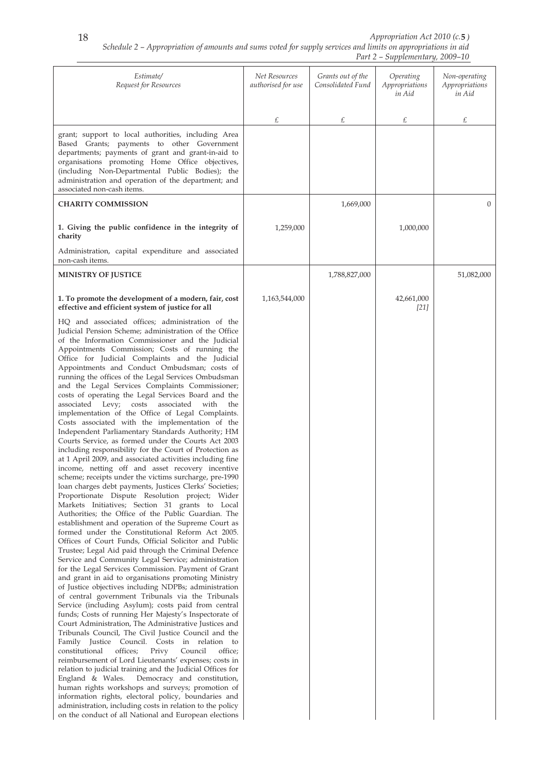| Estimate/<br>Request for Resources                                                                                                                                                                                                                                                                                                                                                                                                                                                                                                                                                                                                                                                                                                                                                                                                                                                                                                                                                                                                                                                                                                                                                                                                                                                                                                                                                                                                                                                                                                                                                                                                                                                                                                                                                                                                                                                                                                                                                                                                                                                                                                                                                                                                                                                                                                                                                                                                                                                                    | Net Resources<br>authorised for use | Grants out of the<br>Consolidated Fund | Operating<br>Appropriations<br>in Aid | Non-operating<br>Appropriations<br>in Aid |
|-------------------------------------------------------------------------------------------------------------------------------------------------------------------------------------------------------------------------------------------------------------------------------------------------------------------------------------------------------------------------------------------------------------------------------------------------------------------------------------------------------------------------------------------------------------------------------------------------------------------------------------------------------------------------------------------------------------------------------------------------------------------------------------------------------------------------------------------------------------------------------------------------------------------------------------------------------------------------------------------------------------------------------------------------------------------------------------------------------------------------------------------------------------------------------------------------------------------------------------------------------------------------------------------------------------------------------------------------------------------------------------------------------------------------------------------------------------------------------------------------------------------------------------------------------------------------------------------------------------------------------------------------------------------------------------------------------------------------------------------------------------------------------------------------------------------------------------------------------------------------------------------------------------------------------------------------------------------------------------------------------------------------------------------------------------------------------------------------------------------------------------------------------------------------------------------------------------------------------------------------------------------------------------------------------------------------------------------------------------------------------------------------------------------------------------------------------------------------------------------------------|-------------------------------------|----------------------------------------|---------------------------------------|-------------------------------------------|
|                                                                                                                                                                                                                                                                                                                                                                                                                                                                                                                                                                                                                                                                                                                                                                                                                                                                                                                                                                                                                                                                                                                                                                                                                                                                                                                                                                                                                                                                                                                                                                                                                                                                                                                                                                                                                                                                                                                                                                                                                                                                                                                                                                                                                                                                                                                                                                                                                                                                                                       | £                                   | £                                      | £                                     | £                                         |
| grant; support to local authorities, including Area<br>Based Grants; payments to other Government<br>departments; payments of grant and grant-in-aid to<br>organisations promoting Home Office objectives,<br>(including Non-Departmental Public Bodies); the<br>administration and operation of the department; and<br>associated non-cash items.                                                                                                                                                                                                                                                                                                                                                                                                                                                                                                                                                                                                                                                                                                                                                                                                                                                                                                                                                                                                                                                                                                                                                                                                                                                                                                                                                                                                                                                                                                                                                                                                                                                                                                                                                                                                                                                                                                                                                                                                                                                                                                                                                    |                                     |                                        |                                       |                                           |
| <b>CHARITY COMMISSION</b>                                                                                                                                                                                                                                                                                                                                                                                                                                                                                                                                                                                                                                                                                                                                                                                                                                                                                                                                                                                                                                                                                                                                                                                                                                                                                                                                                                                                                                                                                                                                                                                                                                                                                                                                                                                                                                                                                                                                                                                                                                                                                                                                                                                                                                                                                                                                                                                                                                                                             |                                     | 1,669,000                              |                                       | $\mathbf{0}$                              |
| 1. Giving the public confidence in the integrity of<br>charity                                                                                                                                                                                                                                                                                                                                                                                                                                                                                                                                                                                                                                                                                                                                                                                                                                                                                                                                                                                                                                                                                                                                                                                                                                                                                                                                                                                                                                                                                                                                                                                                                                                                                                                                                                                                                                                                                                                                                                                                                                                                                                                                                                                                                                                                                                                                                                                                                                        | 1,259,000                           |                                        | 1,000,000                             |                                           |
| Administration, capital expenditure and associated<br>non-cash items.                                                                                                                                                                                                                                                                                                                                                                                                                                                                                                                                                                                                                                                                                                                                                                                                                                                                                                                                                                                                                                                                                                                                                                                                                                                                                                                                                                                                                                                                                                                                                                                                                                                                                                                                                                                                                                                                                                                                                                                                                                                                                                                                                                                                                                                                                                                                                                                                                                 |                                     |                                        |                                       |                                           |
| <b>MINISTRY OF JUSTICE</b>                                                                                                                                                                                                                                                                                                                                                                                                                                                                                                                                                                                                                                                                                                                                                                                                                                                                                                                                                                                                                                                                                                                                                                                                                                                                                                                                                                                                                                                                                                                                                                                                                                                                                                                                                                                                                                                                                                                                                                                                                                                                                                                                                                                                                                                                                                                                                                                                                                                                            |                                     | 1,788,827,000                          |                                       | 51,082,000                                |
| 1. To promote the development of a modern, fair, cost<br>effective and efficient system of justice for all                                                                                                                                                                                                                                                                                                                                                                                                                                                                                                                                                                                                                                                                                                                                                                                                                                                                                                                                                                                                                                                                                                                                                                                                                                                                                                                                                                                                                                                                                                                                                                                                                                                                                                                                                                                                                                                                                                                                                                                                                                                                                                                                                                                                                                                                                                                                                                                            | 1,163,544,000                       |                                        | 42,661,000<br>$[21]$                  |                                           |
| HQ and associated offices; administration of the<br>Judicial Pension Scheme; administration of the Office<br>of the Information Commissioner and the Judicial<br>Appointments Commission; Costs of running the<br>Office for Judicial Complaints and the Judicial<br>Appointments and Conduct Ombudsman; costs of<br>running the offices of the Legal Services Ombudsman<br>and the Legal Services Complaints Commissioner;<br>costs of operating the Legal Services Board and the<br>associated Levy; costs<br>associated<br>with<br>the<br>implementation of the Office of Legal Complaints.<br>Costs associated with the implementation of the<br>Independent Parliamentary Standards Authority; HM<br>Courts Service, as formed under the Courts Act 2003<br>including responsibility for the Court of Protection as<br>at 1 April 2009, and associated activities including fine<br>income, netting off and asset recovery incentive<br>scheme; receipts under the victims surcharge, pre-1990<br>loan charges debt payments, Justices Clerks' Societies;<br>Proportionate Dispute Resolution project; Wider<br>Markets Initiatives; Section 31 grants to Local<br>Authorities; the Office of the Public Guardian. The<br>establishment and operation of the Supreme Court as<br>formed under the Constitutional Reform Act 2005.<br>Offices of Court Funds, Official Solicitor and Public<br>Trustee; Legal Aid paid through the Criminal Defence<br>Service and Community Legal Service; administration<br>for the Legal Services Commission. Payment of Grant<br>and grant in aid to organisations promoting Ministry<br>of Justice objectives including NDPBs; administration<br>of central government Tribunals via the Tribunals<br>Service (including Asylum); costs paid from central<br>funds; Costs of running Her Majesty's Inspectorate of<br>Court Administration, The Administrative Justices and<br>Tribunals Council, The Civil Justice Council and the<br>Family Justice Council. Costs in relation to<br>constitutional<br>offices;<br>Council<br>Privy<br>office;<br>reimbursement of Lord Lieutenants' expenses; costs in<br>relation to judicial training and the Judicial Offices for<br>Democracy and constitution,<br>England & Wales.<br>human rights workshops and surveys; promotion of<br>information rights, electoral policy, boundaries and<br>administration, including costs in relation to the policy<br>on the conduct of all National and European elections |                                     |                                        |                                       |                                           |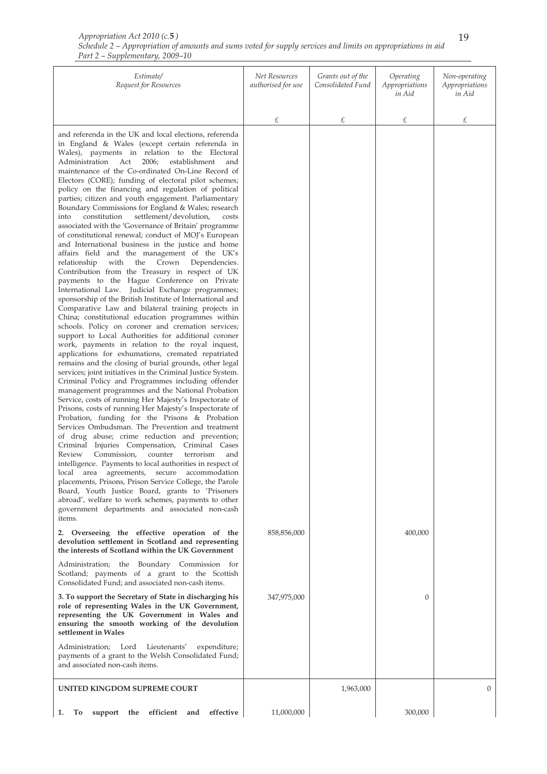| Appropriation Act 2010 (c.5)                                                                                 |  |
|--------------------------------------------------------------------------------------------------------------|--|
| Schedule 2 – Appropriation of amounts and sums voted for supply services and limits on appropriations in aid |  |
| Part 2 – Supplementary, 2009–10                                                                              |  |

| Estimate/<br>Request for Resources                                                                                                                                                                                                                                                                                                                                                                                                                                                                                                                                                                                                                                                                                                                                                                                                                                                                                                                                                                                                                                                                                                                                                                                                                                                                                                                                                                                                                                                                                                                                                                                                                                                                                                                                                                                                                                                                                                                                                                                                                                                                                                                                                                                                                                                                                                                                          | Net Resources<br>authorised for use | Grants out of the<br>Consolidated Fund | Operating<br>Appropriations<br>in Aid | Non-operating<br>Appropriations<br>in Aid |
|-----------------------------------------------------------------------------------------------------------------------------------------------------------------------------------------------------------------------------------------------------------------------------------------------------------------------------------------------------------------------------------------------------------------------------------------------------------------------------------------------------------------------------------------------------------------------------------------------------------------------------------------------------------------------------------------------------------------------------------------------------------------------------------------------------------------------------------------------------------------------------------------------------------------------------------------------------------------------------------------------------------------------------------------------------------------------------------------------------------------------------------------------------------------------------------------------------------------------------------------------------------------------------------------------------------------------------------------------------------------------------------------------------------------------------------------------------------------------------------------------------------------------------------------------------------------------------------------------------------------------------------------------------------------------------------------------------------------------------------------------------------------------------------------------------------------------------------------------------------------------------------------------------------------------------------------------------------------------------------------------------------------------------------------------------------------------------------------------------------------------------------------------------------------------------------------------------------------------------------------------------------------------------------------------------------------------------------------------------------------------------|-------------------------------------|----------------------------------------|---------------------------------------|-------------------------------------------|
|                                                                                                                                                                                                                                                                                                                                                                                                                                                                                                                                                                                                                                                                                                                                                                                                                                                                                                                                                                                                                                                                                                                                                                                                                                                                                                                                                                                                                                                                                                                                                                                                                                                                                                                                                                                                                                                                                                                                                                                                                                                                                                                                                                                                                                                                                                                                                                             | £                                   | £                                      | £                                     | £                                         |
| and referenda in the UK and local elections, referenda<br>in England & Wales (except certain referenda in<br>Wales), payments in relation to the Electoral<br>2006;<br>Administration Act<br>establishment<br>and<br>maintenance of the Co-ordinated On-Line Record of<br>Electors (CORE); funding of electoral pilot schemes;<br>policy on the financing and regulation of political<br>parties; citizen and youth engagement. Parliamentary<br>Boundary Commissions for England & Wales; research<br>settlement/devolution,<br>costs<br>into<br>constitution<br>associated with the 'Governance of Britain' programme<br>of constitutional renewal; conduct of MOJ's European<br>and International business in the justice and home<br>affairs field and the management of the UK's<br>Crown<br>with<br>the<br>Dependencies.<br>relationship<br>Contribution from the Treasury in respect of UK<br>payments to the Hague Conference on Private<br>International Law. Judicial Exchange programmes;<br>sponsorship of the British Institute of International and<br>Comparative Law and bilateral training projects in<br>China; constitutional education programmes within<br>schools. Policy on coroner and cremation services;<br>support to Local Authorities for additional coroner<br>work, payments in relation to the royal inquest,<br>applications for exhumations, cremated repatriated<br>remains and the closing of burial grounds, other legal<br>services; joint initiatives in the Criminal Justice System.<br>Criminal Policy and Programmes including offender<br>management programmes and the National Probation<br>Service, costs of running Her Majesty's Inspectorate of<br>Prisons, costs of running Her Majesty's Inspectorate of<br>Probation, funding for the Prisons & Probation<br>Services Ombudsman. The Prevention and treatment<br>of drug abuse; crime reduction and prevention;<br>Criminal Injuries Compensation, Criminal Cases<br>Commission, counter<br>Review<br>terrorism<br>and<br>intelligence. Payments to local authorities in respect of<br>local<br>area agreements, secure accommodation<br>placements, Prisons, Prison Service College, the Parole<br>Board, Youth Justice Board, grants to 'Prisoners<br>abroad', welfare to work schemes, payments to other<br>government departments and associated non-cash<br>items. |                                     |                                        |                                       |                                           |
| 2. Overseeing the effective operation of the<br>devolution settlement in Scotland and representing<br>the interests of Scotland within the UK Government                                                                                                                                                                                                                                                                                                                                                                                                                                                                                                                                                                                                                                                                                                                                                                                                                                                                                                                                                                                                                                                                                                                                                                                                                                                                                                                                                                                                                                                                                                                                                                                                                                                                                                                                                                                                                                                                                                                                                                                                                                                                                                                                                                                                                    | 858,856,000                         |                                        | 400,000                               |                                           |
| Administration; the Boundary Commission for<br>Scotland; payments of a grant to the Scottish<br>Consolidated Fund; and associated non-cash items.                                                                                                                                                                                                                                                                                                                                                                                                                                                                                                                                                                                                                                                                                                                                                                                                                                                                                                                                                                                                                                                                                                                                                                                                                                                                                                                                                                                                                                                                                                                                                                                                                                                                                                                                                                                                                                                                                                                                                                                                                                                                                                                                                                                                                           |                                     |                                        |                                       |                                           |
| 3. To support the Secretary of State in discharging his<br>role of representing Wales in the UK Government,<br>representing the UK Government in Wales and<br>ensuring the smooth working of the devolution<br>settlement in Wales                                                                                                                                                                                                                                                                                                                                                                                                                                                                                                                                                                                                                                                                                                                                                                                                                                                                                                                                                                                                                                                                                                                                                                                                                                                                                                                                                                                                                                                                                                                                                                                                                                                                                                                                                                                                                                                                                                                                                                                                                                                                                                                                          | 347,975,000                         |                                        | $\overline{0}$                        |                                           |
| Administration; Lord Lieutenants'<br>expenditure;<br>payments of a grant to the Welsh Consolidated Fund;<br>and associated non-cash items.                                                                                                                                                                                                                                                                                                                                                                                                                                                                                                                                                                                                                                                                                                                                                                                                                                                                                                                                                                                                                                                                                                                                                                                                                                                                                                                                                                                                                                                                                                                                                                                                                                                                                                                                                                                                                                                                                                                                                                                                                                                                                                                                                                                                                                  |                                     |                                        |                                       |                                           |
| UNITED KINGDOM SUPREME COURT                                                                                                                                                                                                                                                                                                                                                                                                                                                                                                                                                                                                                                                                                                                                                                                                                                                                                                                                                                                                                                                                                                                                                                                                                                                                                                                                                                                                                                                                                                                                                                                                                                                                                                                                                                                                                                                                                                                                                                                                                                                                                                                                                                                                                                                                                                                                                |                                     | 1,963,000                              |                                       | $\Omega$                                  |
| To<br>the<br>efficient<br>effective<br>1.<br>support<br>and                                                                                                                                                                                                                                                                                                                                                                                                                                                                                                                                                                                                                                                                                                                                                                                                                                                                                                                                                                                                                                                                                                                                                                                                                                                                                                                                                                                                                                                                                                                                                                                                                                                                                                                                                                                                                                                                                                                                                                                                                                                                                                                                                                                                                                                                                                                 | 11,000,000                          |                                        | 300,000                               |                                           |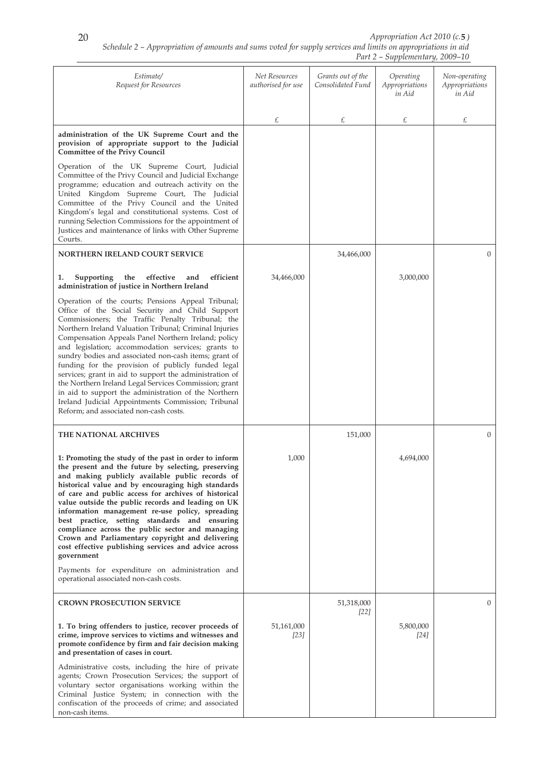| Estimate/<br>Request for Resources                                                                                                                                                                                                                                                                                                                                                                                                                                                                                                                                                                                                                                                                                          | Net Resources<br>authorised for use | Grants out of the<br>Consolidated Fund | Operating<br>Appropriations<br>in Aid | Non-operating<br>Appropriations<br>in Aid |
|-----------------------------------------------------------------------------------------------------------------------------------------------------------------------------------------------------------------------------------------------------------------------------------------------------------------------------------------------------------------------------------------------------------------------------------------------------------------------------------------------------------------------------------------------------------------------------------------------------------------------------------------------------------------------------------------------------------------------------|-------------------------------------|----------------------------------------|---------------------------------------|-------------------------------------------|
|                                                                                                                                                                                                                                                                                                                                                                                                                                                                                                                                                                                                                                                                                                                             | £                                   | £                                      | £                                     | £                                         |
| administration of the UK Supreme Court and the<br>provision of appropriate support to the Judicial<br><b>Committee of the Privy Council</b>                                                                                                                                                                                                                                                                                                                                                                                                                                                                                                                                                                                 |                                     |                                        |                                       |                                           |
| Operation of the UK Supreme Court, Judicial<br>Committee of the Privy Council and Judicial Exchange<br>programme; education and outreach activity on the<br>United Kingdom Supreme Court, The Judicial<br>Committee of the Privy Council and the United<br>Kingdom's legal and constitutional systems. Cost of<br>running Selection Commissions for the appointment of<br>Justices and maintenance of links with Other Supreme<br>Courts.                                                                                                                                                                                                                                                                                   |                                     |                                        |                                       |                                           |
| <b>NORTHERN IRELAND COURT SERVICE</b>                                                                                                                                                                                                                                                                                                                                                                                                                                                                                                                                                                                                                                                                                       |                                     | 34,466,000                             |                                       | $\Omega$                                  |
| efficient<br>effective<br>Supporting<br>the<br>1.<br>and<br>administration of justice in Northern Ireland                                                                                                                                                                                                                                                                                                                                                                                                                                                                                                                                                                                                                   | 34,466,000                          |                                        | 3,000,000                             |                                           |
| Operation of the courts; Pensions Appeal Tribunal;<br>Office of the Social Security and Child Support<br>Commissioners; the Traffic Penalty Tribunal; the<br>Northern Ireland Valuation Tribunal; Criminal Injuries<br>Compensation Appeals Panel Northern Ireland; policy<br>and legislation; accommodation services; grants to<br>sundry bodies and associated non-cash items; grant of<br>funding for the provision of publicly funded legal<br>services; grant in aid to support the administration of<br>the Northern Ireland Legal Services Commission; grant<br>in aid to support the administration of the Northern<br>Ireland Judicial Appointments Commission; Tribunal<br>Reform; and associated non-cash costs. |                                     |                                        |                                       |                                           |
| <b>THE NATIONAL ARCHIVES</b>                                                                                                                                                                                                                                                                                                                                                                                                                                                                                                                                                                                                                                                                                                |                                     | 151,000                                |                                       | $\overline{0}$                            |
| 1: Promoting the study of the past in order to inform<br>the present and the future by selecting, preserving<br>and making publicly available public records of<br>historical value and by encouraging high standards<br>of care and public access for archives of historical<br>value outside the public records and leading on UK<br>information management re-use policy, spreading<br>best practice, setting standards and ensuring<br>compliance across the public sector and managing<br>Crown and Parliamentary copyright and delivering<br>cost effective publishing services and advice across<br>government<br>Payments for expenditure on administration and<br>operational associated non-cash costs.           | 1,000                               |                                        | 4,694,000                             |                                           |
| <b>CROWN PROSECUTION SERVICE</b>                                                                                                                                                                                                                                                                                                                                                                                                                                                                                                                                                                                                                                                                                            |                                     | 51,318,000                             |                                       | $\Omega$                                  |
| 1. To bring offenders to justice, recover proceeds of<br>crime, improve services to victims and witnesses and<br>promote confidence by firm and fair decision making<br>and presentation of cases in court.                                                                                                                                                                                                                                                                                                                                                                                                                                                                                                                 | 51,161,000<br>$[23]$                | $[22]$                                 | 5,800,000<br>$[24]$                   |                                           |
| Administrative costs, including the hire of private<br>agents; Crown Prosecution Services; the support of<br>voluntary sector organisations working within the<br>Criminal Justice System; in connection with the<br>confiscation of the proceeds of crime; and associated<br>non-cash items.                                                                                                                                                                                                                                                                                                                                                                                                                               |                                     |                                        |                                       |                                           |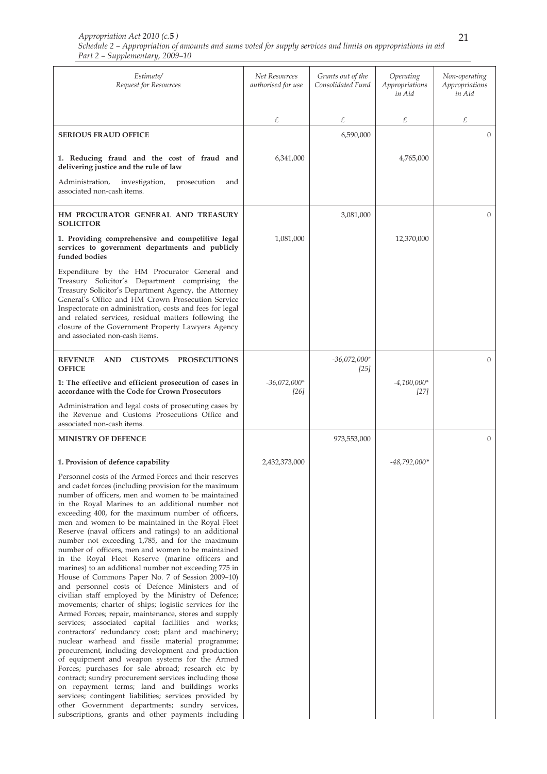| Estimate/<br>Request for Resources                                                                                                                                                                                                                                                                                                                                                                                                                                                                                                                                                                                                                                                                                                                                                                                                                                                                                                                                                                                                                                                                                                                                                                                                                                                                                                                                                                                                                                                                       | Net Resources<br>authorised for use | Grants out of the<br>Consolidated Fund | Operating<br>Appropriations<br>in Aid | Non-operating<br>Appropriations<br>in Aid |
|----------------------------------------------------------------------------------------------------------------------------------------------------------------------------------------------------------------------------------------------------------------------------------------------------------------------------------------------------------------------------------------------------------------------------------------------------------------------------------------------------------------------------------------------------------------------------------------------------------------------------------------------------------------------------------------------------------------------------------------------------------------------------------------------------------------------------------------------------------------------------------------------------------------------------------------------------------------------------------------------------------------------------------------------------------------------------------------------------------------------------------------------------------------------------------------------------------------------------------------------------------------------------------------------------------------------------------------------------------------------------------------------------------------------------------------------------------------------------------------------------------|-------------------------------------|----------------------------------------|---------------------------------------|-------------------------------------------|
|                                                                                                                                                                                                                                                                                                                                                                                                                                                                                                                                                                                                                                                                                                                                                                                                                                                                                                                                                                                                                                                                                                                                                                                                                                                                                                                                                                                                                                                                                                          | £                                   | £                                      | £                                     | £                                         |
| <b>SERIOUS FRAUD OFFICE</b>                                                                                                                                                                                                                                                                                                                                                                                                                                                                                                                                                                                                                                                                                                                                                                                                                                                                                                                                                                                                                                                                                                                                                                                                                                                                                                                                                                                                                                                                              |                                     | 6,590,000                              |                                       | $\mathbf{0}$                              |
| 1. Reducing fraud and the cost of fraud and<br>delivering justice and the rule of law                                                                                                                                                                                                                                                                                                                                                                                                                                                                                                                                                                                                                                                                                                                                                                                                                                                                                                                                                                                                                                                                                                                                                                                                                                                                                                                                                                                                                    | 6,341,000                           |                                        | 4,765,000                             |                                           |
| Administration,<br>investigation,<br>prosecution<br>and<br>associated non-cash items.                                                                                                                                                                                                                                                                                                                                                                                                                                                                                                                                                                                                                                                                                                                                                                                                                                                                                                                                                                                                                                                                                                                                                                                                                                                                                                                                                                                                                    |                                     |                                        |                                       |                                           |
| HM PROCURATOR GENERAL AND TREASURY<br><b>SOLICITOR</b>                                                                                                                                                                                                                                                                                                                                                                                                                                                                                                                                                                                                                                                                                                                                                                                                                                                                                                                                                                                                                                                                                                                                                                                                                                                                                                                                                                                                                                                   |                                     | 3,081,000                              |                                       | $\mathbf{0}$                              |
| 1. Providing comprehensive and competitive legal<br>services to government departments and publicly<br>funded bodies                                                                                                                                                                                                                                                                                                                                                                                                                                                                                                                                                                                                                                                                                                                                                                                                                                                                                                                                                                                                                                                                                                                                                                                                                                                                                                                                                                                     | 1,081,000                           |                                        | 12,370,000                            |                                           |
| Expenditure by the HM Procurator General and<br>Treasury Solicitor's Department comprising the<br>Treasury Solicitor's Department Agency, the Attorney<br>General's Office and HM Crown Prosecution Service<br>Inspectorate on administration, costs and fees for legal<br>and related services, residual matters following the<br>closure of the Government Property Lawyers Agency<br>and associated non-cash items.                                                                                                                                                                                                                                                                                                                                                                                                                                                                                                                                                                                                                                                                                                                                                                                                                                                                                                                                                                                                                                                                                   |                                     |                                        |                                       |                                           |
| <b>REVENUE</b><br><b>AND</b><br><b>CUSTOMS</b><br><b>PROSECUTIONS</b><br><b>OFFICE</b>                                                                                                                                                                                                                                                                                                                                                                                                                                                                                                                                                                                                                                                                                                                                                                                                                                                                                                                                                                                                                                                                                                                                                                                                                                                                                                                                                                                                                   |                                     | $-36,072,000*$<br>[25]                 |                                       | $\mathbf{0}$                              |
| 1: The effective and efficient prosecution of cases in<br>accordance with the Code for Crown Prosecutors                                                                                                                                                                                                                                                                                                                                                                                                                                                                                                                                                                                                                                                                                                                                                                                                                                                                                                                                                                                                                                                                                                                                                                                                                                                                                                                                                                                                 | $-36,072,000*$<br>[26]              |                                        | $-4,100,000*$<br>$[27]$               |                                           |
| Administration and legal costs of prosecuting cases by<br>the Revenue and Customs Prosecutions Office and<br>associated non-cash items.                                                                                                                                                                                                                                                                                                                                                                                                                                                                                                                                                                                                                                                                                                                                                                                                                                                                                                                                                                                                                                                                                                                                                                                                                                                                                                                                                                  |                                     |                                        |                                       |                                           |
| <b>MINISTRY OF DEFENCE</b>                                                                                                                                                                                                                                                                                                                                                                                                                                                                                                                                                                                                                                                                                                                                                                                                                                                                                                                                                                                                                                                                                                                                                                                                                                                                                                                                                                                                                                                                               |                                     | 973,553,000                            |                                       | $\mathbf{0}$                              |
| 1. Provision of defence capability                                                                                                                                                                                                                                                                                                                                                                                                                                                                                                                                                                                                                                                                                                                                                                                                                                                                                                                                                                                                                                                                                                                                                                                                                                                                                                                                                                                                                                                                       | 2,432,373,000                       |                                        | $-48,792,000*$                        |                                           |
| Personnel costs of the Armed Forces and their reserves<br>and cadet forces (including provision for the maximum<br>number of officers, men and women to be maintained<br>in the Royal Marines to an additional number not<br>exceeding 400, for the maximum number of officers,<br>men and women to be maintained in the Royal Fleet<br>Reserve (naval officers and ratings) to an additional<br>number not exceeding 1,785, and for the maximum<br>number of officers, men and women to be maintained<br>in the Royal Fleet Reserve (marine officers and<br>marines) to an additional number not exceeding 775 in<br>House of Commons Paper No. 7 of Session 2009-10)<br>and personnel costs of Defence Ministers and of<br>civilian staff employed by the Ministry of Defence;<br>movements; charter of ships; logistic services for the<br>Armed Forces; repair, maintenance, stores and supply<br>services; associated capital facilities and works;<br>contractors' redundancy cost; plant and machinery;<br>nuclear warhead and fissile material programme;<br>procurement, including development and production<br>of equipment and weapon systems for the Armed<br>Forces; purchases for sale abroad; research etc by<br>contract; sundry procurement services including those<br>on repayment terms; land and buildings works<br>services; contingent liabilities; services provided by<br>other Government departments; sundry services,<br>subscriptions, grants and other payments including |                                     |                                        |                                       |                                           |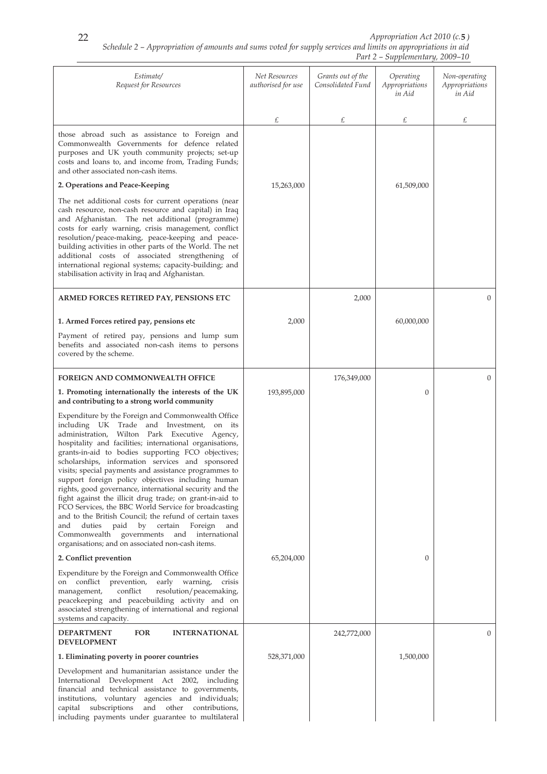| Estimate/<br>Request for Resources                                                                                                                                                                                                                                                                                                                                                                                                                                                                                                                                                                                                                                                                                                                                                                                                              | Net Resources<br>authorised for use | Grants out of the<br>Consolidated Fund | Operating<br>Appropriations<br>in Aid | Non-operating<br>Appropriations<br>in Aid |
|-------------------------------------------------------------------------------------------------------------------------------------------------------------------------------------------------------------------------------------------------------------------------------------------------------------------------------------------------------------------------------------------------------------------------------------------------------------------------------------------------------------------------------------------------------------------------------------------------------------------------------------------------------------------------------------------------------------------------------------------------------------------------------------------------------------------------------------------------|-------------------------------------|----------------------------------------|---------------------------------------|-------------------------------------------|
|                                                                                                                                                                                                                                                                                                                                                                                                                                                                                                                                                                                                                                                                                                                                                                                                                                                 | £                                   | £                                      | £                                     | £                                         |
| those abroad such as assistance to Foreign and<br>Commonwealth Governments for defence related<br>purposes and UK youth community projects; set-up<br>costs and loans to, and income from, Trading Funds;<br>and other associated non-cash items.                                                                                                                                                                                                                                                                                                                                                                                                                                                                                                                                                                                               |                                     |                                        |                                       |                                           |
| 2. Operations and Peace-Keeping                                                                                                                                                                                                                                                                                                                                                                                                                                                                                                                                                                                                                                                                                                                                                                                                                 | 15,263,000                          |                                        | 61,509,000                            |                                           |
| The net additional costs for current operations (near<br>cash resource, non-cash resource and capital) in Iraq<br>and Afghanistan. The net additional (programme)<br>costs for early warning, crisis management, conflict<br>resolution/peace-making, peace-keeping and peace-<br>building activities in other parts of the World. The net<br>additional costs of associated strengthening of<br>international regional systems; capacity-building; and<br>stabilisation activity in Iraq and Afghanistan.                                                                                                                                                                                                                                                                                                                                      |                                     |                                        |                                       |                                           |
| ARMED FORCES RETIRED PAY, PENSIONS ETC                                                                                                                                                                                                                                                                                                                                                                                                                                                                                                                                                                                                                                                                                                                                                                                                          |                                     | 2,000                                  |                                       | $\mathbf{0}$                              |
| 1. Armed Forces retired pay, pensions etc                                                                                                                                                                                                                                                                                                                                                                                                                                                                                                                                                                                                                                                                                                                                                                                                       | 2,000                               |                                        | 60,000,000                            |                                           |
| Payment of retired pay, pensions and lump sum<br>benefits and associated non-cash items to persons<br>covered by the scheme.                                                                                                                                                                                                                                                                                                                                                                                                                                                                                                                                                                                                                                                                                                                    |                                     |                                        |                                       |                                           |
| <b>FOREIGN AND COMMONWEALTH OFFICE</b>                                                                                                                                                                                                                                                                                                                                                                                                                                                                                                                                                                                                                                                                                                                                                                                                          |                                     | 176,349,000                            |                                       | $\Omega$                                  |
| 1. Promoting internationally the interests of the UK<br>and contributing to a strong world community                                                                                                                                                                                                                                                                                                                                                                                                                                                                                                                                                                                                                                                                                                                                            | 193,895,000                         |                                        | $\boldsymbol{0}$                      |                                           |
| Expenditure by the Foreign and Commonwealth Office<br>including UK Trade and Investment, on its<br>administration, Wilton Park Executive Agency,<br>hospitality and facilities; international organisations,<br>grants-in-aid to bodies supporting FCO objectives;<br>scholarships, information services and sponsored<br>visits; special payments and assistance programmes to<br>support foreign policy objectives including human<br>rights, good governance, international security and the<br>fight against the illicit drug trade; on grant-in-aid to<br>FCO Services, the BBC World Service for broadcasting<br>and to the British Council; the refund of certain taxes<br>duties<br>paid<br>by<br>certain<br>Foreign<br>and<br>and<br>governments and international<br>Commonwealth<br>organisations; and on associated non-cash items. |                                     |                                        |                                       |                                           |
| 2. Conflict prevention                                                                                                                                                                                                                                                                                                                                                                                                                                                                                                                                                                                                                                                                                                                                                                                                                          | 65,204,000                          |                                        | $\theta$                              |                                           |
| Expenditure by the Foreign and Commonwealth Office<br>on conflict prevention,<br>early warning,<br>crisis<br>management,<br>conflict<br>resolution/peacemaking,<br>peacekeeping and peacebuilding activity and on<br>associated strengthening of international and regional<br>systems and capacity.                                                                                                                                                                                                                                                                                                                                                                                                                                                                                                                                            |                                     |                                        |                                       |                                           |
| <b>DEPARTMENT</b><br><b>FOR</b><br><b>INTERNATIONAL</b><br><b>DEVELOPMENT</b>                                                                                                                                                                                                                                                                                                                                                                                                                                                                                                                                                                                                                                                                                                                                                                   |                                     | 242,772,000                            |                                       | $\Omega$                                  |
| 1. Eliminating poverty in poorer countries                                                                                                                                                                                                                                                                                                                                                                                                                                                                                                                                                                                                                                                                                                                                                                                                      | 528,371,000                         |                                        | 1,500,000                             |                                           |
| Development and humanitarian assistance under the<br>International Development Act 2002, including<br>financial and technical assistance to governments,<br>institutions, voluntary agencies and individuals;<br>subscriptions<br>and<br>other contributions,<br>capital<br>including payments under guarantee to multilateral                                                                                                                                                                                                                                                                                                                                                                                                                                                                                                                  |                                     |                                        |                                       |                                           |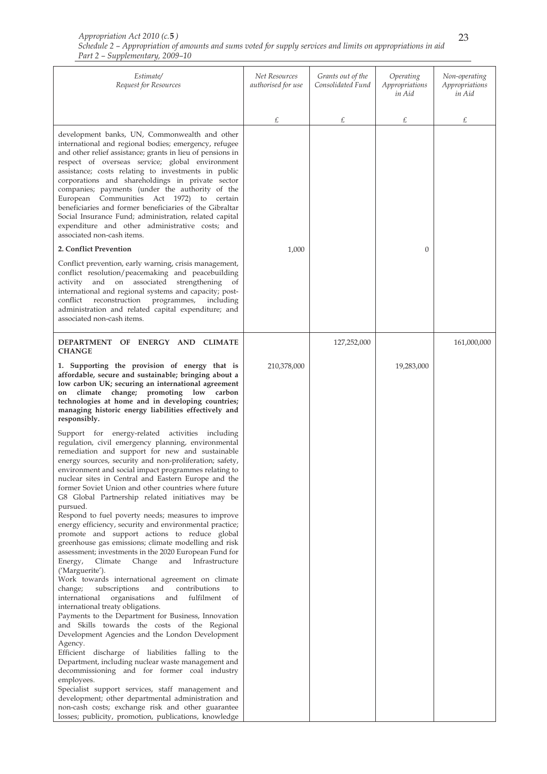| Estimate/<br>Request for Resources                                                                                                                                                                                                                                                                                                                                                                                                                                                                                                                                                                                                       | Net Resources<br>authorised for use | Grants out of the<br>Consolidated Fund | Operating<br>Appropriations<br>in Aid | Non-operating<br>Appropriations<br>in Aid |
|------------------------------------------------------------------------------------------------------------------------------------------------------------------------------------------------------------------------------------------------------------------------------------------------------------------------------------------------------------------------------------------------------------------------------------------------------------------------------------------------------------------------------------------------------------------------------------------------------------------------------------------|-------------------------------------|----------------------------------------|---------------------------------------|-------------------------------------------|
|                                                                                                                                                                                                                                                                                                                                                                                                                                                                                                                                                                                                                                          | £                                   | £                                      | £                                     | £                                         |
| development banks, UN, Commonwealth and other<br>international and regional bodies; emergency, refugee<br>and other relief assistance; grants in lieu of pensions in<br>respect of overseas service; global environment<br>assistance; costs relating to investments in public<br>corporations and shareholdings in private sector<br>companies; payments (under the authority of the<br>European Communities Act 1972) to certain<br>beneficiaries and former beneficiaries of the Gibraltar<br>Social Insurance Fund; administration, related capital<br>expenditure and other administrative costs; and<br>associated non-cash items. |                                     |                                        |                                       |                                           |
| 2. Conflict Prevention                                                                                                                                                                                                                                                                                                                                                                                                                                                                                                                                                                                                                   | 1,000                               |                                        | $\mathbf{0}$                          |                                           |
| Conflict prevention, early warning, crisis management,<br>conflict resolution/peacemaking and peacebuilding<br>activity and on associated strengthening<br>of<br>international and regional systems and capacity; post-<br>programmes,<br>reconstruction<br>including<br>conflict<br>administration and related capital expenditure; and<br>associated non-cash items.                                                                                                                                                                                                                                                                   |                                     |                                        |                                       |                                           |
| DEPARTMENT OF ENERGY AND CLIMATE<br><b>CHANGE</b>                                                                                                                                                                                                                                                                                                                                                                                                                                                                                                                                                                                        |                                     | 127,252,000                            |                                       | 161,000,000                               |
| 1. Supporting the provision of energy that is<br>affordable, secure and sustainable; bringing about a<br>low carbon UK; securing an international agreement<br>climate change; promoting low<br>carbon<br>on<br>technologies at home and in developing countries;<br>managing historic energy liabilities effectively and<br>responsibly.<br>Support for energy-related activities including                                                                                                                                                                                                                                             | 210,378,000                         |                                        | 19,283,000                            |                                           |
| regulation, civil emergency planning, environmental<br>remediation and support for new and sustainable<br>energy sources, security and non-proliferation; safety,<br>environment and social impact programmes relating to<br>nuclear sites in Central and Eastern Europe and the<br>former Soviet Union and other countries where future<br>G8 Global Partnership related initiatives may be<br>pursued.                                                                                                                                                                                                                                 |                                     |                                        |                                       |                                           |
| Respond to fuel poverty needs; measures to improve<br>energy efficiency, security and environmental practice;<br>promote and support actions to reduce global<br>greenhouse gas emissions; climate modelling and risk<br>assessment; investments in the 2020 European Fund for<br>Energy,<br>Climate<br>Change<br>and<br>Infrastructure                                                                                                                                                                                                                                                                                                  |                                     |                                        |                                       |                                           |
| ('Marguerite').<br>Work towards international agreement on climate<br>and<br>contributions<br>change;<br>subscriptions<br>to<br>international<br>fulfilment<br>organisations<br>and<br>of<br>international treaty obligations.<br>Payments to the Department for Business, Innovation                                                                                                                                                                                                                                                                                                                                                    |                                     |                                        |                                       |                                           |
| and Skills towards the costs of the Regional<br>Development Agencies and the London Development<br>Agency.<br>Efficient discharge of liabilities falling to the<br>Department, including nuclear waste management and                                                                                                                                                                                                                                                                                                                                                                                                                    |                                     |                                        |                                       |                                           |
| decommissioning and for former coal industry<br>employees.<br>Specialist support services, staff management and                                                                                                                                                                                                                                                                                                                                                                                                                                                                                                                          |                                     |                                        |                                       |                                           |
| development; other departmental administration and<br>non-cash costs; exchange risk and other guarantee<br>losses; publicity, promotion, publications, knowledge                                                                                                                                                                                                                                                                                                                                                                                                                                                                         |                                     |                                        |                                       |                                           |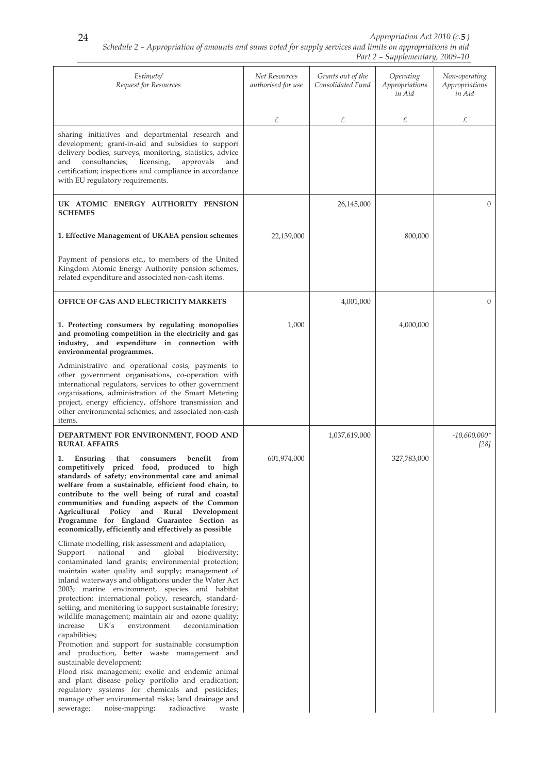| Estimate/<br>Request for Resources                                                                                                                                                                                                                                                                                                                                                                                                                                                                                                                                                                                                                                                                                  | <b>Net Resources</b><br>authorised for use | Grants out of the<br>Consolidated Fund | Operating<br>Appropriations<br>in Aid | Non-operating<br>Appropriations<br>in Aid |
|---------------------------------------------------------------------------------------------------------------------------------------------------------------------------------------------------------------------------------------------------------------------------------------------------------------------------------------------------------------------------------------------------------------------------------------------------------------------------------------------------------------------------------------------------------------------------------------------------------------------------------------------------------------------------------------------------------------------|--------------------------------------------|----------------------------------------|---------------------------------------|-------------------------------------------|
|                                                                                                                                                                                                                                                                                                                                                                                                                                                                                                                                                                                                                                                                                                                     | £                                          | £                                      | £                                     | £                                         |
| sharing initiatives and departmental research and<br>development; grant-in-aid and subsidies to support<br>delivery bodies; surveys, monitoring, statistics, advice<br>consultancies;<br>licensing,<br>approvals<br>and<br>and<br>certification; inspections and compliance in accordance<br>with EU regulatory requirements.                                                                                                                                                                                                                                                                                                                                                                                       |                                            |                                        |                                       |                                           |
| UK ATOMIC ENERGY AUTHORITY PENSION<br><b>SCHEMES</b>                                                                                                                                                                                                                                                                                                                                                                                                                                                                                                                                                                                                                                                                |                                            | 26,145,000                             |                                       | $\overline{0}$                            |
| 1. Effective Management of UKAEA pension schemes                                                                                                                                                                                                                                                                                                                                                                                                                                                                                                                                                                                                                                                                    | 22,139,000                                 |                                        | 800,000                               |                                           |
| Payment of pensions etc., to members of the United<br>Kingdom Atomic Energy Authority pension schemes,<br>related expenditure and associated non-cash items.                                                                                                                                                                                                                                                                                                                                                                                                                                                                                                                                                        |                                            |                                        |                                       |                                           |
| <b>OFFICE OF GAS AND ELECTRICITY MARKETS</b>                                                                                                                                                                                                                                                                                                                                                                                                                                                                                                                                                                                                                                                                        |                                            | 4,001,000                              |                                       | $\overline{0}$                            |
| 1. Protecting consumers by regulating monopolies<br>and promoting competition in the electricity and gas<br>industry, and expenditure in connection with<br>environmental programmes.                                                                                                                                                                                                                                                                                                                                                                                                                                                                                                                               | 1,000                                      |                                        | 4,000,000                             |                                           |
| Administrative and operational costs, payments to<br>other government organisations, co-operation with<br>international regulators, services to other government<br>organisations, administration of the Smart Metering<br>project, energy efficiency, offshore transmission and<br>other environmental schemes; and associated non-cash<br>items.                                                                                                                                                                                                                                                                                                                                                                  |                                            |                                        |                                       |                                           |
| DEPARTMENT FOR ENVIRONMENT, FOOD AND<br><b>RURAL AFFAIRS</b>                                                                                                                                                                                                                                                                                                                                                                                                                                                                                                                                                                                                                                                        |                                            | 1,037,619,000                          |                                       | $-10,600,000*$<br>$[28]$                  |
| 1.<br>Ensuring<br>benefit<br>from<br>that<br>consumers<br>competitively priced food, produced to<br>high<br>standards of safety; environmental care and animal<br>welfare from a sustainable, efficient food chain, to<br>contribute to the well being of rural and coastal<br>communities and funding aspects of the Common<br>and Rural Development<br>Agricultural Policy<br>Programme for England Guarantee Section as<br>economically, efficiently and effectively as possible                                                                                                                                                                                                                                 | 601,974,000                                |                                        | 327,783,000                           |                                           |
| Climate modelling, risk assessment and adaptation;<br>national<br>Support<br>and<br>global<br>biodiversity;<br>contaminated land grants; environmental protection;<br>maintain water quality and supply; management of<br>inland waterways and obligations under the Water Act<br>2003; marine environment, species and habitat<br>protection; international policy, research, standard-<br>setting, and monitoring to support sustainable forestry;<br>wildlife management; maintain air and ozone quality;<br>increase<br>UK's<br>environment<br>decontamination<br>capabilities;<br>Promotion and support for sustainable consumption<br>and production, better waste management and<br>sustainable development; |                                            |                                        |                                       |                                           |
| Flood risk management; exotic and endemic animal<br>and plant disease policy portfolio and eradication;<br>regulatory systems for chemicals and pesticides;<br>manage other environmental risks; land drainage and<br>radioactive<br>sewerage;<br>noise-mapping;<br>waste                                                                                                                                                                                                                                                                                                                                                                                                                                           |                                            |                                        |                                       |                                           |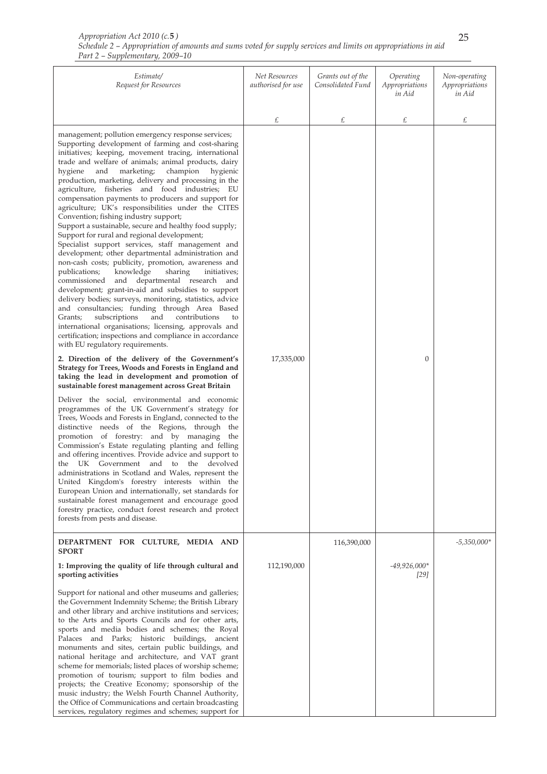| Estimate/<br>Request for Resources                                                                                                                                                                                                                                                                                                                                                                                                                                                                                                                                                                                                                                                                                                                                                                                                                                                                                                                                                                                                                                                                                                                                                                                                                                                                                                                                                                                                                                                                                                                                                                                                                                                                                                                                                                                                                                                                                                                                                                                                                                                                                                                                                                                                                                                               | Net Resources<br>authorised for use | Grants out of the<br>Consolidated Fund | Operating<br>Appropriations<br>in Aid | Non-operating<br>Appropriations<br>in Aid |
|--------------------------------------------------------------------------------------------------------------------------------------------------------------------------------------------------------------------------------------------------------------------------------------------------------------------------------------------------------------------------------------------------------------------------------------------------------------------------------------------------------------------------------------------------------------------------------------------------------------------------------------------------------------------------------------------------------------------------------------------------------------------------------------------------------------------------------------------------------------------------------------------------------------------------------------------------------------------------------------------------------------------------------------------------------------------------------------------------------------------------------------------------------------------------------------------------------------------------------------------------------------------------------------------------------------------------------------------------------------------------------------------------------------------------------------------------------------------------------------------------------------------------------------------------------------------------------------------------------------------------------------------------------------------------------------------------------------------------------------------------------------------------------------------------------------------------------------------------------------------------------------------------------------------------------------------------------------------------------------------------------------------------------------------------------------------------------------------------------------------------------------------------------------------------------------------------------------------------------------------------------------------------------------------------|-------------------------------------|----------------------------------------|---------------------------------------|-------------------------------------------|
|                                                                                                                                                                                                                                                                                                                                                                                                                                                                                                                                                                                                                                                                                                                                                                                                                                                                                                                                                                                                                                                                                                                                                                                                                                                                                                                                                                                                                                                                                                                                                                                                                                                                                                                                                                                                                                                                                                                                                                                                                                                                                                                                                                                                                                                                                                  | £                                   | £                                      | £                                     | £                                         |
| management; pollution emergency response services;<br>Supporting development of farming and cost-sharing<br>initiatives; keeping, movement tracing, international<br>trade and welfare of animals; animal products, dairy<br>champion<br>hygiene<br>and<br>marketing;<br>hygienic<br>production, marketing, delivery and processing in the<br>agriculture, fisheries and food industries; EU<br>compensation payments to producers and support for<br>agriculture; UK's responsibilities under the CITES<br>Convention; fishing industry support;<br>Support a sustainable, secure and healthy food supply;<br>Support for rural and regional development;<br>Specialist support services, staff management and<br>development; other departmental administration and<br>non-cash costs; publicity, promotion, awareness and<br>publications;<br>knowledge<br>sharing<br>initiatives;<br>commissioned<br>and departmental research and<br>development; grant-in-aid and subsidies to support<br>delivery bodies; surveys, monitoring, statistics, advice<br>and consultancies; funding through Area Based<br>subscriptions<br>and<br>contributions<br>Grants;<br>to<br>international organisations; licensing, approvals and<br>certification; inspections and compliance in accordance<br>with EU regulatory requirements.<br>2. Direction of the delivery of the Government's<br>Strategy for Trees, Woods and Forests in England and<br>taking the lead in development and promotion of<br>sustainable forest management across Great Britain<br>Deliver the social, environmental and economic<br>programmes of the UK Government's strategy for<br>Trees, Woods and Forests in England, connected to the<br>distinctive needs of the Regions, through the<br>promotion of forestry: and by managing the<br>Commission's Estate regulating planting and felling<br>and offering incentives. Provide advice and support to<br>UK Government and to the<br>devolved<br>the<br>administrations in Scotland and Wales, represent the<br>United Kingdom's forestry interests within the<br>European Union and internationally, set standards for<br>sustainable forest management and encourage good<br>forestry practice, conduct forest research and protect<br>forests from pests and disease. | 17,335,000                          |                                        | 0                                     |                                           |
| DEPARTMENT FOR CULTURE, MEDIA AND                                                                                                                                                                                                                                                                                                                                                                                                                                                                                                                                                                                                                                                                                                                                                                                                                                                                                                                                                                                                                                                                                                                                                                                                                                                                                                                                                                                                                                                                                                                                                                                                                                                                                                                                                                                                                                                                                                                                                                                                                                                                                                                                                                                                                                                                |                                     | 116,390,000                            |                                       | $-5,350,000*$                             |
| <b>SPORT</b><br>1: Improving the quality of life through cultural and<br>sporting activities                                                                                                                                                                                                                                                                                                                                                                                                                                                                                                                                                                                                                                                                                                                                                                                                                                                                                                                                                                                                                                                                                                                                                                                                                                                                                                                                                                                                                                                                                                                                                                                                                                                                                                                                                                                                                                                                                                                                                                                                                                                                                                                                                                                                     | 112,190,000                         |                                        | $-49,926,000*$<br>$[29]$              |                                           |
| Support for national and other museums and galleries;<br>the Government Indemnity Scheme; the British Library<br>and other library and archive institutions and services;<br>to the Arts and Sports Councils and for other arts,<br>sports and media bodies and schemes; the Royal<br>Palaces and Parks; historic buildings, ancient<br>monuments and sites, certain public buildings, and<br>national heritage and architecture, and VAT grant<br>scheme for memorials; listed places of worship scheme;<br>promotion of tourism; support to film bodies and<br>projects; the Creative Economy; sponsorship of the<br>music industry; the Welsh Fourth Channel Authority,<br>the Office of Communications and certain broadcasting<br>services, regulatory regimes and schemes; support for                                                                                                                                                                                                                                                                                                                                                                                                                                                                                                                                                                                                                                                                                                                                                                                                                                                                                                                                                                                                                                                                                                                                                                                                                                                                                                                                                                                                                                                                                                     |                                     |                                        |                                       |                                           |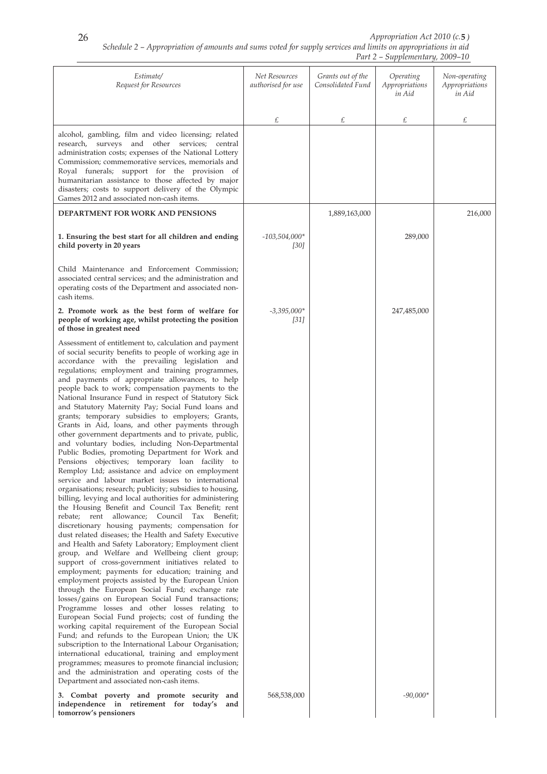| Estimate/<br>Request for Resources                                                                                                                                                                                                                                                                                                                                                                                                                                                                                                                                                                                                                                                                                                                                                                                                                                                                                                                                                                                                                                                                                                                                                                                                                                                                                                                                                                                                                                                                                                                                                                                                                                                                                                                                                                                                                                                                                                                                                                                                                                                                           | Net Resources<br>authorised for use | Grants out of the<br>Consolidated Fund | Operating<br>Appropriations<br>in Aid | Non-operating<br>Appropriations<br>in Aid |
|--------------------------------------------------------------------------------------------------------------------------------------------------------------------------------------------------------------------------------------------------------------------------------------------------------------------------------------------------------------------------------------------------------------------------------------------------------------------------------------------------------------------------------------------------------------------------------------------------------------------------------------------------------------------------------------------------------------------------------------------------------------------------------------------------------------------------------------------------------------------------------------------------------------------------------------------------------------------------------------------------------------------------------------------------------------------------------------------------------------------------------------------------------------------------------------------------------------------------------------------------------------------------------------------------------------------------------------------------------------------------------------------------------------------------------------------------------------------------------------------------------------------------------------------------------------------------------------------------------------------------------------------------------------------------------------------------------------------------------------------------------------------------------------------------------------------------------------------------------------------------------------------------------------------------------------------------------------------------------------------------------------------------------------------------------------------------------------------------------------|-------------------------------------|----------------------------------------|---------------------------------------|-------------------------------------------|
|                                                                                                                                                                                                                                                                                                                                                                                                                                                                                                                                                                                                                                                                                                                                                                                                                                                                                                                                                                                                                                                                                                                                                                                                                                                                                                                                                                                                                                                                                                                                                                                                                                                                                                                                                                                                                                                                                                                                                                                                                                                                                                              | £                                   | £                                      | £                                     | £                                         |
| alcohol, gambling, film and video licensing; related<br>research, surveys and other services; central<br>administration costs; expenses of the National Lottery<br>Commission; commemorative services, memorials and<br>Royal funerals; support for the provision of<br>humanitarian assistance to those affected by major<br>disasters; costs to support delivery of the Olympic<br>Games 2012 and associated non-cash items.                                                                                                                                                                                                                                                                                                                                                                                                                                                                                                                                                                                                                                                                                                                                                                                                                                                                                                                                                                                                                                                                                                                                                                                                                                                                                                                                                                                                                                                                                                                                                                                                                                                                               |                                     |                                        |                                       |                                           |
| DEPARTMENT FOR WORK AND PENSIONS                                                                                                                                                                                                                                                                                                                                                                                                                                                                                                                                                                                                                                                                                                                                                                                                                                                                                                                                                                                                                                                                                                                                                                                                                                                                                                                                                                                                                                                                                                                                                                                                                                                                                                                                                                                                                                                                                                                                                                                                                                                                             |                                     | 1,889,163,000                          |                                       | 216,000                                   |
| 1. Ensuring the best start for all children and ending<br>child poverty in 20 years                                                                                                                                                                                                                                                                                                                                                                                                                                                                                                                                                                                                                                                                                                                                                                                                                                                                                                                                                                                                                                                                                                                                                                                                                                                                                                                                                                                                                                                                                                                                                                                                                                                                                                                                                                                                                                                                                                                                                                                                                          | $-103,504,000*$<br>[30]             |                                        | 289,000                               |                                           |
| Child Maintenance and Enforcement Commission;<br>associated central services; and the administration and<br>operating costs of the Department and associated non-<br>cash items.                                                                                                                                                                                                                                                                                                                                                                                                                                                                                                                                                                                                                                                                                                                                                                                                                                                                                                                                                                                                                                                                                                                                                                                                                                                                                                                                                                                                                                                                                                                                                                                                                                                                                                                                                                                                                                                                                                                             |                                     |                                        |                                       |                                           |
| 2. Promote work as the best form of welfare for<br>people of working age, whilst protecting the position<br>of those in greatest need                                                                                                                                                                                                                                                                                                                                                                                                                                                                                                                                                                                                                                                                                                                                                                                                                                                                                                                                                                                                                                                                                                                                                                                                                                                                                                                                                                                                                                                                                                                                                                                                                                                                                                                                                                                                                                                                                                                                                                        | $-3,395,000*$<br>$[31]$             |                                        | 247,485,000                           |                                           |
| Assessment of entitlement to, calculation and payment<br>of social security benefits to people of working age in<br>accordance with the prevailing legislation and<br>regulations; employment and training programmes,<br>and payments of appropriate allowances, to help<br>people back to work; compensation payments to the<br>National Insurance Fund in respect of Statutory Sick<br>and Statutory Maternity Pay; Social Fund loans and<br>grants; temporary subsidies to employers; Grants,<br>Grants in Aid, loans, and other payments through<br>other government departments and to private, public,<br>and voluntary bodies, including Non-Departmental<br>Public Bodies, promoting Department for Work and<br>Pensions objectives; temporary loan facility to<br>Remploy Ltd; assistance and advice on employment<br>service and labour market issues to international<br>organisations; research; publicity; subsidies to housing,<br>billing, levying and local authorities for administering<br>the Housing Benefit and Council Tax Benefit; rent<br>rebate; rent<br>allowance; Council Tax Benefit;<br>discretionary housing payments; compensation for<br>dust related diseases; the Health and Safety Executive<br>and Health and Safety Laboratory; Employment client<br>group, and Welfare and Wellbeing client group;<br>support of cross-government initiatives related to<br>employment; payments for education; training and<br>employment projects assisted by the European Union<br>through the European Social Fund; exchange rate<br>losses/gains on European Social Fund transactions;<br>Programme losses and other losses relating to<br>European Social Fund projects; cost of funding the<br>working capital requirement of the European Social<br>Fund; and refunds to the European Union; the UK<br>subscription to the International Labour Organisation;<br>international educational, training and employment<br>programmes; measures to promote financial inclusion;<br>and the administration and operating costs of the<br>Department and associated non-cash items. |                                     |                                        |                                       |                                           |
| 3. Combat poverty and promote security and<br>independence in retirement for today's<br>and<br>tomorrow's pensioners                                                                                                                                                                                                                                                                                                                                                                                                                                                                                                                                                                                                                                                                                                                                                                                                                                                                                                                                                                                                                                                                                                                                                                                                                                                                                                                                                                                                                                                                                                                                                                                                                                                                                                                                                                                                                                                                                                                                                                                         | 568,538,000                         |                                        | $-90,000*$                            |                                           |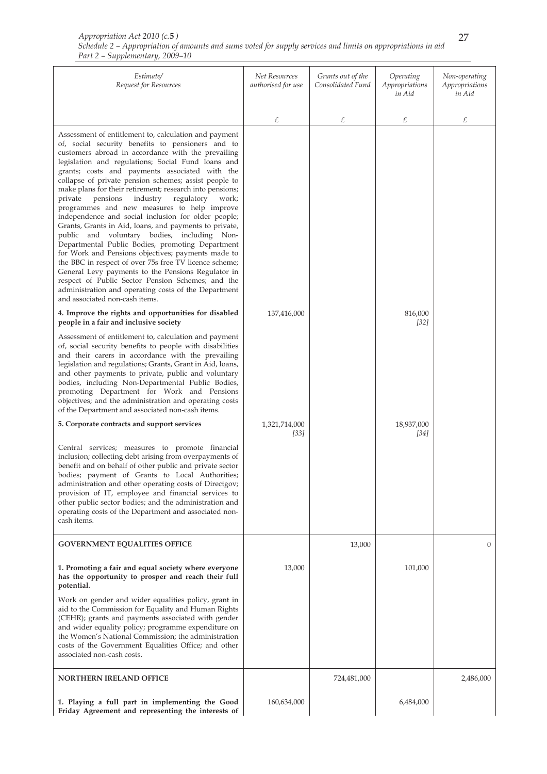| Appropriation Act 2010 (c.5)                                                                                 |  |
|--------------------------------------------------------------------------------------------------------------|--|
| Schedule 2 – Appropriation of amounts and sums voted for supply services and limits on appropriations in aid |  |
| Part 2 – Supplementary, 2009–10                                                                              |  |

| Estimate/<br>Request for Resources                                                                                                                                                                                                                                                                                                                                                                                                                                                                                                                                                                                                                                                                                                                                                                                                                                                                                                                                                                                                              | Net Resources<br>authorised for use | Grants out of the<br>Consolidated Fund | Operating<br>Appropriations<br>in Aid | Non-operating<br>Appropriations<br>in Aid |
|-------------------------------------------------------------------------------------------------------------------------------------------------------------------------------------------------------------------------------------------------------------------------------------------------------------------------------------------------------------------------------------------------------------------------------------------------------------------------------------------------------------------------------------------------------------------------------------------------------------------------------------------------------------------------------------------------------------------------------------------------------------------------------------------------------------------------------------------------------------------------------------------------------------------------------------------------------------------------------------------------------------------------------------------------|-------------------------------------|----------------------------------------|---------------------------------------|-------------------------------------------|
|                                                                                                                                                                                                                                                                                                                                                                                                                                                                                                                                                                                                                                                                                                                                                                                                                                                                                                                                                                                                                                                 | £                                   | £                                      | £                                     | £                                         |
| Assessment of entitlement to, calculation and payment<br>of, social security benefits to pensioners and to<br>customers abroad in accordance with the prevailing<br>legislation and regulations; Social Fund loans and<br>grants; costs and payments associated with the<br>collapse of private pension schemes; assist people to<br>make plans for their retirement; research into pensions;<br>private<br>pensions<br>industry<br>regulatory<br>work;<br>programmes and new measures to help improve<br>independence and social inclusion for older people;<br>Grants, Grants in Aid, loans, and payments to private,<br>public and voluntary bodies, including Non-<br>Departmental Public Bodies, promoting Department<br>for Work and Pensions objectives; payments made to<br>the BBC in respect of over 75s free TV licence scheme;<br>General Levy payments to the Pensions Regulator in<br>respect of Public Sector Pension Schemes; and the<br>administration and operating costs of the Department<br>and associated non-cash items. |                                     |                                        |                                       |                                           |
| 4. Improve the rights and opportunities for disabled<br>people in a fair and inclusive society                                                                                                                                                                                                                                                                                                                                                                                                                                                                                                                                                                                                                                                                                                                                                                                                                                                                                                                                                  | 137,416,000                         |                                        | 816,000<br>[32]                       |                                           |
| Assessment of entitlement to, calculation and payment<br>of, social security benefits to people with disabilities<br>and their carers in accordance with the prevailing<br>legislation and regulations; Grants, Grant in Aid, loans,<br>and other payments to private, public and voluntary<br>bodies, including Non-Departmental Public Bodies,<br>promoting Department for Work and Pensions<br>objectives; and the administration and operating costs<br>of the Department and associated non-cash items.                                                                                                                                                                                                                                                                                                                                                                                                                                                                                                                                    |                                     |                                        |                                       |                                           |
| 5. Corporate contracts and support services                                                                                                                                                                                                                                                                                                                                                                                                                                                                                                                                                                                                                                                                                                                                                                                                                                                                                                                                                                                                     | 1,321,714,000<br>[33]               |                                        | 18,937,000<br>[34]                    |                                           |
| Central services; measures to promote financial<br>inclusion; collecting debt arising from overpayments of<br>benefit and on behalf of other public and private sector<br>bodies; payment of Grants to Local Authorities;<br>administration and other operating costs of Directgov;<br>provision of IT, employee and financial services to<br>other public sector bodies; and the administration and<br>operating costs of the Department and associated non-<br>cash items.                                                                                                                                                                                                                                                                                                                                                                                                                                                                                                                                                                    |                                     |                                        |                                       |                                           |
| <b>GOVERNMENT EQUALITIES OFFICE</b>                                                                                                                                                                                                                                                                                                                                                                                                                                                                                                                                                                                                                                                                                                                                                                                                                                                                                                                                                                                                             |                                     | 13,000                                 |                                       | $\mathbf{0}$                              |
| 1. Promoting a fair and equal society where everyone<br>has the opportunity to prosper and reach their full<br>potential.                                                                                                                                                                                                                                                                                                                                                                                                                                                                                                                                                                                                                                                                                                                                                                                                                                                                                                                       | 13,000                              |                                        | 101,000                               |                                           |
| Work on gender and wider equalities policy, grant in<br>aid to the Commission for Equality and Human Rights<br>(CEHR); grants and payments associated with gender<br>and wider equality policy; programme expenditure on<br>the Women's National Commission; the administration<br>costs of the Government Equalities Office; and other<br>associated non-cash costs.                                                                                                                                                                                                                                                                                                                                                                                                                                                                                                                                                                                                                                                                           |                                     |                                        |                                       |                                           |
| <b>NORTHERN IRELAND OFFICE</b>                                                                                                                                                                                                                                                                                                                                                                                                                                                                                                                                                                                                                                                                                                                                                                                                                                                                                                                                                                                                                  |                                     | 724,481,000                            |                                       | 2,486,000                                 |
| 1. Playing a full part in implementing the Good<br>Friday Agreement and representing the interests of                                                                                                                                                                                                                                                                                                                                                                                                                                                                                                                                                                                                                                                                                                                                                                                                                                                                                                                                           | 160,634,000                         |                                        | 6,484,000                             |                                           |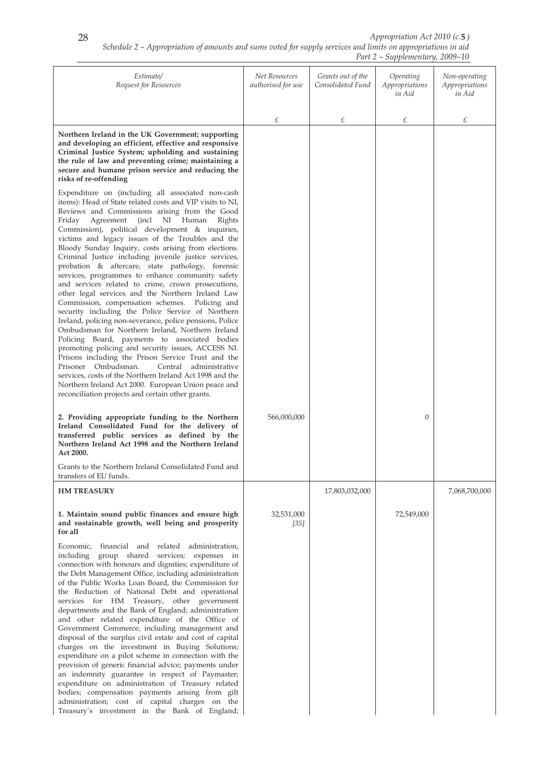# *Schedule 2 – Appropriation of amounts and sums voted for supply services and limits on appropriations in aid Appropriation Act 2010 (c.* **5** *)*

|                                                                                                                                                                                                                                                                                                                                                                                                                                                                                                                                                                                                                                                                                                                                                                                                                                                                                                                                                                                                                                                                                                                                                                                                                                                                                |                                     |                                        | Part 2 – Supplementary, 2009–10       |                                           |
|--------------------------------------------------------------------------------------------------------------------------------------------------------------------------------------------------------------------------------------------------------------------------------------------------------------------------------------------------------------------------------------------------------------------------------------------------------------------------------------------------------------------------------------------------------------------------------------------------------------------------------------------------------------------------------------------------------------------------------------------------------------------------------------------------------------------------------------------------------------------------------------------------------------------------------------------------------------------------------------------------------------------------------------------------------------------------------------------------------------------------------------------------------------------------------------------------------------------------------------------------------------------------------|-------------------------------------|----------------------------------------|---------------------------------------|-------------------------------------------|
| Estimate/<br>Request for Resources                                                                                                                                                                                                                                                                                                                                                                                                                                                                                                                                                                                                                                                                                                                                                                                                                                                                                                                                                                                                                                                                                                                                                                                                                                             | Net Resources<br>authorised for use | Grants out of the<br>Consolidated Fund | Operating<br>Appropriations<br>in Aid | Non-operating<br>Appropriations<br>in Aid |
|                                                                                                                                                                                                                                                                                                                                                                                                                                                                                                                                                                                                                                                                                                                                                                                                                                                                                                                                                                                                                                                                                                                                                                                                                                                                                | £                                   | £                                      | £                                     | £                                         |
| Northern Ireland in the UK Government; supporting<br>and developing an efficient, effective and responsive<br>Criminal Justice System; upholding and sustaining<br>the rule of law and preventing crime; maintaining a<br>secure and humane prison service and reducing the<br>risks of re-offending                                                                                                                                                                                                                                                                                                                                                                                                                                                                                                                                                                                                                                                                                                                                                                                                                                                                                                                                                                           |                                     |                                        |                                       |                                           |
| Expenditure on (including all associated non-cash<br>items): Head of State related costs and VIP visits to NI,<br>Reviews and Commissions arising from the Good<br>Friday<br>Agreement<br>(incl<br>NI Human<br>Rights<br>Commission), political development & inquiries,<br>victims and legacy issues of the Troubles and the<br>Bloody Sunday Inquiry, costs arising from elections.<br>Criminal Justice including juvenile justice services,<br>probation & aftercare, state pathology, forensic<br>services, programmes to enhance community safety<br>and services related to crime, crown prosecutions,<br>other legal services and the Northern Ireland Law<br>Commission, compensation schemes. Policing and<br>security including the Police Service of Northern<br>Ireland, policing non-severance, police pensions, Police<br>Ombudsman for Northern Ireland, Northern Ireland<br>Policing Board, payments to associated bodies<br>promoting policing and security issues, ACCESS NI.<br>Prisons including the Prison Service Trust and the<br>Prisoner Ombudsman.<br>Central administrative<br>services, costs of the Northern Ireland Act 1998 and the<br>Northern Ireland Act 2000. European Union peace and<br>reconciliation projects and certain other grants. |                                     |                                        |                                       |                                           |
| 2. Providing appropriate funding to the Northern<br>Ireland Consolidated Fund for the delivery of<br>transferred public services as defined by the<br>Northern Ireland Act 1998 and the Northern Ireland<br><b>Act 2000.</b>                                                                                                                                                                                                                                                                                                                                                                                                                                                                                                                                                                                                                                                                                                                                                                                                                                                                                                                                                                                                                                                   | 566,000,000                         |                                        | $\boldsymbol{0}$                      |                                           |
| Grants to the Northern Ireland Consolidated Fund and<br>transfers of EU funds.                                                                                                                                                                                                                                                                                                                                                                                                                                                                                                                                                                                                                                                                                                                                                                                                                                                                                                                                                                                                                                                                                                                                                                                                 |                                     |                                        |                                       |                                           |
| <b>HM TREASURY</b>                                                                                                                                                                                                                                                                                                                                                                                                                                                                                                                                                                                                                                                                                                                                                                                                                                                                                                                                                                                                                                                                                                                                                                                                                                                             |                                     | 17,803,032,000                         |                                       | 7,068,700,000                             |
| 1. Maintain sound public finances and ensure high<br>and sustainable growth, well being and prosperity<br>for all                                                                                                                                                                                                                                                                                                                                                                                                                                                                                                                                                                                                                                                                                                                                                                                                                                                                                                                                                                                                                                                                                                                                                              | 32,531,000<br>$[35]$                |                                        | 72,549,000                            |                                           |
| Economic,<br>financial and related<br>administration,<br>including group shared services; expenses in<br>connection with honours and dignities; expenditure of<br>the Debt Management Office, including administration<br>of the Public Works Loan Board, the Commission for<br>the Reduction of National Debt and operational<br>services for HM Treasury, other government<br>departments and the Bank of England; administration<br>and other related expenditure of the Office of<br>Government Commerce, including management and<br>disposal of the surplus civil estate and cost of capital<br>charges on the investment in Buying Solutions;<br>expenditure on a pilot scheme in connection with the<br>provision of generic financial advice; payments under<br>an indemnity guarantee in respect of Paymaster;<br>expenditure on administration of Treasury related<br>bodies; compensation payments arising from gilt<br>administration; cost of capital charges on the<br>Treasury's investment in the Bank of England;                                                                                                                                                                                                                                            |                                     |                                        |                                       |                                           |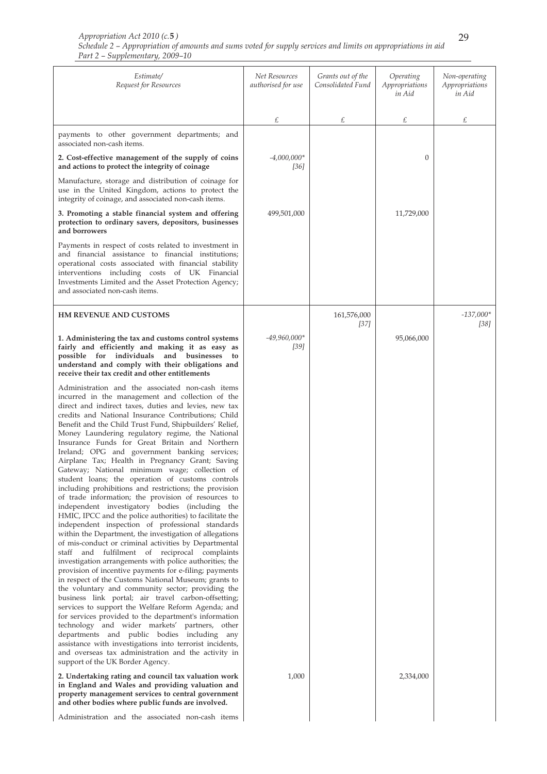| Estimate/<br>Request for Resources                                                                                                                                                                                                                                                                                                                                                                                                                                                                                                                                                                                                                                                                                                                                                                                                                                                                                                                                                                                                                                                                                                                                                                                                                                                                                                                                                                                                                                                                                                                                                                                                                                                                                                                                                                                                                                                                                                               | Net Resources<br>authorised for use | Grants out of the<br>Consolidated Fund | Operating<br>Appropriations<br>in Aid | Non-operating<br>Appropriations<br>in Aid |
|--------------------------------------------------------------------------------------------------------------------------------------------------------------------------------------------------------------------------------------------------------------------------------------------------------------------------------------------------------------------------------------------------------------------------------------------------------------------------------------------------------------------------------------------------------------------------------------------------------------------------------------------------------------------------------------------------------------------------------------------------------------------------------------------------------------------------------------------------------------------------------------------------------------------------------------------------------------------------------------------------------------------------------------------------------------------------------------------------------------------------------------------------------------------------------------------------------------------------------------------------------------------------------------------------------------------------------------------------------------------------------------------------------------------------------------------------------------------------------------------------------------------------------------------------------------------------------------------------------------------------------------------------------------------------------------------------------------------------------------------------------------------------------------------------------------------------------------------------------------------------------------------------------------------------------------------------|-------------------------------------|----------------------------------------|---------------------------------------|-------------------------------------------|
|                                                                                                                                                                                                                                                                                                                                                                                                                                                                                                                                                                                                                                                                                                                                                                                                                                                                                                                                                                                                                                                                                                                                                                                                                                                                                                                                                                                                                                                                                                                                                                                                                                                                                                                                                                                                                                                                                                                                                  | £                                   | £                                      | £                                     | £                                         |
| payments to other government departments; and<br>associated non-cash items.                                                                                                                                                                                                                                                                                                                                                                                                                                                                                                                                                                                                                                                                                                                                                                                                                                                                                                                                                                                                                                                                                                                                                                                                                                                                                                                                                                                                                                                                                                                                                                                                                                                                                                                                                                                                                                                                      |                                     |                                        |                                       |                                           |
| 2. Cost-effective management of the supply of coins<br>and actions to protect the integrity of coinage                                                                                                                                                                                                                                                                                                                                                                                                                                                                                                                                                                                                                                                                                                                                                                                                                                                                                                                                                                                                                                                                                                                                                                                                                                                                                                                                                                                                                                                                                                                                                                                                                                                                                                                                                                                                                                           | $-4,000,000*$<br>[36]               |                                        | $\boldsymbol{0}$                      |                                           |
| Manufacture, storage and distribution of coinage for<br>use in the United Kingdom, actions to protect the<br>integrity of coinage, and associated non-cash items.                                                                                                                                                                                                                                                                                                                                                                                                                                                                                                                                                                                                                                                                                                                                                                                                                                                                                                                                                                                                                                                                                                                                                                                                                                                                                                                                                                                                                                                                                                                                                                                                                                                                                                                                                                                |                                     |                                        |                                       |                                           |
| 3. Promoting a stable financial system and offering<br>protection to ordinary savers, depositors, businesses<br>and borrowers                                                                                                                                                                                                                                                                                                                                                                                                                                                                                                                                                                                                                                                                                                                                                                                                                                                                                                                                                                                                                                                                                                                                                                                                                                                                                                                                                                                                                                                                                                                                                                                                                                                                                                                                                                                                                    | 499,501,000                         |                                        | 11,729,000                            |                                           |
| Payments in respect of costs related to investment in<br>and financial assistance to financial institutions;<br>operational costs associated with financial stability<br>interventions including costs of UK Financial<br>Investments Limited and the Asset Protection Agency;<br>and associated non-cash items.                                                                                                                                                                                                                                                                                                                                                                                                                                                                                                                                                                                                                                                                                                                                                                                                                                                                                                                                                                                                                                                                                                                                                                                                                                                                                                                                                                                                                                                                                                                                                                                                                                 |                                     |                                        |                                       |                                           |
| <b>HM REVENUE AND CUSTOMS</b>                                                                                                                                                                                                                                                                                                                                                                                                                                                                                                                                                                                                                                                                                                                                                                                                                                                                                                                                                                                                                                                                                                                                                                                                                                                                                                                                                                                                                                                                                                                                                                                                                                                                                                                                                                                                                                                                                                                    |                                     | 161,576,000<br>$[37]$                  |                                       | $-137,000*$<br>$[38]$                     |
| 1. Administering the tax and customs control systems<br>fairly and efficiently and making it as easy as<br>possible for individuals and businesses<br>to<br>understand and comply with their obligations and<br>receive their tax credit and other entitlements                                                                                                                                                                                                                                                                                                                                                                                                                                                                                                                                                                                                                                                                                                                                                                                                                                                                                                                                                                                                                                                                                                                                                                                                                                                                                                                                                                                                                                                                                                                                                                                                                                                                                  | $-49,960,000*$<br>$[39]$            |                                        | 95,066,000                            |                                           |
| Administration and the associated non-cash items<br>incurred in the management and collection of the<br>direct and indirect taxes, duties and levies, new tax<br>credits and National Insurance Contributions; Child<br>Benefit and the Child Trust Fund, Shipbuilders' Relief,<br>Money Laundering regulatory regime, the National<br>Insurance Funds for Great Britain and Northern<br>Ireland; OPG and government banking services;<br>Airplane Tax; Health in Pregnancy Grant; Saving<br>Gateway; National minimum wage; collection of<br>student loans; the operation of customs controls<br>including prohibitions and restrictions; the provision<br>of trade information; the provision of resources to<br>independent investigatory bodies (including the<br>HMIC, IPCC and the police authorities) to facilitate the<br>independent inspection of professional standards<br>within the Department, the investigation of allegations<br>of mis-conduct or criminal activities by Departmental<br>staff and fulfilment of reciprocal complaints<br>investigation arrangements with police authorities; the<br>provision of incentive payments for e-filing; payments<br>in respect of the Customs National Museum; grants to<br>the voluntary and community sector; providing the<br>business link portal; air travel carbon-offsetting;<br>services to support the Welfare Reform Agenda; and<br>for services provided to the department's information<br>technology and wider markets' partners, other<br>departments and public bodies including<br>any<br>assistance with investigations into terrorist incidents,<br>and overseas tax administration and the activity in<br>support of the UK Border Agency.<br>2. Undertaking rating and council tax valuation work<br>in England and Wales and providing valuation and<br>property management services to central government<br>and other bodies where public funds are involved. | 1,000                               |                                        | 2,334,000                             |                                           |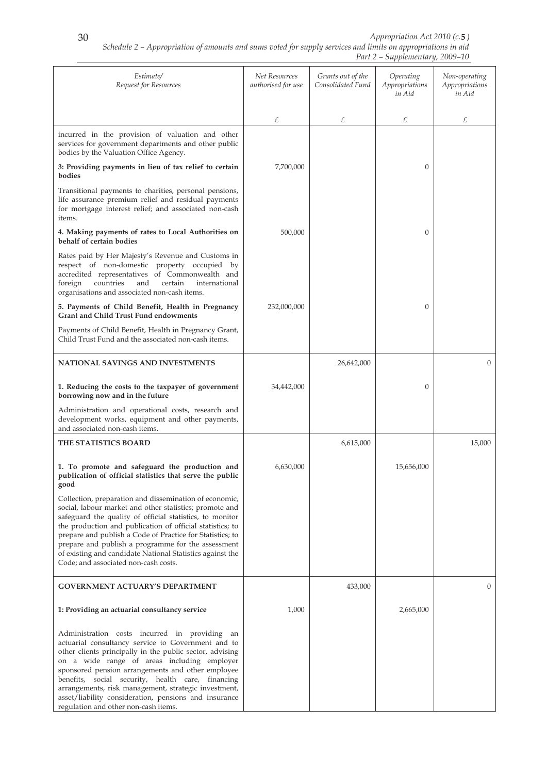| Estimate/<br>Request for Resources                                                                                                                                                                                                                                                                                                                                                                                                                                                | Net Resources<br>authorised for use | Grants out of the<br>Consolidated Fund | Operating<br>Appropriations<br>in Aid | Non-operating<br>Appropriations<br>in Aid |
|-----------------------------------------------------------------------------------------------------------------------------------------------------------------------------------------------------------------------------------------------------------------------------------------------------------------------------------------------------------------------------------------------------------------------------------------------------------------------------------|-------------------------------------|----------------------------------------|---------------------------------------|-------------------------------------------|
|                                                                                                                                                                                                                                                                                                                                                                                                                                                                                   | £                                   | £                                      | £                                     | £                                         |
| incurred in the provision of valuation and other<br>services for government departments and other public<br>bodies by the Valuation Office Agency.                                                                                                                                                                                                                                                                                                                                |                                     |                                        |                                       |                                           |
| 3: Providing payments in lieu of tax relief to certain<br>bodies                                                                                                                                                                                                                                                                                                                                                                                                                  | 7,700,000                           |                                        | 0                                     |                                           |
| Transitional payments to charities, personal pensions,<br>life assurance premium relief and residual payments<br>for mortgage interest relief; and associated non-cash<br>items.                                                                                                                                                                                                                                                                                                  |                                     |                                        |                                       |                                           |
| 4. Making payments of rates to Local Authorities on<br>behalf of certain bodies                                                                                                                                                                                                                                                                                                                                                                                                   | 500,000                             |                                        | 0                                     |                                           |
| Rates paid by Her Majesty's Revenue and Customs in<br>respect of non-domestic property occupied by<br>accredited representatives of Commonwealth and<br>countries<br>foreign<br>and<br>certain<br>international<br>organisations and associated non-cash items.                                                                                                                                                                                                                   |                                     |                                        |                                       |                                           |
| 5. Payments of Child Benefit, Health in Pregnancy<br><b>Grant and Child Trust Fund endowments</b>                                                                                                                                                                                                                                                                                                                                                                                 | 232,000,000                         |                                        | $\overline{0}$                        |                                           |
| Payments of Child Benefit, Health in Pregnancy Grant,<br>Child Trust Fund and the associated non-cash items.                                                                                                                                                                                                                                                                                                                                                                      |                                     |                                        |                                       |                                           |
| NATIONAL SAVINGS AND INVESTMENTS                                                                                                                                                                                                                                                                                                                                                                                                                                                  |                                     | 26,642,000                             |                                       | $\overline{0}$                            |
| 1. Reducing the costs to the taxpayer of government<br>borrowing now and in the future                                                                                                                                                                                                                                                                                                                                                                                            | 34,442,000                          |                                        | 0                                     |                                           |
| Administration and operational costs, research and<br>development works, equipment and other payments,<br>and associated non-cash items.                                                                                                                                                                                                                                                                                                                                          |                                     |                                        |                                       |                                           |
| THE STATISTICS BOARD                                                                                                                                                                                                                                                                                                                                                                                                                                                              |                                     | 6,615,000                              |                                       | 15,000                                    |
| 1. To promote and safeguard the production and<br>publication of official statistics that serve the public<br>good                                                                                                                                                                                                                                                                                                                                                                | 6,630,000                           |                                        | 15,656,000                            |                                           |
| Collection, preparation and dissemination of economic,<br>social, labour market and other statistics; promote and<br>safeguard the quality of official statistics, to monitor<br>the production and publication of official statistics; to<br>prepare and publish a Code of Practice for Statistics; to<br>prepare and publish a programme for the assessment<br>of existing and candidate National Statistics against the<br>Code; and associated non-cash costs.                |                                     |                                        |                                       |                                           |
| <b>GOVERNMENT ACTUARY'S DEPARTMENT</b>                                                                                                                                                                                                                                                                                                                                                                                                                                            |                                     | 433,000                                |                                       | $\overline{0}$                            |
| 1: Providing an actuarial consultancy service                                                                                                                                                                                                                                                                                                                                                                                                                                     | 1,000                               |                                        | 2,665,000                             |                                           |
| Administration costs incurred in providing an<br>actuarial consultancy service to Government and to<br>other clients principally in the public sector, advising<br>on a wide range of areas including employer<br>sponsored pension arrangements and other employee<br>benefits, social security, health care, financing<br>arrangements, risk management, strategic investment,<br>asset/liability consideration, pensions and insurance<br>regulation and other non-cash items. |                                     |                                        |                                       |                                           |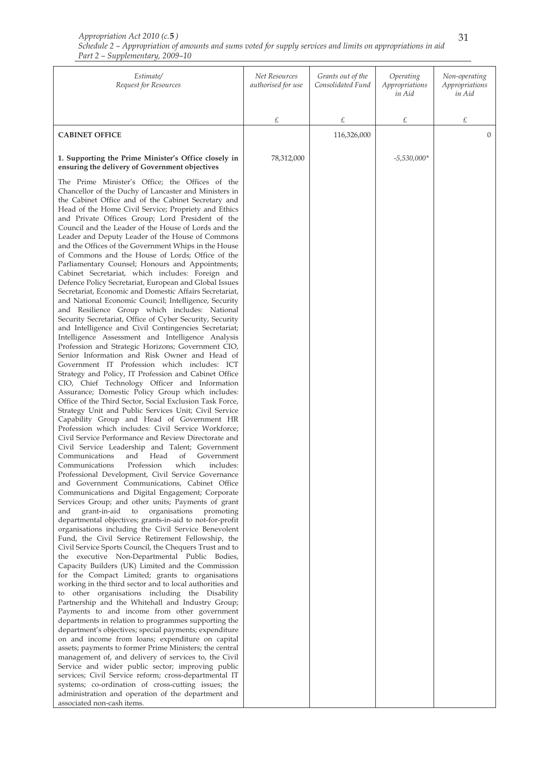| Estimate/<br>Request for Resources                                                                                                                                                                                                                                                                                                                                                                                                                                                                                                                                                                                                                                                                                                                                                                                                                                                                                                                                                                                                                                                                                                                                                                                                                                                                                                                                                                                                                                                                                                                                                                                                                                                                                                                                                                                                                                                                                                                                                                                                                                                                                                                                                                                                                                                                                                                                                                                                                                                                                                                                                                                                                                                                                                                                                                                                                                                                                                                                                                                                                                                                                                                | Net Resources<br>authorised for use | Grants out of the<br>Consolidated Fund | Operating<br>Appropriations<br>in Aid | Non-operating<br>Appropriations<br>in Aid |
|---------------------------------------------------------------------------------------------------------------------------------------------------------------------------------------------------------------------------------------------------------------------------------------------------------------------------------------------------------------------------------------------------------------------------------------------------------------------------------------------------------------------------------------------------------------------------------------------------------------------------------------------------------------------------------------------------------------------------------------------------------------------------------------------------------------------------------------------------------------------------------------------------------------------------------------------------------------------------------------------------------------------------------------------------------------------------------------------------------------------------------------------------------------------------------------------------------------------------------------------------------------------------------------------------------------------------------------------------------------------------------------------------------------------------------------------------------------------------------------------------------------------------------------------------------------------------------------------------------------------------------------------------------------------------------------------------------------------------------------------------------------------------------------------------------------------------------------------------------------------------------------------------------------------------------------------------------------------------------------------------------------------------------------------------------------------------------------------------------------------------------------------------------------------------------------------------------------------------------------------------------------------------------------------------------------------------------------------------------------------------------------------------------------------------------------------------------------------------------------------------------------------------------------------------------------------------------------------------------------------------------------------------------------------------------------------------------------------------------------------------------------------------------------------------------------------------------------------------------------------------------------------------------------------------------------------------------------------------------------------------------------------------------------------------------------------------------------------------------------------------------------------------|-------------------------------------|----------------------------------------|---------------------------------------|-------------------------------------------|
|                                                                                                                                                                                                                                                                                                                                                                                                                                                                                                                                                                                                                                                                                                                                                                                                                                                                                                                                                                                                                                                                                                                                                                                                                                                                                                                                                                                                                                                                                                                                                                                                                                                                                                                                                                                                                                                                                                                                                                                                                                                                                                                                                                                                                                                                                                                                                                                                                                                                                                                                                                                                                                                                                                                                                                                                                                                                                                                                                                                                                                                                                                                                                   | £                                   | £                                      | £                                     | £                                         |
| <b>CABINET OFFICE</b>                                                                                                                                                                                                                                                                                                                                                                                                                                                                                                                                                                                                                                                                                                                                                                                                                                                                                                                                                                                                                                                                                                                                                                                                                                                                                                                                                                                                                                                                                                                                                                                                                                                                                                                                                                                                                                                                                                                                                                                                                                                                                                                                                                                                                                                                                                                                                                                                                                                                                                                                                                                                                                                                                                                                                                                                                                                                                                                                                                                                                                                                                                                             |                                     | 116,326,000                            |                                       | $\overline{0}$                            |
| 1. Supporting the Prime Minister's Office closely in<br>ensuring the delivery of Government objectives                                                                                                                                                                                                                                                                                                                                                                                                                                                                                                                                                                                                                                                                                                                                                                                                                                                                                                                                                                                                                                                                                                                                                                                                                                                                                                                                                                                                                                                                                                                                                                                                                                                                                                                                                                                                                                                                                                                                                                                                                                                                                                                                                                                                                                                                                                                                                                                                                                                                                                                                                                                                                                                                                                                                                                                                                                                                                                                                                                                                                                            | 78,312,000                          |                                        | $-5,530,000*$                         |                                           |
| The Prime Minister's Office; the Offices of the<br>Chancellor of the Duchy of Lancaster and Ministers in<br>the Cabinet Office and of the Cabinet Secretary and<br>Head of the Home Civil Service; Propriety and Ethics<br>and Private Offices Group; Lord President of the<br>Council and the Leader of the House of Lords and the<br>Leader and Deputy Leader of the House of Commons<br>and the Offices of the Government Whips in the House<br>of Commons and the House of Lords; Office of the<br>Parliamentary Counsel; Honours and Appointments;<br>Cabinet Secretariat, which includes: Foreign and<br>Defence Policy Secretariat, European and Global Issues<br>Secretariat, Economic and Domestic Affairs Secretariat,<br>and National Economic Council; Intelligence, Security<br>and Resilience Group which includes: National<br>Security Secretariat, Office of Cyber Security, Security<br>and Intelligence and Civil Contingencies Secretariat;<br>Intelligence Assessment and Intelligence Analysis<br>Profession and Strategic Horizons; Government CIO,<br>Senior Information and Risk Owner and Head of<br>Government IT Profession which includes: ICT<br>Strategy and Policy, IT Profession and Cabinet Office<br>CIO, Chief Technology Officer and Information<br>Assurance; Domestic Policy Group which includes:<br>Office of the Third Sector, Social Exclusion Task Force,<br>Strategy Unit and Public Services Unit; Civil Service<br>Capability Group and Head of Government HR<br>Profession which includes: Civil Service Workforce;<br>Civil Service Performance and Review Directorate and<br>Civil Service Leadership and Talent; Government<br>Communications<br>and<br>of<br>Head<br>Government<br>Profession<br>which<br>Communications<br>includes:<br>Professional Development, Civil Service Governance<br>and Government Communications, Cabinet Office<br>Communications and Digital Engagement; Corporate<br>Services Group; and other units; Payments of grant<br>grant-in-aid to organisations<br>promoting<br>and<br>departmental objectives; grants-in-aid to not-for-profit<br>organisations including the Civil Service Benevolent<br>Fund, the Civil Service Retirement Fellowship, the<br>Civil Service Sports Council, the Chequers Trust and to<br>the executive Non-Departmental Public Bodies,<br>Capacity Builders (UK) Limited and the Commission<br>for the Compact Limited; grants to organisations<br>working in the third sector and to local authorities and<br>to other organisations including the Disability<br>Partnership and the Whitehall and Industry Group;<br>Payments to and income from other government<br>departments in relation to programmes supporting the<br>department's objectives; special payments; expenditure<br>on and income from loans; expenditure on capital<br>assets; payments to former Prime Ministers; the central<br>management of, and delivery of services to, the Civil<br>Service and wider public sector; improving public<br>services; Civil Service reform; cross-departmental IT<br>systems; co-ordination of cross-cutting issues; the |                                     |                                        |                                       |                                           |
| administration and operation of the department and<br>associated non-cash items.                                                                                                                                                                                                                                                                                                                                                                                                                                                                                                                                                                                                                                                                                                                                                                                                                                                                                                                                                                                                                                                                                                                                                                                                                                                                                                                                                                                                                                                                                                                                                                                                                                                                                                                                                                                                                                                                                                                                                                                                                                                                                                                                                                                                                                                                                                                                                                                                                                                                                                                                                                                                                                                                                                                                                                                                                                                                                                                                                                                                                                                                  |                                     |                                        |                                       |                                           |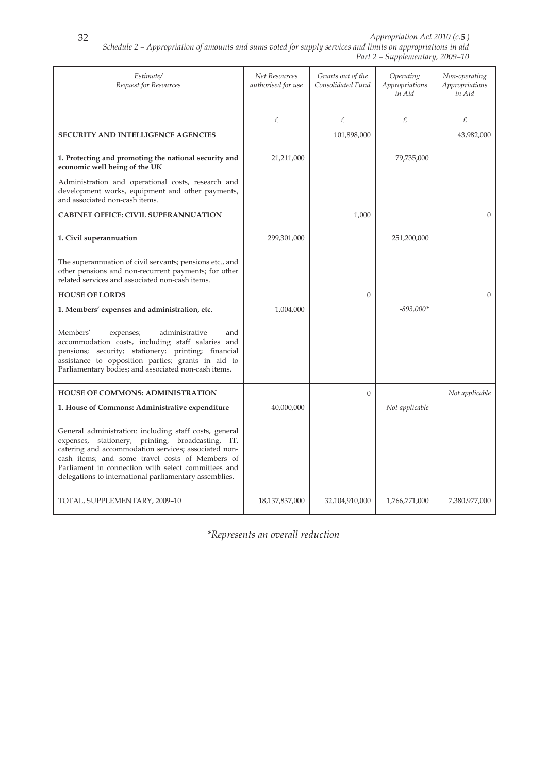| Estimate/<br>Request for Resources                                                                                                                                                                                                                                                                                                         | Net Resources<br>authorised for use | Grants out of the<br>Consolidated Fund | Operating<br>Appropriations<br>in Aid | Non-operating<br>Appropriations<br>in Aid |
|--------------------------------------------------------------------------------------------------------------------------------------------------------------------------------------------------------------------------------------------------------------------------------------------------------------------------------------------|-------------------------------------|----------------------------------------|---------------------------------------|-------------------------------------------|
|                                                                                                                                                                                                                                                                                                                                            | £                                   | £                                      | £                                     | £                                         |
| <b>SECURITY AND INTELLIGENCE AGENCIES</b>                                                                                                                                                                                                                                                                                                  |                                     | 101,898,000                            |                                       | 43,982,000                                |
| 1. Protecting and promoting the national security and<br>economic well being of the UK                                                                                                                                                                                                                                                     | 21,211,000                          |                                        | 79,735,000                            |                                           |
| Administration and operational costs, research and<br>development works, equipment and other payments,<br>and associated non-cash items.                                                                                                                                                                                                   |                                     |                                        |                                       |                                           |
| <b>CABINET OFFICE: CIVIL SUPERANNUATION</b>                                                                                                                                                                                                                                                                                                |                                     | 1,000                                  |                                       | $\overline{0}$                            |
| 1. Civil superannuation                                                                                                                                                                                                                                                                                                                    | 299,301,000                         |                                        | 251,200,000                           |                                           |
| The superannuation of civil servants; pensions etc., and<br>other pensions and non-recurrent payments; for other<br>related services and associated non-cash items.                                                                                                                                                                        |                                     |                                        |                                       |                                           |
| <b>HOUSE OF LORDS</b>                                                                                                                                                                                                                                                                                                                      |                                     | $\Omega$                               |                                       | $\Omega$                                  |
| 1. Members' expenses and administration, etc.                                                                                                                                                                                                                                                                                              | 1,004,000                           |                                        | $-893.000*$                           |                                           |
| Members'<br>administrative<br>expenses;<br>and<br>accommodation costs, including staff salaries and<br>pensions; security; stationery; printing; financial<br>assistance to opposition parties; grants in aid to<br>Parliamentary bodies; and associated non-cash items.                                                                   |                                     |                                        |                                       |                                           |
| <b>HOUSE OF COMMONS: ADMINISTRATION</b>                                                                                                                                                                                                                                                                                                    |                                     | $\Omega$                               |                                       | Not applicable                            |
| 1. House of Commons: Administrative expenditure                                                                                                                                                                                                                                                                                            | 40,000,000                          |                                        | Not applicable                        |                                           |
| General administration: including staff costs, general<br>expenses, stationery, printing,<br>broadcasting, IT,<br>catering and accommodation services; associated non-<br>cash items: and some travel costs of Members of<br>Parliament in connection with select committees and<br>delegations to international parliamentary assemblies. |                                     |                                        |                                       |                                           |
| TOTAL, SUPPLEMENTARY, 2009-10                                                                                                                                                                                                                                                                                                              | 18,137,837,000                      | 32,104,910,000                         | 1,766,771,000                         | 7,380,977,000                             |

*\*Represents an overall reduction*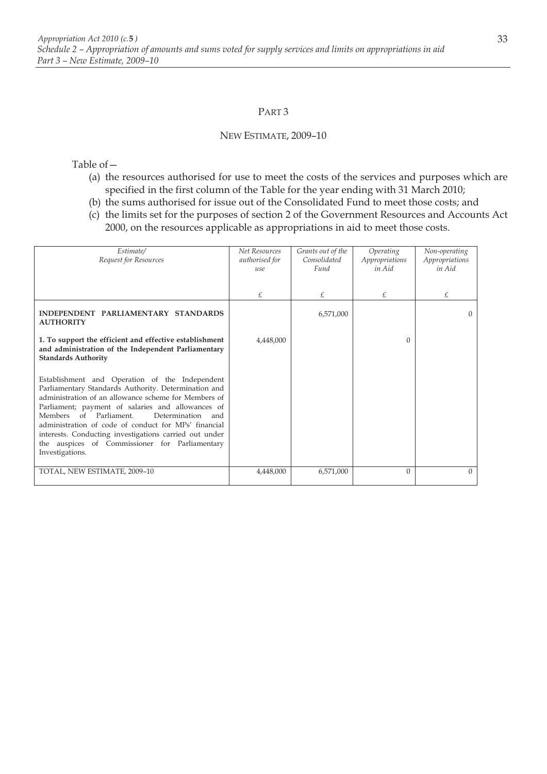#### PART 3

#### NEW ESTIMATE, 2009–10

Table of—

- (a) the resources authorised for use to meet the costs of the services and purposes which are specified in the first column of the Table for the year ending with 31 March 2010;
- (b) the sums authorised for issue out of the Consolidated Fund to meet those costs; and
- (c) the limits set for the purposes of section 2 of the Government Resources and Accounts Act 2000, on the resources applicable as appropriations in aid to meet those costs.

| Estimate/<br>Request for Resources                                                                                                                                                                                                                                                                                                                                                                                                                           | <b>Net Resources</b><br>authorised for<br>use | Grants out of the<br>Consolidated<br>Fund | Operating<br>Appropriations<br>in Aid | Non-operating<br>Appropriations<br>in Aid |
|--------------------------------------------------------------------------------------------------------------------------------------------------------------------------------------------------------------------------------------------------------------------------------------------------------------------------------------------------------------------------------------------------------------------------------------------------------------|-----------------------------------------------|-------------------------------------------|---------------------------------------|-------------------------------------------|
|                                                                                                                                                                                                                                                                                                                                                                                                                                                              | £                                             | £                                         | £                                     | £                                         |
| INDEPENDENT PARLIAMENTARY STANDARDS<br><b>AUTHORITY</b>                                                                                                                                                                                                                                                                                                                                                                                                      |                                               | 6,571,000                                 |                                       | $\Omega$                                  |
| 1. To support the efficient and effective establishment<br>and administration of the Independent Parliamentary<br><b>Standards Authority</b>                                                                                                                                                                                                                                                                                                                 | 4,448,000                                     |                                           | $\Omega$                              |                                           |
| Establishment and Operation of the Independent<br>Parliamentary Standards Authority. Determination and<br>administration of an allowance scheme for Members of<br>Parliament; payment of salaries and allowances of<br>Members of Parliament.<br>Determination<br>and<br>administration of code of conduct for MPs' financial<br>interests. Conducting investigations carried out under<br>the auspices of Commissioner for Parliamentary<br>Investigations. |                                               |                                           |                                       |                                           |
| TOTAL, NEW ESTIMATE, 2009-10                                                                                                                                                                                                                                                                                                                                                                                                                                 | 4,448,000                                     | 6,571,000                                 | $\Omega$                              | $\Omega$                                  |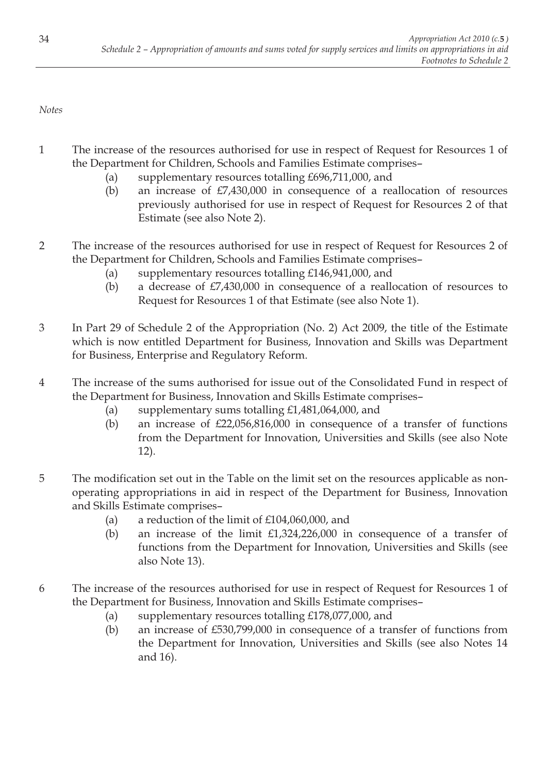*Notes* 

- 1 The increase of the resources authorised for use in respect of Request for Resources 1 of the Department for Children, Schools and Families Estimate comprises–
	- (a) supplementary resources totalling £696,711,000, and
	- (b) an increase of £7,430,000 in consequence of a reallocation of resources previously authorised for use in respect of Request for Resources 2 of that Estimate (see also Note 2).
- 2 The increase of the resources authorised for use in respect of Request for Resources 2 of the Department for Children, Schools and Families Estimate comprises–
	- (a) supplementary resources totalling £146,941,000, and
	- (b) a decrease of £7,430,000 in consequence of a reallocation of resources to Request for Resources 1 of that Estimate (see also Note 1).
- 3 In Part 29 of Schedule 2 of the Appropriation (No. 2) Act 2009, the title of the Estimate which is now entitled Department for Business, Innovation and Skills was Department for Business, Enterprise and Regulatory Reform.
- 4 The increase of the sums authorised for issue out of the Consolidated Fund in respect of the Department for Business, Innovation and Skills Estimate comprises–
	- (a) supplementary sums totalling £1,481,064,000, and
	- (b) an increase of £22,056,816,000 in consequence of a transfer of functions from the Department for Innovation, Universities and Skills (see also Note 12).
- 5 The modification set out in the Table on the limit set on the resources applicable as nonoperating appropriations in aid in respect of the Department for Business, Innovation and Skills Estimate comprises–
	- (a) a reduction of the limit of £104,060,000, and
	- (b) an increase of the limit £1,324,226,000 in consequence of a transfer of functions from the Department for Innovation, Universities and Skills (see also Note 13).
- 6 The increase of the resources authorised for use in respect of Request for Resources 1 of the Department for Business, Innovation and Skills Estimate comprises–
	- (a) supplementary resources totalling £178,077,000, and
	- (b) an increase of £530,799,000 in consequence of a transfer of functions from the Department for Innovation, Universities and Skills (see also Notes 14 and 16).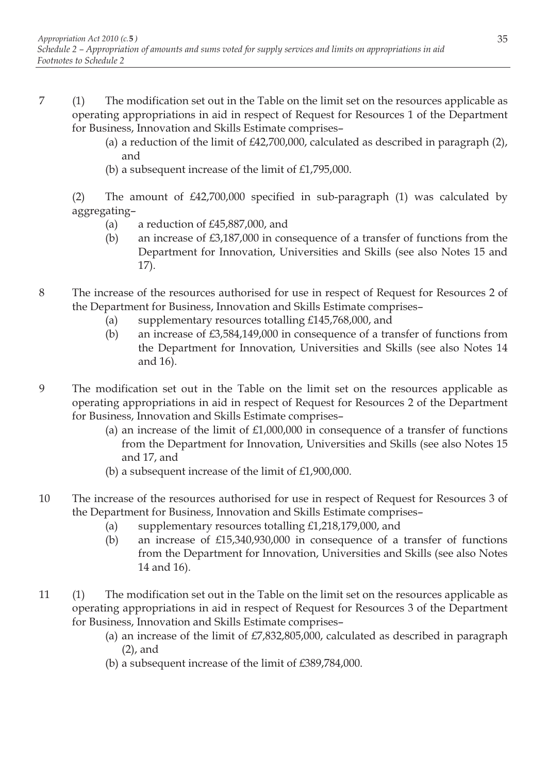- 7 (1) The modification set out in the Table on the limit set on the resources applicable as operating appropriations in aid in respect of Request for Resources 1 of the Department for Business, Innovation and Skills Estimate comprises–
	- (a) a reduction of the limit of £42,700,000, calculated as described in paragraph (2), and
	- (b) a subsequent increase of the limit of £1,795,000.

(2) The amount of £42,700,000 specified in sub-paragraph (1) was calculated by aggregating–

- (a) a reduction of £45,887,000, and
- (b) an increase of £3,187,000 in consequence of a transfer of functions from the Department for Innovation, Universities and Skills (see also Notes 15 and 17).
- 8 The increase of the resources authorised for use in respect of Request for Resources 2 of the Department for Business, Innovation and Skills Estimate comprises–
	- (a) supplementary resources totalling £145,768,000, and
	- (b) an increase of £3,584,149,000 in consequence of a transfer of functions from the Department for Innovation, Universities and Skills (see also Notes 14 and 16).
- 9 The modification set out in the Table on the limit set on the resources applicable as operating appropriations in aid in respect of Request for Resources 2 of the Department for Business, Innovation and Skills Estimate comprises–
	- (a) an increase of the limit of  $£1,000,000$  in consequence of a transfer of functions from the Department for Innovation, Universities and Skills (see also Notes 15 and 17, and
	- (b) a subsequent increase of the limit of £1,900,000.
- 10 The increase of the resources authorised for use in respect of Request for Resources 3 of the Department for Business, Innovation and Skills Estimate comprises–
	- (a) supplementary resources totalling £1,218,179,000, and
	- (b) an increase of £15,340,930,000 in consequence of a transfer of functions from the Department for Innovation, Universities and Skills (see also Notes 14 and 16).
- 11 (1) The modification set out in the Table on the limit set on the resources applicable as operating appropriations in aid in respect of Request for Resources 3 of the Department for Business, Innovation and Skills Estimate comprises–
	- (a) an increase of the limit of  $E7,832,805,000$ , calculated as described in paragraph (2), and
	- (b) a subsequent increase of the limit of £389,784,000.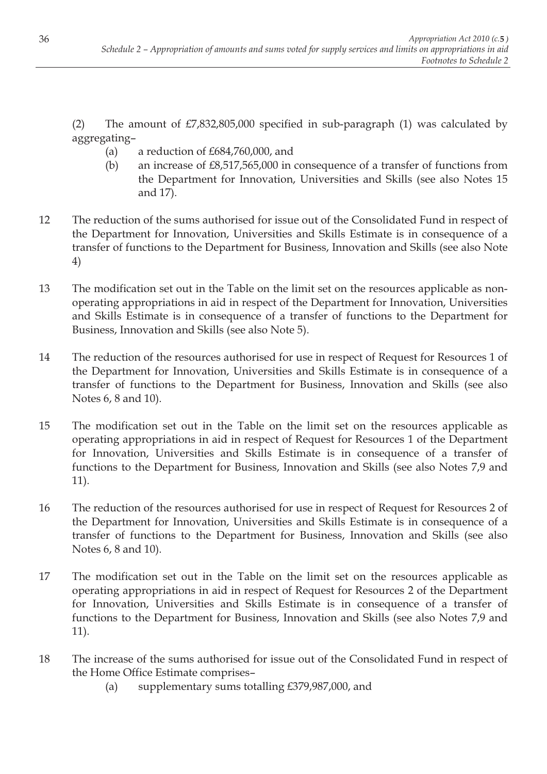(2) The amount of £7,832,805,000 specified in sub-paragraph (1) was calculated by aggregating–

- (a) a reduction of  $£684,760,000$ , and
- (b) an increase of £8,517,565,000 in consequence of a transfer of functions from the Department for Innovation, Universities and Skills (see also Notes 15 and 17).
- 12 The reduction of the sums authorised for issue out of the Consolidated Fund in respect of the Department for Innovation, Universities and Skills Estimate is in consequence of a transfer of functions to the Department for Business, Innovation and Skills (see also Note 4)
- 13 The modification set out in the Table on the limit set on the resources applicable as nonoperating appropriations in aid in respect of the Department for Innovation, Universities and Skills Estimate is in consequence of a transfer of functions to the Department for Business, Innovation and Skills (see also Note 5).
- 14 The reduction of the resources authorised for use in respect of Request for Resources 1 of the Department for Innovation, Universities and Skills Estimate is in consequence of a transfer of functions to the Department for Business, Innovation and Skills (see also Notes 6, 8 and 10).
- 15 The modification set out in the Table on the limit set on the resources applicable as operating appropriations in aid in respect of Request for Resources 1 of the Department for Innovation, Universities and Skills Estimate is in consequence of a transfer of functions to the Department for Business, Innovation and Skills (see also Notes 7,9 and 11).
- 16 The reduction of the resources authorised for use in respect of Request for Resources 2 of the Department for Innovation, Universities and Skills Estimate is in consequence of a transfer of functions to the Department for Business, Innovation and Skills (see also Notes 6, 8 and 10).
- 17 The modification set out in the Table on the limit set on the resources applicable as operating appropriations in aid in respect of Request for Resources 2 of the Department for Innovation, Universities and Skills Estimate is in consequence of a transfer of functions to the Department for Business, Innovation and Skills (see also Notes 7,9 and 11).
- 18 The increase of the sums authorised for issue out of the Consolidated Fund in respect of the Home Office Estimate comprises–
	- (a) supplementary sums totalling £379,987,000, and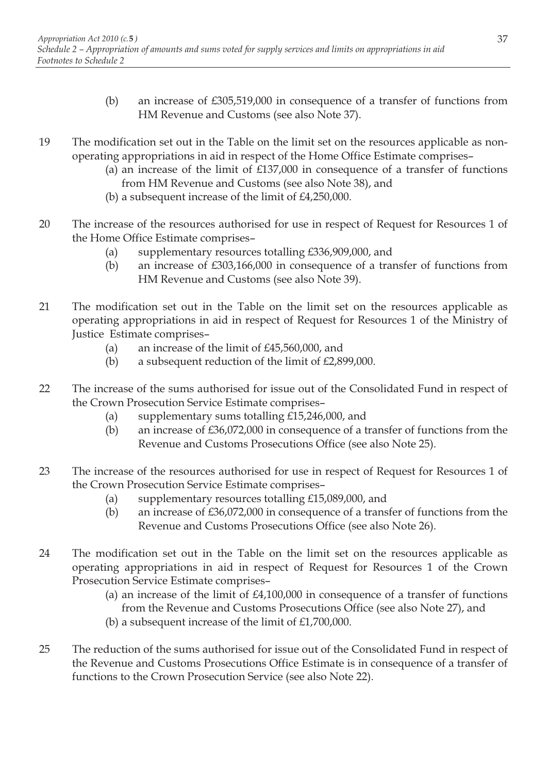- (b) an increase of £305,519,000 in consequence of a transfer of functions from HM Revenue and Customs (see also Note 37).
- 19 The modification set out in the Table on the limit set on the resources applicable as nonoperating appropriations in aid in respect of the Home Office Estimate comprises–
	- (a) an increase of the limit of  $£137,000$  in consequence of a transfer of functions from HM Revenue and Customs (see also Note 38), and
	- (b) a subsequent increase of the limit of £4,250,000.
- 20 The increase of the resources authorised for use in respect of Request for Resources 1 of the Home Office Estimate comprises–
	- (a) supplementary resources totalling £336,909,000, and
	- (b) an increase of £303,166,000 in consequence of a transfer of functions from HM Revenue and Customs (see also Note 39).
- 21 The modification set out in the Table on the limit set on the resources applicable as operating appropriations in aid in respect of Request for Resources 1 of the Ministry of Justice Estimate comprises–
	- (a) an increase of the limit of £45,560,000, and
	- (b) a subsequent reduction of the limit of £2,899,000.
- 22 The increase of the sums authorised for issue out of the Consolidated Fund in respect of the Crown Prosecution Service Estimate comprises–
	- (a) supplementary sums totalling £15,246,000, and
	- (b) an increase of £36,072,000 in consequence of a transfer of functions from the Revenue and Customs Prosecutions Office (see also Note 25).
- 23 The increase of the resources authorised for use in respect of Request for Resources 1 of the Crown Prosecution Service Estimate comprises–
	- (a) supplementary resources totalling £15,089,000, and
	- (b) an increase of £36,072,000 in consequence of a transfer of functions from the Revenue and Customs Prosecutions Office (see also Note 26).
- 24 The modification set out in the Table on the limit set on the resources applicable as operating appropriations in aid in respect of Request for Resources 1 of the Crown Prosecution Service Estimate comprises–
	- (a) an increase of the limit of £4,100,000 in consequence of a transfer of functions from the Revenue and Customs Prosecutions Office (see also Note 27), and
	- (b) a subsequent increase of the limit of £1,700,000.
- 25 The reduction of the sums authorised for issue out of the Consolidated Fund in respect of the Revenue and Customs Prosecutions Office Estimate is in consequence of a transfer of functions to the Crown Prosecution Service (see also Note 22).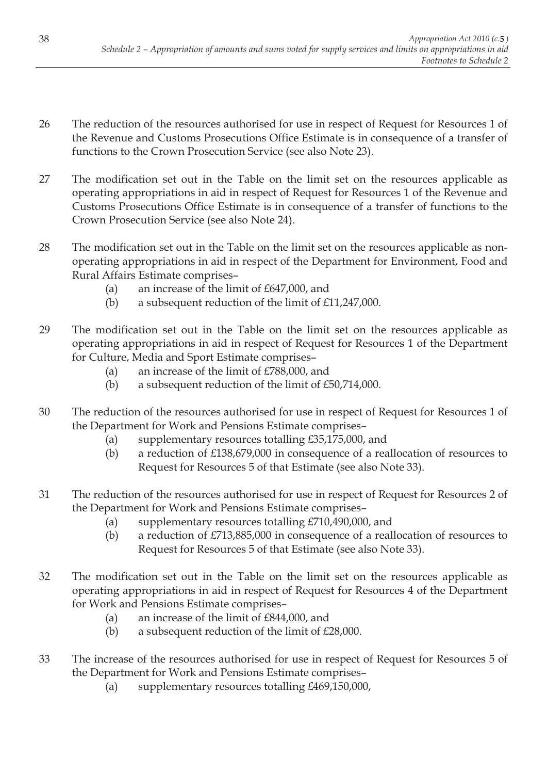- 26 The reduction of the resources authorised for use in respect of Request for Resources 1 of the Revenue and Customs Prosecutions Office Estimate is in consequence of a transfer of functions to the Crown Prosecution Service (see also Note 23).
- 27 The modification set out in the Table on the limit set on the resources applicable as operating appropriations in aid in respect of Request for Resources 1 of the Revenue and Customs Prosecutions Office Estimate is in consequence of a transfer of functions to the Crown Prosecution Service (see also Note 24).
- 28 The modification set out in the Table on the limit set on the resources applicable as nonoperating appropriations in aid in respect of the Department for Environment, Food and Rural Affairs Estimate comprises–
	- (a) an increase of the limit of £647,000, and
	- (b) a subsequent reduction of the limit of  $£11,247,000$ .
- 29 The modification set out in the Table on the limit set on the resources applicable as operating appropriations in aid in respect of Request for Resources 1 of the Department for Culture, Media and Sport Estimate comprises–
	- (a) an increase of the limit of £788,000, and
	- (b) a subsequent reduction of the limit of £50,714,000.
- 30 The reduction of the resources authorised for use in respect of Request for Resources 1 of the Department for Work and Pensions Estimate comprises–
	- (a) supplementary resources totalling £35,175,000, and
	- (b) a reduction of £138,679,000 in consequence of a reallocation of resources to Request for Resources 5 of that Estimate (see also Note 33).
- 31 The reduction of the resources authorised for use in respect of Request for Resources 2 of the Department for Work and Pensions Estimate comprises–
	- (a) supplementary resources totalling £710,490,000, and
	- (b) a reduction of £713,885,000 in consequence of a reallocation of resources to Request for Resources 5 of that Estimate (see also Note 33).
- 32 The modification set out in the Table on the limit set on the resources applicable as operating appropriations in aid in respect of Request for Resources 4 of the Department for Work and Pensions Estimate comprises–
	- (a) an increase of the limit of £844,000, and
	- (b) a subsequent reduction of the limit of £28,000.
- 33 The increase of the resources authorised for use in respect of Request for Resources 5 of the Department for Work and Pensions Estimate comprises–
	- (a) supplementary resources totalling £469,150,000,